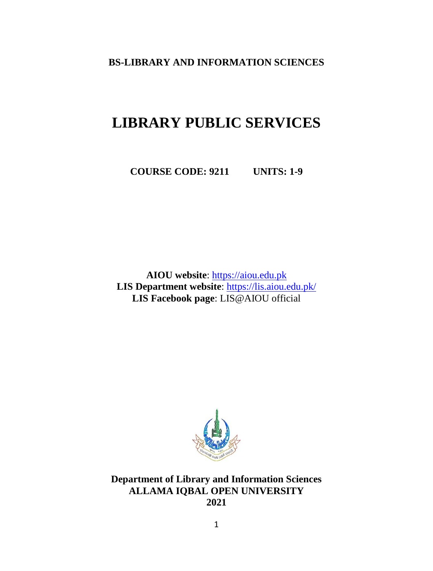**BS-LIBRARY AND INFORMATION SCIENCES**

# **LIBRARY PUBLIC SERVICES**

**COURSE CODE: 9211 UNITS: 1-9**

**AIOU website**: [https://aiou.edu.pk](https://aiou.edu.pk/) **LIS Department website**: [https://lis.aiou.edu.pk/](http://lis.aiou.edu.pk/) **LIS Facebook page**: LIS@AIOU official



**Department of Library and Information Sciences ALLAMA IQBAL OPEN UNIVERSITY 2021**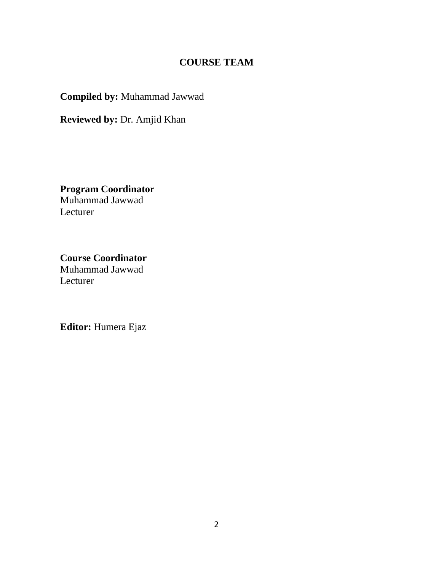## **COURSE TEAM**

**Compiled by:** Muhammad Jawwad

**Reviewed by:** Dr. Amjid Khan

**Program Coordinator** Muhammad Jawwad Lecturer

**Course Coordinator** Muhammad Jawwad Lecturer

**Editor:** Humera Ejaz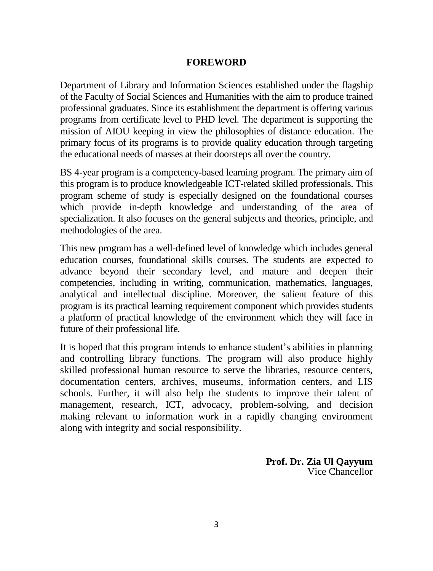#### **FOREWORD**

Department of Library and Information Sciences established under the flagship of the Faculty of Social Sciences and Humanities with the aim to produce trained professional graduates. Since its establishment the department is offering various programs from certificate level to PHD level. The department is supporting the mission of AIOU keeping in view the philosophies of distance education. The primary focus of its programs is to provide quality education through targeting the educational needs of masses at their doorsteps all over the country.

BS 4-year program is a competency-based learning program. The primary aim of this program is to produce knowledgeable ICT-related skilled professionals. This program scheme of study is especially designed on the foundational courses which provide in-depth knowledge and understanding of the area of specialization. It also focuses on the general subjects and theories, principle, and methodologies of the area.

This new program has a well-defined level of knowledge which includes general education courses, foundational skills courses. The students are expected to advance beyond their secondary level, and mature and deepen their competencies, including in writing, communication, mathematics, languages, analytical and intellectual discipline. Moreover, the salient feature of this program is its practical learning requirement component which provides students a platform of practical knowledge of the environment which they will face in future of their professional life.

It is hoped that this program intends to enhance student's abilities in planning and controlling library functions. The program will also produce highly skilled professional human resource to serve the libraries, resource centers, documentation centers, archives, museums, information centers, and LIS schools. Further, it will also help the students to improve their talent of management, research, ICT, advocacy, problem-solving, and decision making relevant to information work in a rapidly changing environment along with integrity and social responsibility.

> **Prof. Dr. Zia Ul Qayyum** Vice Chancellor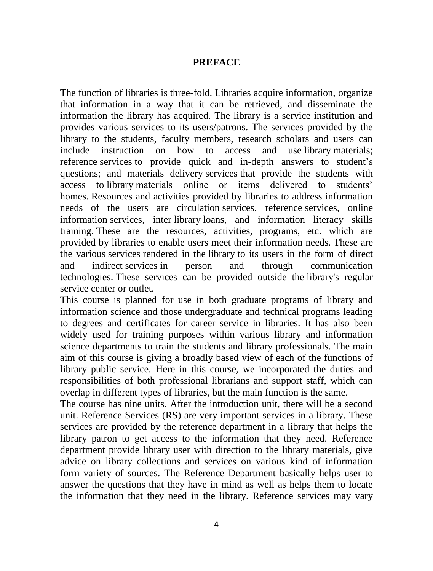#### **PREFACE**

The function of libraries is three-fold. Libraries acquire information, organize that information in a way that it can be retrieved, and disseminate the information the library has acquired. The library is a service institution and provides various services to its users/patrons. The services provided by the library to the students, faculty members, research scholars and users can include instruction on how to access and use library materials; reference services to provide quick and in-depth answers to student's questions; and materials delivery services that provide the students with access to library materials online or items delivered to students' homes. Resources and activities provided by libraries to address information needs of the users are circulation services, reference services, online information services, inter library loans, and information literacy skills training. These are the resources, activities, programs, etc. which are provided by libraries to enable users meet their information needs. These are the various services rendered in the library to its users in the form of direct and indirect services in person and through communication technologies. These services can be provided outside the library's regular service center or outlet.

This course is planned for use in both graduate programs of library and information science and those undergraduate and technical programs leading to degrees and certificates for career service in libraries. It has also been widely used for training purposes within various library and information science departments to train the students and library professionals. The main aim of this course is giving a broadly based view of each of the functions of library public service. Here in this course, we incorporated the duties and responsibilities of both professional librarians and support staff, which can overlap in different types of libraries, but the main function is the same.

The course has nine units. After the introduction unit, there will be a second unit. Reference Services (RS) are very important services in a library. These services are provided by the reference department in a library that helps the library patron to get access to the information that they need. Reference department provide library user with direction to the library materials, give advice on library collections and services on various kind of information form variety of sources. The Reference Department basically helps user to answer the questions that they have in mind as well as helps them to locate the information that they need in the library. Reference services may vary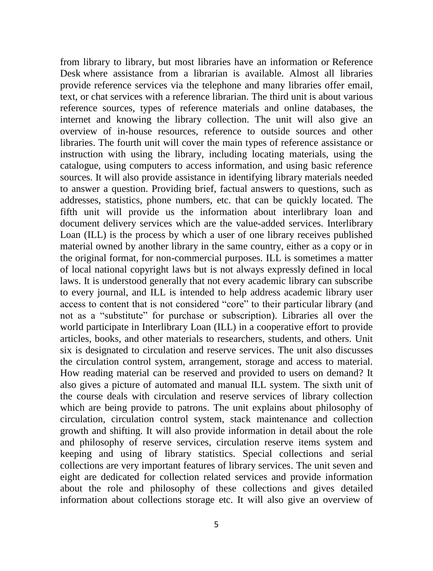from library to library, but most libraries have an information or Reference Desk where assistance from a librarian is available. Almost all libraries provide reference services via the telephone and many libraries offer email, text, or chat services with a reference librarian. The third unit is about various reference sources, types of reference materials and online databases, the internet and knowing the library collection. The unit will also give an overview of in-house resources, reference to outside sources and other libraries. The fourth unit will cover the main types of reference assistance or instruction with using the library, including locating materials, using the catalogue, using computers to access information, and using basic reference sources. It will also provide assistance in identifying library materials needed to answer a question. Providing brief, factual answers to questions, such as addresses, statistics, phone numbers, etc. that can be quickly located. The fifth unit will provide us the information about interlibrary loan and document delivery services which are the value-added services. Interlibrary Loan (ILL) is the process by which a user of one library receives published material owned by another library in the same country, either as a copy or in the original format, for non-commercial purposes. ILL is sometimes a matter of local national copyright laws but is not always expressly defined in local laws. It is understood generally that not every academic library can subscribe to every journal, and ILL is intended to help address academic library user access to content that is not considered "core" to their particular library (and not as a "substitute" for purchase or subscription). Libraries all over the world participate in Interlibrary Loan (ILL) in a cooperative effort to provide articles, books, and other materials to researchers, students, and others. Unit six is designated to circulation and reserve services. The unit also discusses the circulation control system, arrangement, storage and access to material. How reading material can be reserved and provided to users on demand? It also gives a picture of automated and manual ILL system. The sixth unit of the course deals with circulation and reserve services of library collection which are being provide to patrons. The unit explains about philosophy of circulation, circulation control system, stack maintenance and collection growth and shifting. It will also provide information in detail about the role and philosophy of reserve services, circulation reserve items system and keeping and using of library statistics. Special collections and serial collections are very important features of library services. The unit seven and eight are dedicated for collection related services and provide information about the role and philosophy of these collections and gives detailed information about collections storage etc. It will also give an overview of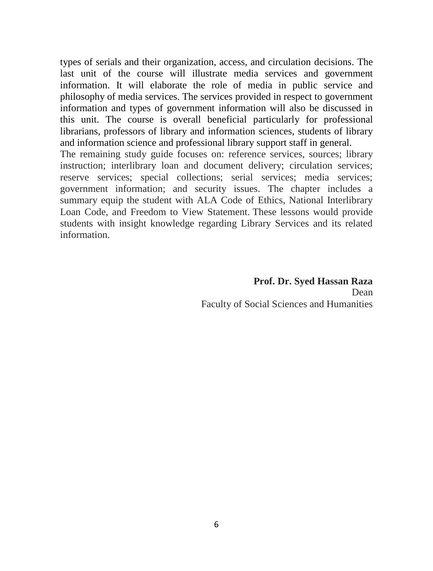types of serials and their organization, access, and circulation decisions. The last unit of the course will illustrate media services and government information. It will elaborate the role of media in public service and philosophy of media services. The services provided in respect to government information and types of government information will also be discussed in this unit. The course is overall beneficial particularly for professional librarians, professors of library and information sciences, students of library and information science and professional library support staff in general.

The remaining study guide focuses on: reference services, sources; library instruction; interlibrary loan and document delivery; circulation services; reserve services; special collections; serial services; media services; government information; and security issues. The chapter includes a summary equip the student with ALA Code of Ethics, National Interlibrary Loan Code, and Freedom to View Statement. These lessons would provide students with insight knowledge regarding Library Services and its related information.

> **Prof. Dr. Syed Hassan Raza** Dean Faculty of Social Sciences and Humanities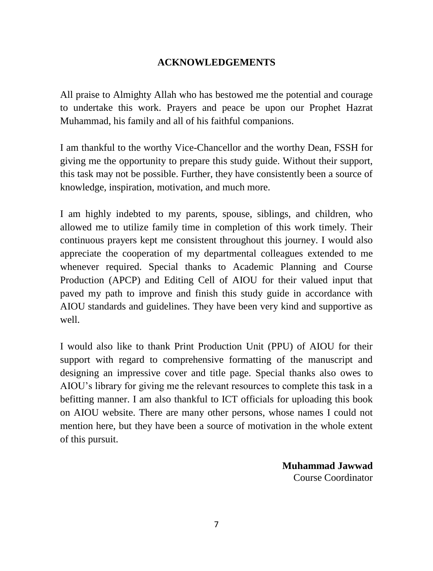### **ACKNOWLEDGEMENTS**

All praise to Almighty Allah who has bestowed me the potential and courage to undertake this work. Prayers and peace be upon our Prophet Hazrat Muhammad, his family and all of his faithful companions.

I am thankful to the worthy Vice-Chancellor and the worthy Dean, FSSH for giving me the opportunity to prepare this study guide. Without their support, this task may not be possible. Further, they have consistently been a source of knowledge, inspiration, motivation, and much more.

I am highly indebted to my parents, spouse, siblings, and children, who allowed me to utilize family time in completion of this work timely. Their continuous prayers kept me consistent throughout this journey. I would also appreciate the cooperation of my departmental colleagues extended to me whenever required. Special thanks to Academic Planning and Course Production (APCP) and Editing Cell of AIOU for their valued input that paved my path to improve and finish this study guide in accordance with AIOU standards and guidelines. They have been very kind and supportive as well.

I would also like to thank Print Production Unit (PPU) of AIOU for their support with regard to comprehensive formatting of the manuscript and designing an impressive cover and title page. Special thanks also owes to AIOU's library for giving me the relevant resources to complete this task in a befitting manner. I am also thankful to ICT officials for uploading this book on AIOU website. There are many other persons, whose names I could not mention here, but they have been a source of motivation in the whole extent of this pursuit.

> **Muhammad Jawwad** Course Coordinator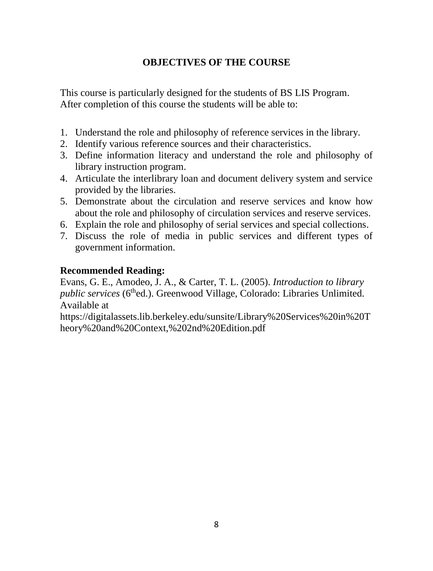# **OBJECTIVES OF THE COURSE**

This course is particularly designed for the students of BS LIS Program. After completion of this course the students will be able to:

- 1. Understand the role and philosophy of reference services in the library.
- 2. Identify various reference sources and their characteristics.
- 3. Define information literacy and understand the role and philosophy of library instruction program.
- 4. Articulate the interlibrary loan and document delivery system and service provided by the libraries.
- 5. Demonstrate about the circulation and reserve services and know how about the role and philosophy of circulation services and reserve services.
- 6. Explain the role and philosophy of serial services and special collections.
- 7. Discuss the role of media in public services and different types of government information.

## **Recommended Reading:**

Evans, G. E., Amodeo, J. A., & Carter, T. L. (2005). *Introduction to library public services* (6<sup>th</sup>ed.). Greenwood Village, Colorado: Libraries Unlimited. Available at

https://digitalassets.lib.berkeley.edu/sunsite/Library%20Services%20in%20T heory%20and%20Context,%202nd%20Edition.pdf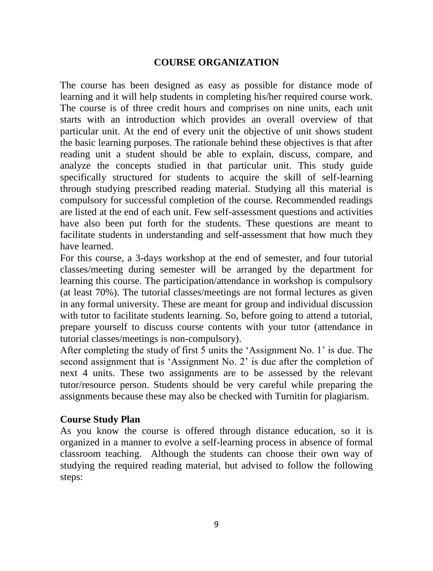#### **COURSE ORGANIZATION**

The course has been designed as easy as possible for distance mode of learning and it will help students in completing his/her required course work. The course is of three credit hours and comprises on nine units, each unit starts with an introduction which provides an overall overview of that particular unit. At the end of every unit the objective of unit shows student the basic learning purposes. The rationale behind these objectives is that after reading unit a student should be able to explain, discuss, compare, and analyze the concepts studied in that particular unit. This study guide specifically structured for students to acquire the skill of self-learning through studying prescribed reading material. Studying all this material is compulsory for successful completion of the course. Recommended readings are listed at the end of each unit. Few self-assessment questions and activities have also been put forth for the students. These questions are meant to facilitate students in understanding and self-assessment that how much they have learned.

For this course, a 3-days workshop at the end of semester, and four tutorial classes/meeting during semester will be arranged by the department for learning this course. The participation/attendance in workshop is compulsory (at least 70%). The tutorial classes/meetings are not formal lectures as given in any formal university. These are meant for group and individual discussion with tutor to facilitate students learning. So, before going to attend a tutorial, prepare yourself to discuss course contents with your tutor (attendance in tutorial classes/meetings is non-compulsory).

After completing the study of first 5 units the 'Assignment No. 1' is due. The second assignment that is 'Assignment No. 2' is due after the completion of next 4 units. These two assignments are to be assessed by the relevant tutor/resource person. Students should be very careful while preparing the assignments because these may also be checked with Turnitin for plagiarism.

#### **Course Study Plan**

As you know the course is offered through distance education, so it is organized in a manner to evolve a self-learning process in absence of formal classroom teaching. Although the students can choose their own way of studying the required reading material, but advised to follow the following steps: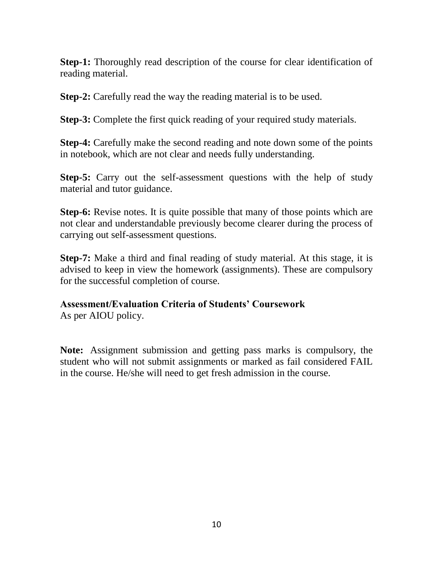**Step-1:** Thoroughly read description of the course for clear identification of reading material.

**Step-2:** Carefully read the way the reading material is to be used.

**Step-3:** Complete the first quick reading of your required study materials.

**Step-4:** Carefully make the second reading and note down some of the points in notebook, which are not clear and needs fully understanding.

**Step-5:** Carry out the self-assessment questions with the help of study material and tutor guidance.

**Step-6:** Revise notes. It is quite possible that many of those points which are not clear and understandable previously become clearer during the process of carrying out self-assessment questions.

**Step-7:** Make a third and final reading of study material. At this stage, it is advised to keep in view the homework (assignments). These are compulsory for the successful completion of course.

#### **Assessment/Evaluation Criteria of Students' Coursework**

As per AIOU policy.

**Note:** Assignment submission and getting pass marks is compulsory, the student who will not submit assignments or marked as fail considered FAIL in the course. He/she will need to get fresh admission in the course.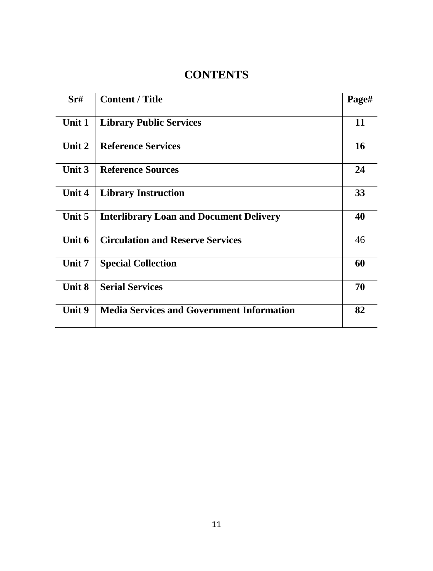# **CONTENTS**

| Sr#           | <b>Content / Title</b>                           | Page#     |
|---------------|--------------------------------------------------|-----------|
| Unit 1        | <b>Library Public Services</b>                   | 11        |
| Unit 2        | <b>Reference Services</b>                        | <b>16</b> |
| Unit $3$      | <b>Reference Sources</b>                         | 24        |
| Unit 4        | <b>Library Instruction</b>                       | 33        |
| Unit 5        | <b>Interlibrary Loan and Document Delivery</b>   | 40        |
| Unit 6        | <b>Circulation and Reserve Services</b>          | 46        |
| Unit 7        | <b>Special Collection</b>                        | 60        |
| <b>Unit 8</b> | <b>Serial Services</b>                           | 70        |
| Unit 9        | <b>Media Services and Government Information</b> | 82        |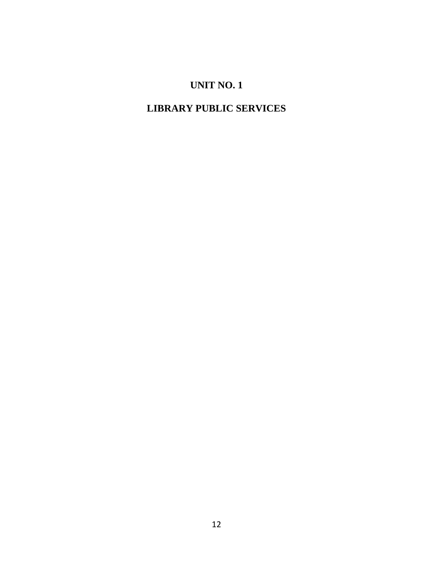# **UNIT NO. 1**

# **LIBRARY PUBLIC SERVICES**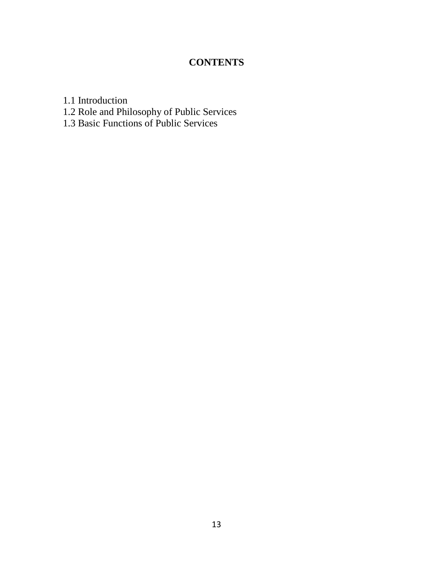# **CONTENTS**

1.1 Introduction

- 1.2 Role and Philosophy of Public Services
- 1.3 Basic Functions of Public Services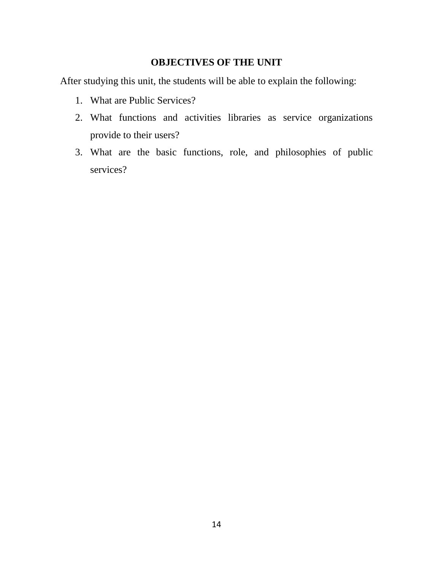## **OBJECTIVES OF THE UNIT**

After studying this unit, the students will be able to explain the following:

- 1. What are Public Services?
- 2. What functions and activities libraries as service organizations provide to their users?
- 3. What are the basic functions, role, and philosophies of public services?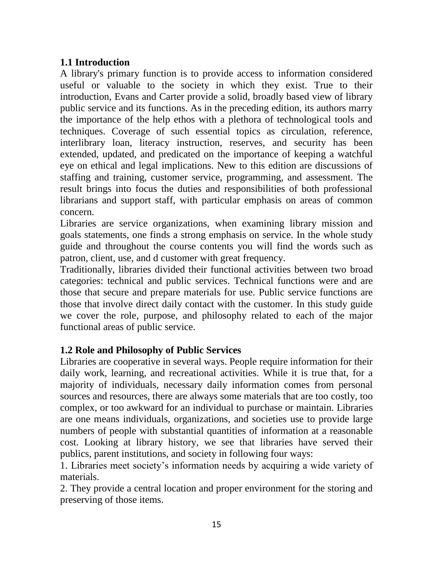## **1.1 Introduction**

A library's primary function is to provide access to information considered useful or valuable to the society in which they exist. True to their introduction, Evans and Carter provide a solid, broadly based view of library public service and its functions. As in the preceding edition, its authors marry the importance of the help ethos with a plethora of technological tools and techniques. Coverage of such essential topics as circulation, reference, interlibrary loan, literacy instruction, reserves, and security has been extended, updated, and predicated on the importance of keeping a watchful eye on ethical and legal implications. New to this edition are discussions of staffing and training, customer service, programming, and assessment. The result brings into focus the duties and responsibilities of both professional librarians and support staff, with particular emphasis on areas of common concern.

Libraries are service organizations, when examining library mission and goals statements, one finds a strong emphasis on service. In the whole study guide and throughout the course contents you will find the words such as patron, client, use, and d customer with great frequency.

Traditionally, libraries divided their functional activities between two broad categories: technical and public services. Technical functions were and are those that secure and prepare materials for use. Public service functions are those that involve direct daily contact with the customer. In this study guide we cover the role, purpose, and philosophy related to each of the major functional areas of public service.

## **1.2 Role and Philosophy of Public Services**

Libraries are cooperative in several ways. People require information for their daily work, learning, and recreational activities. While it is true that, for a majority of individuals, necessary daily information comes from personal sources and resources, there are always some materials that are too costly, too complex, or too awkward for an individual to purchase or maintain. Libraries are one means individuals, organizations, and societies use to provide large numbers of people with substantial quantities of information at a reasonable cost. Looking at library history, we see that libraries have served their publics, parent institutions, and society in following four ways:

1. Libraries meet society's information needs by acquiring a wide variety of materials.

2. They provide a central location and proper environment for the storing and preserving of those items.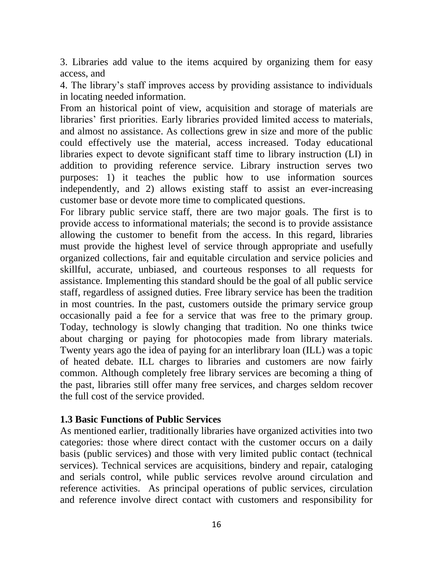3. Libraries add value to the items acquired by organizing them for easy access, and

4. The library's staff improves access by providing assistance to individuals in locating needed information.

From an historical point of view, acquisition and storage of materials are libraries' first priorities. Early libraries provided limited access to materials, and almost no assistance. As collections grew in size and more of the public could effectively use the material, access increased. Today educational libraries expect to devote significant staff time to library instruction (LI) in addition to providing reference service. Library instruction serves two purposes: 1) it teaches the public how to use information sources independently, and 2) allows existing staff to assist an ever-increasing customer base or devote more time to complicated questions.

For library public service staff, there are two major goals. The first is to provide access to informational materials; the second is to provide assistance allowing the customer to benefit from the access. In this regard, libraries must provide the highest level of service through appropriate and usefully organized collections, fair and equitable circulation and service policies and skillful, accurate, unbiased, and courteous responses to all requests for assistance. Implementing this standard should be the goal of all public service staff, regardless of assigned duties. Free library service has been the tradition in most countries. In the past, customers outside the primary service group occasionally paid a fee for a service that was free to the primary group. Today, technology is slowly changing that tradition. No one thinks twice about charging or paying for photocopies made from library materials. Twenty years ago the idea of paying for an interlibrary loan (ILL) was a topic of heated debate. ILL charges to libraries and customers are now fairly common. Although completely free library services are becoming a thing of the past, libraries still offer many free services, and charges seldom recover the full cost of the service provided.

#### **1.3 Basic Functions of Public Services**

As mentioned earlier, traditionally libraries have organized activities into two categories: those where direct contact with the customer occurs on a daily basis (public services) and those with very limited public contact (technical services). Technical services are acquisitions, bindery and repair, cataloging and serials control, while public services revolve around circulation and reference activities. As principal operations of public services, circulation and reference involve direct contact with customers and responsibility for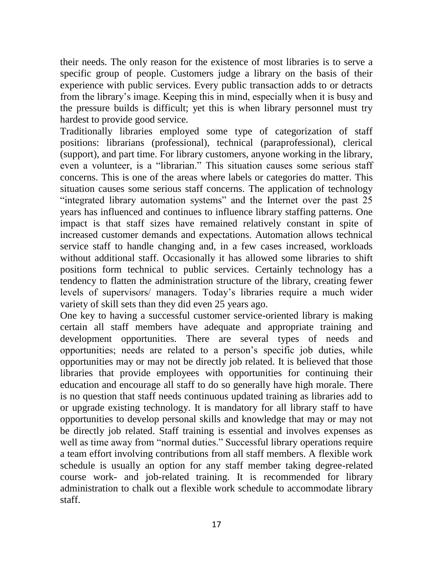their needs. The only reason for the existence of most libraries is to serve a specific group of people. Customers judge a library on the basis of their experience with public services. Every public transaction adds to or detracts from the library's image. Keeping this in mind, especially when it is busy and the pressure builds is difficult; yet this is when library personnel must try hardest to provide good service.

Traditionally libraries employed some type of categorization of staff positions: librarians (professional), technical (paraprofessional), clerical (support), and part time. For library customers, anyone working in the library, even a volunteer, is a "librarian." This situation causes some serious staff concerns. This is one of the areas where labels or categories do matter. This situation causes some serious staff concerns. The application of technology "integrated library automation systems" and the Internet over the past 25 years has influenced and continues to influence library staffing patterns. One impact is that staff sizes have remained relatively constant in spite of increased customer demands and expectations. Automation allows technical service staff to handle changing and, in a few cases increased, workloads without additional staff. Occasionally it has allowed some libraries to shift positions form technical to public services. Certainly technology has a tendency to flatten the administration structure of the library, creating fewer levels of supervisors/ managers. Today's libraries require a much wider variety of skill sets than they did even 25 years ago.

One key to having a successful customer service-oriented library is making certain all staff members have adequate and appropriate training and development opportunities. There are several types of needs and opportunities; needs are related to a person's specific job duties, while opportunities may or may not be directly job related. It is believed that those libraries that provide employees with opportunities for continuing their education and encourage all staff to do so generally have high morale. There is no question that staff needs continuous updated training as libraries add to or upgrade existing technology. It is mandatory for all library staff to have opportunities to develop personal skills and knowledge that may or may not be directly job related. Staff training is essential and involves expenses as well as time away from "normal duties." Successful library operations require a team effort involving contributions from all staff members. A flexible work schedule is usually an option for any staff member taking degree-related course work- and job-related training. It is recommended for library administration to chalk out a flexible work schedule to accommodate library staff.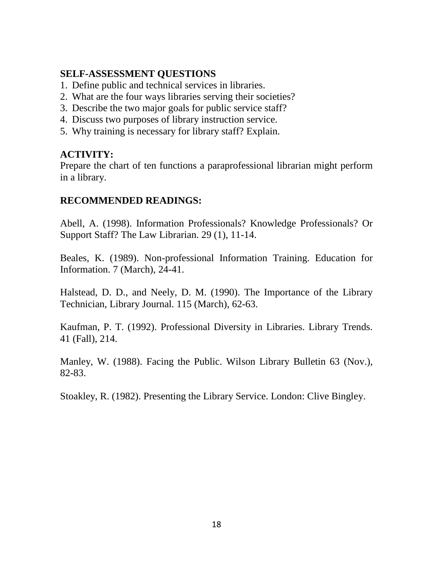## **SELF-ASSESSMENT QUESTIONS**

- 1. Define public and technical services in libraries.
- 2. What are the four ways libraries serving their societies?
- 3. Describe the two major goals for public service staff?
- 4. Discuss two purposes of library instruction service.
- 5. Why training is necessary for library staff? Explain.

## **ACTIVITY:**

Prepare the chart of ten functions a paraprofessional librarian might perform in a library.

## **RECOMMENDED READINGS:**

Abell, A. (1998). Information Professionals? Knowledge Professionals? Or Support Staff? The Law Librarian. 29 (1), 11-14.

Beales, K. (1989). Non-professional Information Training. Education for Information. 7 (March), 24-41.

Halstead, D. D., and Neely, D. M. (1990). The Importance of the Library Technician, Library Journal. 115 (March), 62-63.

Kaufman, P. T. (1992). Professional Diversity in Libraries. Library Trends. 41 (Fall), 214.

Manley, W. (1988). Facing the Public. Wilson Library Bulletin 63 (Nov.), 82-83.

Stoakley, R. (1982). Presenting the Library Service. London: Clive Bingley.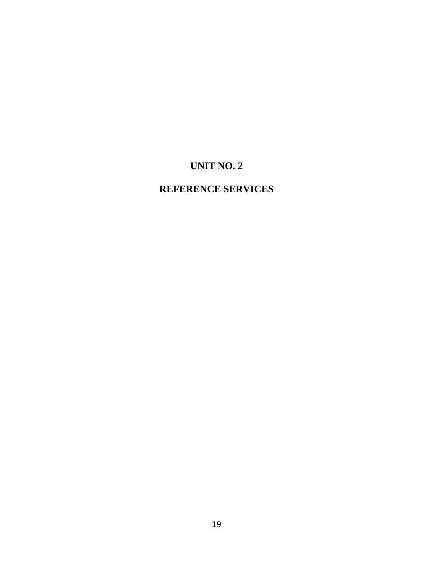# **UNIT NO. 2**

# **REFERENCE SERVICES**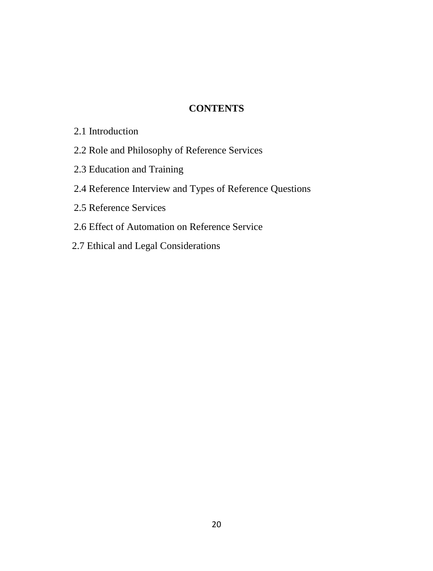## **CONTENTS**

- 2.1 Introduction
- 2.2 Role and Philosophy of Reference Services
- 2.3 Education and Training
- 2.4 Reference Interview and Types of Reference Questions
- 2.5 Reference Services
- 2.6 Effect of Automation on Reference Service
- 2.7 Ethical and Legal Considerations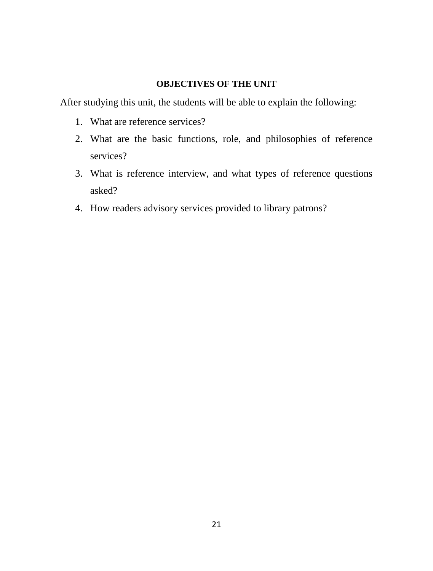#### **OBJECTIVES OF THE UNIT**

After studying this unit, the students will be able to explain the following:

- 1. What are reference services?
- 2. What are the basic functions, role, and philosophies of reference services?
- 3. What is reference interview, and what types of reference questions asked?
- 4. How readers advisory services provided to library patrons?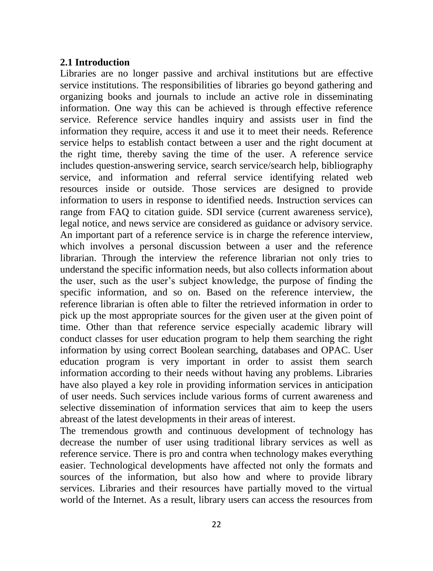#### **2.1 Introduction**

Libraries are no longer passive and archival institutions but are effective service institutions. The responsibilities of libraries go beyond gathering and organizing books and journals to include an active role in disseminating information. One way this can be achieved is through effective reference service. Reference service handles inquiry and assists user in find the information they require, access it and use it to meet their needs. Reference service helps to establish contact between a user and the right document at the right time, thereby saving the time of the user. A reference service includes question-answering service, search service/search help, bibliography service, and information and referral service identifying related web resources inside or outside. Those services are designed to provide information to users in response to identified needs. Instruction services can range from FAQ to citation guide. SDI service (current awareness service), legal notice, and news service are considered as guidance or advisory service. An important part of a reference service is in charge the reference interview, which involves a personal discussion between a user and the reference librarian. Through the interview the reference librarian not only tries to understand the specific information needs, but also collects information about the user, such as the user's subject knowledge, the purpose of finding the specific information, and so on. Based on the reference interview, the reference librarian is often able to filter the retrieved information in order to pick up the most appropriate sources for the given user at the given point of time. Other than that reference service especially academic library will conduct classes for user education program to help them searching the right information by using correct Boolean searching, databases and OPAC. User education program is very important in order to assist them search information according to their needs without having any problems. Libraries have also played a key role in providing information services in anticipation of user needs. Such services include various forms of current awareness and selective dissemination of information services that aim to keep the users abreast of the latest developments in their areas of interest.

The tremendous growth and continuous development of technology has decrease the number of user using traditional library services as well as reference service. There is pro and contra when technology makes everything easier. Technological developments have affected not only the formats and sources of the information, but also how and where to provide library services. Libraries and their resources have partially moved to the virtual world of the Internet. As a result, library users can access the resources from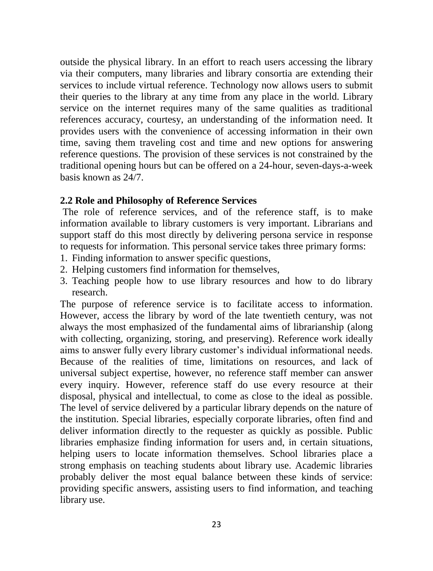outside the physical library. In an effort to reach users accessing the library via their computers, many libraries and library consortia are extending their services to include virtual reference. Technology now allows users to submit their queries to the library at any time from any place in the world. Library service on the internet requires many of the same qualities as traditional references accuracy, courtesy, an understanding of the information need. It provides users with the convenience of accessing information in their own time, saving them traveling cost and time and new options for answering reference questions. The provision of these services is not constrained by the traditional opening hours but can be offered on a 24-hour, seven-days-a-week basis known as 24/7.

#### **2.2 Role and Philosophy of Reference Services**

The role of reference services, and of the reference staff, is to make information available to library customers is very important. Librarians and support staff do this most directly by delivering persona service in response to requests for information. This personal service takes three primary forms:

- 1. Finding information to answer specific questions,
- 2. Helping customers find information for themselves,
- 3. Teaching people how to use library resources and how to do library research.

The purpose of reference service is to facilitate access to information. However, access the library by word of the late twentieth century, was not always the most emphasized of the fundamental aims of librarianship (along with collecting, organizing, storing, and preserving). Reference work ideally aims to answer fully every library customer's individual informational needs. Because of the realities of time, limitations on resources, and lack of universal subject expertise, however, no reference staff member can answer every inquiry. However, reference staff do use every resource at their disposal, physical and intellectual, to come as close to the ideal as possible. The level of service delivered by a particular library depends on the nature of the institution. Special libraries, especially corporate libraries, often find and deliver information directly to the requester as quickly as possible. Public libraries emphasize finding information for users and, in certain situations, helping users to locate information themselves. School libraries place a strong emphasis on teaching students about library use. Academic libraries probably deliver the most equal balance between these kinds of service: providing specific answers, assisting users to find information, and teaching library use.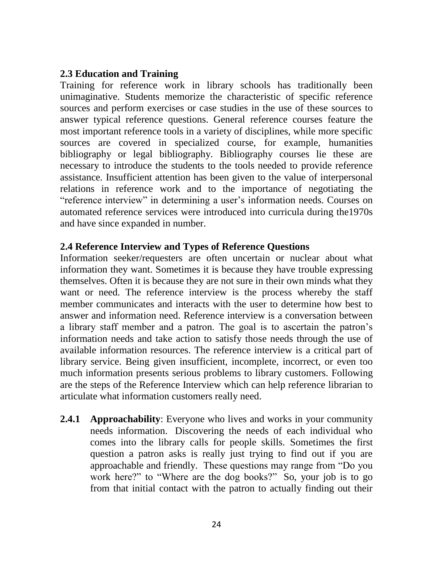#### **2.3 Education and Training**

Training for reference work in library schools has traditionally been unimaginative. Students memorize the characteristic of specific reference sources and perform exercises or case studies in the use of these sources to answer typical reference questions. General reference courses feature the most important reference tools in a variety of disciplines, while more specific sources are covered in specialized course, for example, humanities bibliography or legal bibliography. Bibliography courses lie these are necessary to introduce the students to the tools needed to provide reference assistance. Insufficient attention has been given to the value of interpersonal relations in reference work and to the importance of negotiating the "reference interview" in determining a user's information needs. Courses on automated reference services were introduced into curricula during the1970s and have since expanded in number.

#### **2.4 Reference Interview and Types of Reference Questions**

Information seeker/requesters are often uncertain or nuclear about what information they want. Sometimes it is because they have trouble expressing themselves. Often it is because they are not sure in their own minds what they want or need. The reference interview is the process whereby the staff member communicates and interacts with the user to determine how best to answer and information need. Reference interview is a conversation between a library staff member and a patron. The goal is to ascertain the patron's information needs and take action to satisfy those needs through the use of available information resources. The reference interview is a critical part of library service. Being given insufficient, incomplete, incorrect, or even too much information presents serious problems to library customers. Following are the steps of the Reference Interview which can help reference librarian to articulate what information customers really need.

**2.4.1 Approachability**: Everyone who lives and works in your community needs information. Discovering the needs of each individual who comes into the library calls for people skills. Sometimes the first question a patron asks is really just trying to find out if you are approachable and friendly. These questions may range from "Do you work here?" to "Where are the dog books?" So, your job is to go from that initial contact with the patron to actually finding out their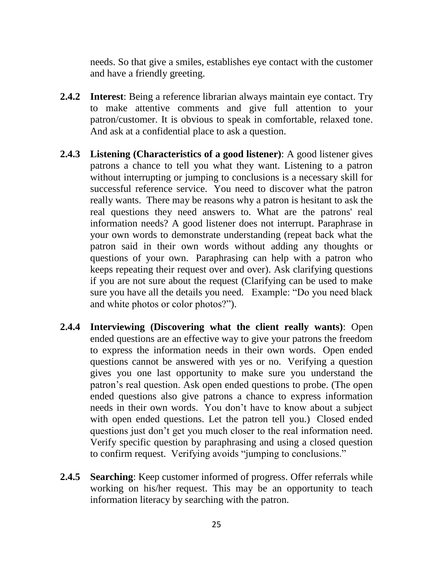needs. So that give a smiles, establishes eye contact with the customer and have a friendly greeting.

- **2.4.2 Interest**: Being a reference librarian always maintain eye contact. Try to make attentive comments and give full attention to your patron/customer. It is obvious to speak in comfortable, relaxed tone. And ask at a confidential place to ask a question.
- **2.4.3 Listening (Characteristics of a good listener)**: A good listener gives patrons a chance to tell you what they want. Listening to a patron without interrupting or jumping to conclusions is a necessary skill for successful reference service. You need to discover what the patron really wants. There may be reasons why a patron is hesitant to ask the real questions they need answers to. What are the patrons' real information needs? A good listener does not interrupt. Paraphrase in your own words to demonstrate understanding (repeat back what the patron said in their own words without adding any thoughts or questions of your own. Paraphrasing can help with a patron who keeps repeating their request over and over). Ask clarifying questions if you are not sure about the request (Clarifying can be used to make sure you have all the details you need. Example: "Do you need black and white photos or color photos?").
- **2.4.4 Interviewing (Discovering what the client really wants)**: Open ended questions are an effective way to give your patrons the freedom to express the information needs in their own words. Open ended questions cannot be answered with yes or no. Verifying a question gives you one last opportunity to make sure you understand the patron's real question. Ask open ended questions to probe. (The open ended questions also give patrons a chance to express information needs in their own words. You don't have to know about a subject with open ended questions. Let the patron tell you.) Closed ended questions just don't get you much closer to the real information need. Verify specific question by paraphrasing and using a closed question to confirm request. Verifying avoids "jumping to conclusions."
- **2.4.5 Searching**: Keep customer informed of progress. Offer referrals while working on his/her request. This may be an opportunity to teach information literacy by searching with the patron.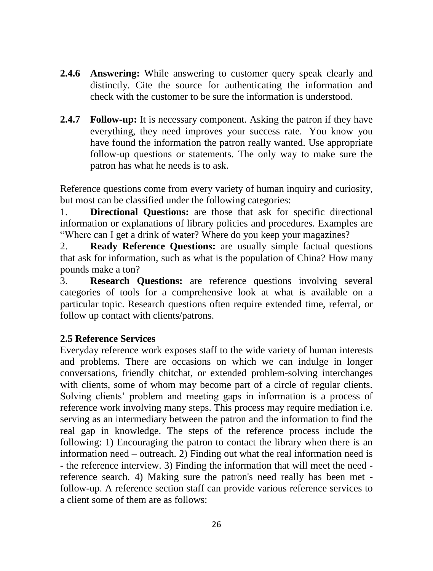- **2.4.6 Answering:** While answering to customer query speak clearly and distinctly. Cite the source for authenticating the information and check with the customer to be sure the information is understood.
- **2.4.7 Follow-up:** It is necessary component. Asking the patron if they have everything, they need improves your success rate. You know you have found the information the patron really wanted. Use appropriate follow-up questions or statements. The only way to make sure the patron has what he needs is to ask.

Reference questions come from every variety of human inquiry and curiosity, but most can be classified under the following categories:

1. **Directional Questions:** are those that ask for specific directional information or explanations of library policies and procedures. Examples are "Where can I get a drink of water? Where do you keep your magazines?

2. **Ready Reference Questions:** are usually simple factual questions that ask for information, such as what is the population of China? How many pounds make a ton?

3. **Research Questions:** are reference questions involving several categories of tools for a comprehensive look at what is available on a particular topic. Research questions often require extended time, referral, or follow up contact with clients/patrons.

## **2.5 Reference Services**

Everyday reference work exposes staff to the wide variety of human interests and problems. There are occasions on which we can indulge in longer conversations, friendly chitchat, or extended problem-solving interchanges with clients, some of whom may become part of a circle of regular clients. Solving clients' problem and meeting gaps in information is a process of reference work involving many steps. This process may require mediation i.e. serving as an intermediary between the patron and the information to find the real gap in knowledge. The steps of the reference process include the following: 1) Encouraging the patron to contact the library when there is an information need – outreach. 2) Finding out what the real information need is - the reference interview. 3) Finding the information that will meet the need reference search. 4) Making sure the patron's need really has been met follow-up. A reference section staff can provide various reference services to a client some of them are as follows: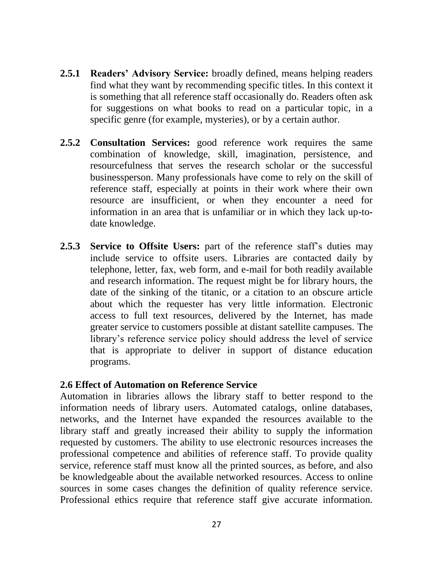- **2.5.1 Readers' Advisory Service:** broadly defined, means helping readers find what they want by recommending specific titles. In this context it is something that all reference staff occasionally do. Readers often ask for suggestions on what books to read on a particular topic, in a specific genre (for example, mysteries), or by a certain author.
- **2.5.2 Consultation Services:** good reference work requires the same combination of knowledge, skill, imagination, persistence, and resourcefulness that serves the research scholar or the successful businessperson. Many professionals have come to rely on the skill of reference staff, especially at points in their work where their own resource are insufficient, or when they encounter a need for information in an area that is unfamiliar or in which they lack up-todate knowledge.
- **2.5.3 Service to Offsite Users:** part of the reference staff's duties may include service to offsite users. Libraries are contacted daily by telephone, letter, fax, web form, and e-mail for both readily available and research information. The request might be for library hours, the date of the sinking of the titanic, or a citation to an obscure article about which the requester has very little information. Electronic access to full text resources, delivered by the Internet, has made greater service to customers possible at distant satellite campuses. The library's reference service policy should address the level of service that is appropriate to deliver in support of distance education programs.

#### **2.6 Effect of Automation on Reference Service**

Automation in libraries allows the library staff to better respond to the information needs of library users. Automated catalogs, online databases, networks, and the Internet have expanded the resources available to the library staff and greatly increased their ability to supply the information requested by customers. The ability to use electronic resources increases the professional competence and abilities of reference staff. To provide quality service, reference staff must know all the printed sources, as before, and also be knowledgeable about the available networked resources. Access to online sources in some cases changes the definition of quality reference service. Professional ethics require that reference staff give accurate information.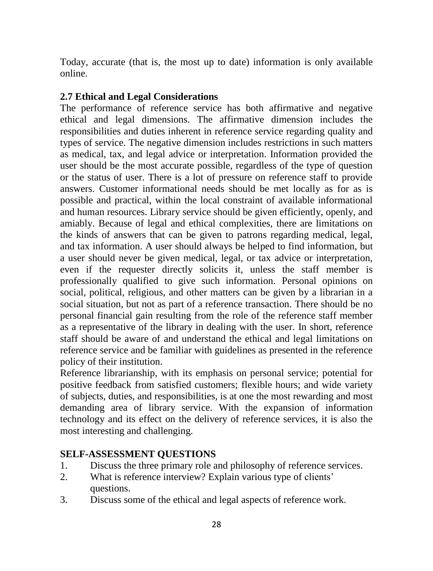Today, accurate (that is, the most up to date) information is only available online.

#### **2.7 Ethical and Legal Considerations**

The performance of reference service has both affirmative and negative ethical and legal dimensions. The affirmative dimension includes the responsibilities and duties inherent in reference service regarding quality and types of service. The negative dimension includes restrictions in such matters as medical, tax, and legal advice or interpretation. Information provided the user should be the most accurate possible, regardless of the type of question or the status of user. There is a lot of pressure on reference staff to provide answers. Customer informational needs should be met locally as for as is possible and practical, within the local constraint of available informational and human resources. Library service should be given efficiently, openly, and amiably. Because of legal and ethical complexities, there are limitations on the kinds of answers that can be given to patrons regarding medical, legal, and tax information. A user should always be helped to find information, but a user should never be given medical, legal, or tax advice or interpretation, even if the requester directly solicits it, unless the staff member is professionally qualified to give such information. Personal opinions on social, political, religious, and other matters can be given by a librarian in a social situation, but not as part of a reference transaction. There should be no personal financial gain resulting from the role of the reference staff member as a representative of the library in dealing with the user. In short, reference staff should be aware of and understand the ethical and legal limitations on reference service and be familiar with guidelines as presented in the reference policy of their institution.

Reference librarianship, with its emphasis on personal service; potential for positive feedback from satisfied customers; flexible hours; and wide variety of subjects, duties, and responsibilities, is at one the most rewarding and most demanding area of library service. With the expansion of information technology and its effect on the delivery of reference services, it is also the most interesting and challenging.

#### **SELF-ASSESSMENT QUESTIONS**

- 1. Discuss the three primary role and philosophy of reference services.
- 2. What is reference interview? Explain various type of clients' questions.
- 3. Discuss some of the ethical and legal aspects of reference work.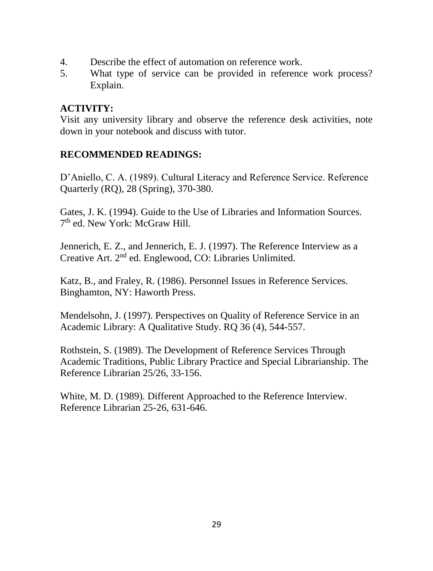- 4. Describe the effect of automation on reference work.
- 5. What type of service can be provided in reference work process? Explain.

## **ACTIVITY:**

Visit any university library and observe the reference desk activities, note down in your notebook and discuss with tutor.

## **RECOMMENDED READINGS:**

D'Aniello, C. A. (1989). Cultural Literacy and Reference Service. Reference Quarterly (RQ), 28 (Spring), 370-380.

Gates, J. K. (1994). Guide to the Use of Libraries and Information Sources. 7<sup>th</sup> ed. New York: McGraw Hill.

Jennerich, E. Z., and Jennerich, E. J. (1997). The Reference Interview as a Creative Art. 2nd ed. Englewood, CO: Libraries Unlimited.

Katz, B., and Fraley, R. (1986). Personnel Issues in Reference Services. Binghamton, NY: Haworth Press.

Mendelsohn, J. (1997). Perspectives on Quality of Reference Service in an Academic Library: A Qualitative Study. RQ 36 (4), 544-557.

Rothstein, S. (1989). The Development of Reference Services Through Academic Traditions, Public Library Practice and Special Librarianship. The Reference Librarian 25/26, 33-156.

White, M. D. (1989). Different Approached to the Reference Interview. Reference Librarian 25-26, 631-646.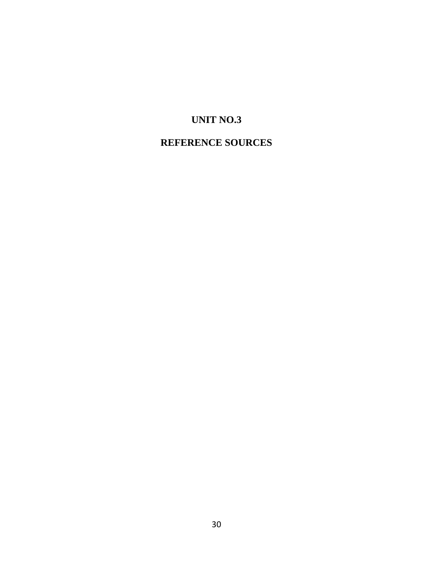# **UNIT NO.3**

# **REFERENCE SOURCES**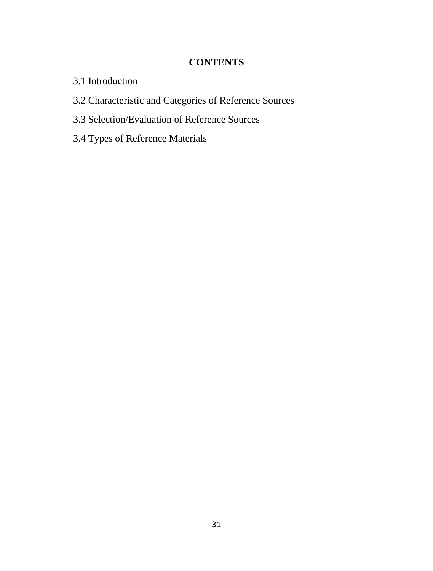### **CONTENTS**

- 3.1 Introduction
- 3.2 Characteristic and Categories of Reference Sources
- 3.3 Selection/Evaluation of Reference Sources
- 3.4 Types of Reference Materials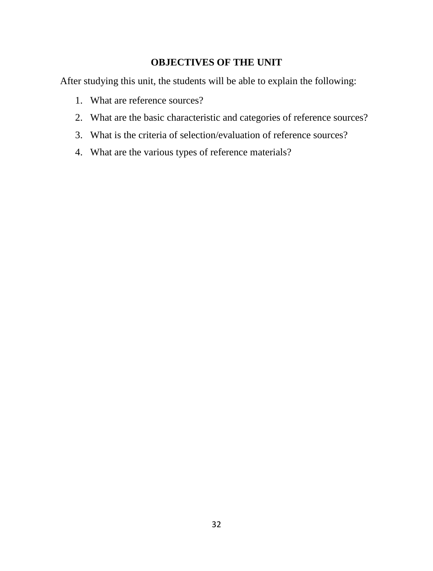## **OBJECTIVES OF THE UNIT**

After studying this unit, the students will be able to explain the following:

- 1. What are reference sources?
- 2. What are the basic characteristic and categories of reference sources?
- 3. What is the criteria of selection/evaluation of reference sources?
- 4. What are the various types of reference materials?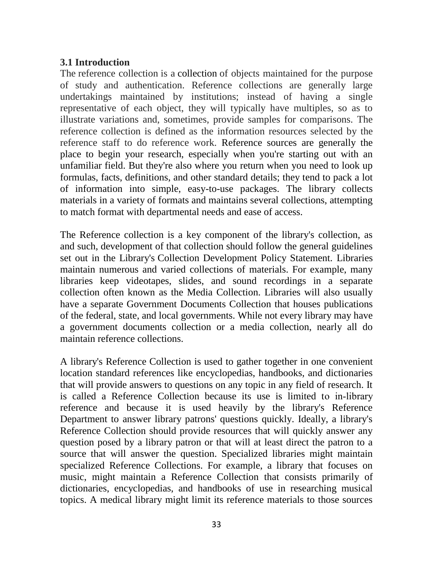#### **3.1 Introduction**

The reference collection is a collection of objects maintained for the purpose of study and authentication. Reference collections are generally large undertakings maintained by institutions; instead of having a single representative of each object, they will typically have multiples, so as to illustrate variations and, sometimes, provide samples for comparisons. The reference collection is defined as the information resources selected by the reference staff to do reference work. Reference sources are generally the place to begin your research, especially when you're starting out with an unfamiliar field. But they're also where you return when you need to look up formulas, facts, definitions, and other standard details; they tend to pack a lot of information into simple, easy-to-use packages. The library collects materials in a variety of formats and maintains several collections, attempting to match format with departmental needs and ease of access.

The Reference collection is a key component of the library's collection, as and such, development of that collection should follow the general guidelines set out in the Library's Collection Development Policy Statement. Libraries maintain numerous and varied collections of materials. For example, many libraries keep videotapes, slides, and sound recordings in a separate collection often known as the Media Collection. Libraries will also usually have a separate Government Documents Collection that houses publications of the federal, state, and local governments. While not every library may have a government documents collection or a media collection, nearly all do maintain reference collections.

A library's Reference Collection is used to gather together in one convenient location standard references like encyclopedias, handbooks, and dictionaries that will provide answers to questions on any topic in any field of research. It is called a Reference Collection because its use is limited to in‐library reference and because it is used heavily by the library's Reference Department to answer library patrons' questions quickly. Ideally, a library's Reference Collection should provide resources that will quickly answer any question posed by a library patron or that will at least direct the patron to a source that will answer the question. Specialized libraries might maintain specialized Reference Collections. For example, a library that focuses on music, might maintain a Reference Collection that consists primarily of dictionaries, encyclopedias, and handbooks of use in researching musical topics. A medical library might limit its reference materials to those sources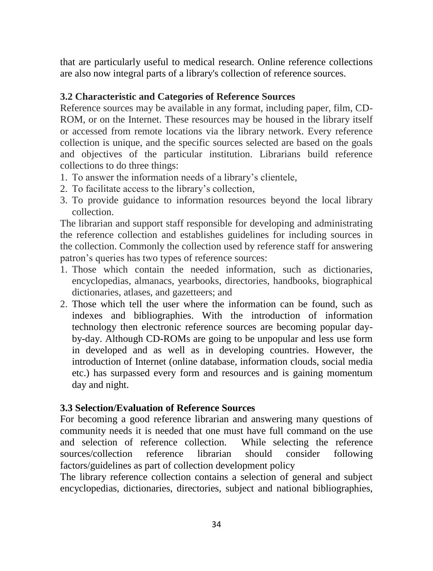that are particularly useful to medical research. Online reference collections are also now integral parts of a library's collection of reference sources.

#### **3.2 Characteristic and Categories of Reference Sources**

Reference sources may be available in any format, including paper, film, CD-ROM, or on the Internet. These resources may be housed in the library itself or accessed from remote locations via the library network. Every reference collection is unique, and the specific sources selected are based on the goals and objectives of the particular institution. Librarians build reference collections to do three things:

- 1. To answer the information needs of a library's clientele,
- 2. To facilitate access to the library's collection,
- 3. To provide guidance to information resources beyond the local library collection.

The librarian and support staff responsible for developing and administrating the reference collection and establishes guidelines for including sources in the collection. Commonly the collection used by reference staff for answering patron's queries has two types of reference sources:

- 1. Those which contain the needed information, such as dictionaries, encyclopedias, almanacs, yearbooks, directories, handbooks, biographical dictionaries, atlases, and gazetteers; and
- 2. Those which tell the user where the information can be found, such as indexes and bibliographies. With the introduction of information technology then electronic reference sources are becoming popular dayby-day. Although CD-ROMs are going to be unpopular and less use form in developed and as well as in developing countries. However, the introduction of Internet (online database, information clouds, social media etc.) has surpassed every form and resources and is gaining momentum day and night.

#### **3.3 Selection/Evaluation of Reference Sources**

For becoming a good reference librarian and answering many questions of community needs it is needed that one must have full command on the use and selection of reference collection. While selecting the reference sources/collection reference librarian should consider following factors/guidelines as part of collection development policy

The library reference collection contains a selection of general and subject encyclopedias, dictionaries, directories, subject and national bibliographies,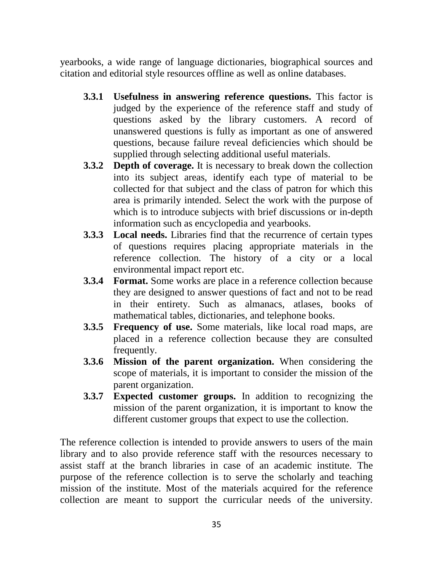yearbooks, a wide range of language dictionaries, biographical sources and citation and editorial style resources offline as well as online databases.

- **3.3.1 Usefulness in answering reference questions.** This factor is judged by the experience of the reference staff and study of questions asked by the library customers. A record of unanswered questions is fully as important as one of answered questions, because failure reveal deficiencies which should be supplied through selecting additional useful materials.
- **3.3.2 Depth of coverage.** It is necessary to break down the collection into its subject areas, identify each type of material to be collected for that subject and the class of patron for which this area is primarily intended. Select the work with the purpose of which is to introduce subjects with brief discussions or in-depth information such as encyclopedia and yearbooks.
- **3.3.3 Local needs.** Libraries find that the recurrence of certain types of questions requires placing appropriate materials in the reference collection. The history of a city or a local environmental impact report etc.
- **3.3.4 Format.** Some works are place in a reference collection because they are designed to answer questions of fact and not to be read in their entirety. Such as almanacs, atlases, books of mathematical tables, dictionaries, and telephone books.
- **3.3.5 Frequency of use.** Some materials, like local road maps, are placed in a reference collection because they are consulted frequently.
- **3.3.6 Mission of the parent organization.** When considering the scope of materials, it is important to consider the mission of the parent organization.
- **3.3.7 Expected customer groups.** In addition to recognizing the mission of the parent organization, it is important to know the different customer groups that expect to use the collection.

The reference collection is intended to provide answers to users of the main library and to also provide reference staff with the resources necessary to assist staff at the branch libraries in case of an academic institute. The purpose of the reference collection is to serve the scholarly and teaching mission of the institute. Most of the materials acquired for the reference collection are meant to support the curricular needs of the university.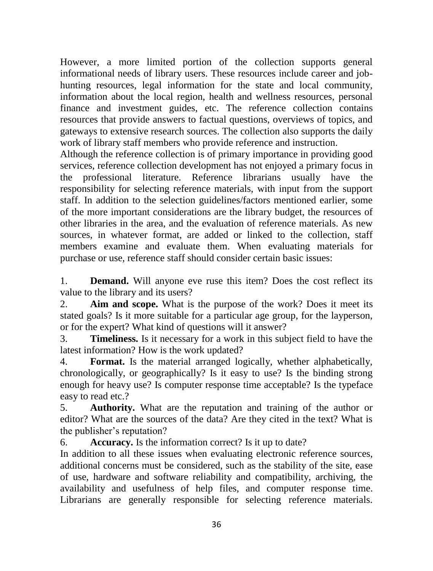However, a more limited portion of the collection supports general informational needs of library users. These resources include career and jobhunting resources, legal information for the state and local community, information about the local region, health and wellness resources, personal finance and investment guides, etc. The reference collection contains resources that provide answers to factual questions, overviews of topics, and gateways to extensive research sources. The collection also supports the daily work of library staff members who provide reference and instruction.

Although the reference collection is of primary importance in providing good services, reference collection development has not enjoyed a primary focus in the professional literature. Reference librarians usually have the responsibility for selecting reference materials, with input from the support staff. In addition to the selection guidelines/factors mentioned earlier, some of the more important considerations are the library budget, the resources of other libraries in the area, and the evaluation of reference materials. As new sources, in whatever format, are added or linked to the collection, staff members examine and evaluate them. When evaluating materials for purchase or use, reference staff should consider certain basic issues:

1. **Demand.** Will anyone eve ruse this item? Does the cost reflect its value to the library and its users?

2. **Aim and scope.** What is the purpose of the work? Does it meet its stated goals? Is it more suitable for a particular age group, for the layperson, or for the expert? What kind of questions will it answer?

3. **Timeliness.** Is it necessary for a work in this subject field to have the latest information? How is the work updated?

4. **Format.** Is the material arranged logically, whether alphabetically, chronologically, or geographically? Is it easy to use? Is the binding strong enough for heavy use? Is computer response time acceptable? Is the typeface easy to read etc.?

5. **Authority.** What are the reputation and training of the author or editor? What are the sources of the data? Are they cited in the text? What is the publisher's reputation?

6. **Accuracy.** Is the information correct? Is it up to date?

In addition to all these issues when evaluating electronic reference sources, additional concerns must be considered, such as the stability of the site, ease of use, hardware and software reliability and compatibility, archiving, the availability and usefulness of help files, and computer response time. Librarians are generally responsible for selecting reference materials.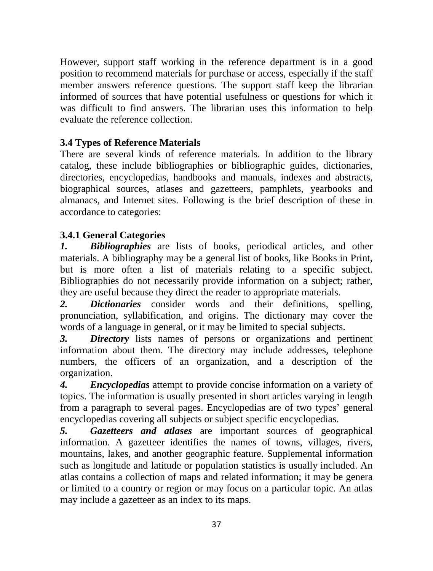However, support staff working in the reference department is in a good position to recommend materials for purchase or access, especially if the staff member answers reference questions. The support staff keep the librarian informed of sources that have potential usefulness or questions for which it was difficult to find answers. The librarian uses this information to help evaluate the reference collection.

# **3.4 Types of Reference Materials**

There are several kinds of reference materials. In addition to the library catalog, these include bibliographies or bibliographic guides, dictionaries, directories, encyclopedias, handbooks and manuals, indexes and abstracts, biographical sources, atlases and gazetteers, pamphlets, yearbooks and almanacs, and Internet sites. Following is the brief description of these in accordance to categories:

# **3.4.1 General Categories**

*1. Bibliographies* are lists of books, periodical articles, and other materials. A bibliography may be a general list of books, like Books in Print, but is more often a list of materials relating to a specific subject. Bibliographies do not necessarily provide information on a subject; rather, they are useful because they direct the reader to appropriate materials.

*2. Dictionaries* consider words and their definitions, spelling, pronunciation, syllabification, and origins. The dictionary may cover the words of a language in general, or it may be limited to special subjects.

*3. Directory* lists names of persons or organizations and pertinent information about them. The directory may include addresses, telephone numbers, the officers of an organization, and a description of the organization.

*4. Encyclopedias* attempt to provide concise information on a variety of topics. The information is usually presented in short articles varying in length from a paragraph to several pages. Encyclopedias are of two types' general encyclopedias covering all subjects or subject specific encyclopedias.

*5. Gazetteers and atlases* are important sources of geographical information. A gazetteer identifies the names of towns, villages, rivers, mountains, lakes, and another geographic feature. Supplemental information such as longitude and latitude or population statistics is usually included. An atlas contains a collection of maps and related information; it may be genera or limited to a country or region or may focus on a particular topic. An atlas may include a gazetteer as an index to its maps.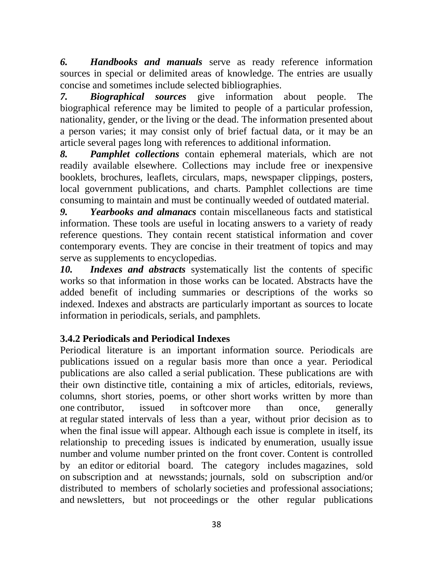*6. Handbooks and manuals* serve as ready reference information sources in special or delimited areas of knowledge. The entries are usually concise and sometimes include selected bibliographies.

*7. Biographical sources* give information about people. The biographical reference may be limited to people of a particular profession, nationality, gender, or the living or the dead. The information presented about a person varies; it may consist only of brief factual data, or it may be an article several pages long with references to additional information.

*8. Pamphlet collections* contain ephemeral materials, which are not readily available elsewhere. Collections may include free or inexpensive booklets, brochures, leaflets, circulars, maps, newspaper clippings, posters, local government publications, and charts. Pamphlet collections are time consuming to maintain and must be continually weeded of outdated material.

*9. Yearbooks and almanacs* contain miscellaneous facts and statistical information. These tools are useful in locating answers to a variety of ready reference questions. They contain recent statistical information and cover contemporary events. They are concise in their treatment of topics and may serve as supplements to encyclopedias.

*10. Indexes and abstracts* systematically list the contents of specific works so that information in those works can be located. Abstracts have the added benefit of including summaries or descriptions of the works so indexed. Indexes and abstracts are particularly important as sources to locate information in periodicals, serials, and pamphlets.

# **3.4.2 Periodicals and Periodical Indexes**

Periodical literature is an important information source. Periodicals are publications issued on a regular basis more than once a year. Periodical publications are also called a serial publication. These publications are with their own distinctive title, containing a mix of articles, editorials, reviews, columns, short stories, poems, or other short works written by more than one contributor, issued in softcover more than once, generally at regular stated intervals of less than a year, without prior decision as to when the final issue will appear. Although each issue is complete in itself, its relationship to preceding issues is indicated by enumeration, usually issue number and volume number printed on the front cover. Content is controlled by an editor or editorial board. The category includes magazines, sold on subscription and at newsstands; journals, sold on subscription and/or distributed to members of scholarly societies and professional associations; and newsletters, but not proceedings or the other regular publications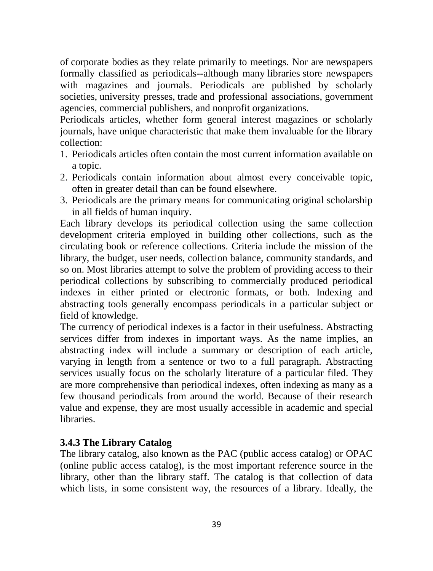of corporate bodies as they relate primarily to meetings. Nor are newspapers formally classified as periodicals--although many libraries store newspapers with magazines and journals. Periodicals are published by scholarly societies, university presses, trade and professional associations, government agencies, commercial publishers, and nonprofit organizations.

Periodicals articles, whether form general interest magazines or scholarly journals, have unique characteristic that make them invaluable for the library collection:

- 1. Periodicals articles often contain the most current information available on a topic.
- 2. Periodicals contain information about almost every conceivable topic, often in greater detail than can be found elsewhere.
- 3. Periodicals are the primary means for communicating original scholarship in all fields of human inquiry.

Each library develops its periodical collection using the same collection development criteria employed in building other collections, such as the circulating book or reference collections. Criteria include the mission of the library, the budget, user needs, collection balance, community standards, and so on. Most libraries attempt to solve the problem of providing access to their periodical collections by subscribing to commercially produced periodical indexes in either printed or electronic formats, or both. Indexing and abstracting tools generally encompass periodicals in a particular subject or field of knowledge.

The currency of periodical indexes is a factor in their usefulness. Abstracting services differ from indexes in important ways. As the name implies, an abstracting index will include a summary or description of each article, varying in length from a sentence or two to a full paragraph. Abstracting services usually focus on the scholarly literature of a particular filed. They are more comprehensive than periodical indexes, often indexing as many as a few thousand periodicals from around the world. Because of their research value and expense, they are most usually accessible in academic and special libraries.

## **3.4.3 The Library Catalog**

The library catalog, also known as the PAC (public access catalog) or OPAC (online public access catalog), is the most important reference source in the library, other than the library staff. The catalog is that collection of data which lists, in some consistent way, the resources of a library. Ideally, the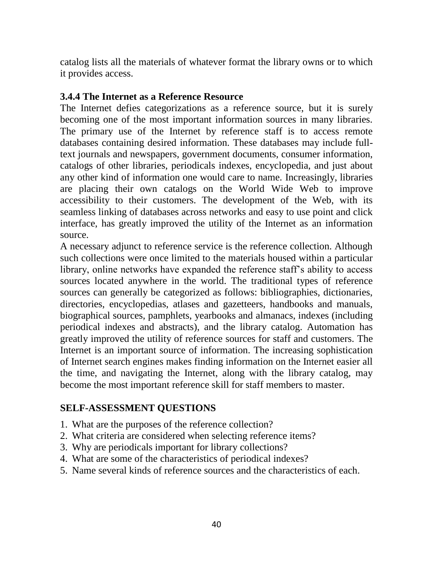catalog lists all the materials of whatever format the library owns or to which it provides access.

#### **3.4.4 The Internet as a Reference Resource**

The Internet defies categorizations as a reference source, but it is surely becoming one of the most important information sources in many libraries. The primary use of the Internet by reference staff is to access remote databases containing desired information. These databases may include fulltext journals and newspapers, government documents, consumer information, catalogs of other libraries, periodicals indexes, encyclopedia, and just about any other kind of information one would care to name. Increasingly, libraries are placing their own catalogs on the World Wide Web to improve accessibility to their customers. The development of the Web, with its seamless linking of databases across networks and easy to use point and click interface, has greatly improved the utility of the Internet as an information source.

A necessary adjunct to reference service is the reference collection. Although such collections were once limited to the materials housed within a particular library, online networks have expanded the reference staff's ability to access sources located anywhere in the world. The traditional types of reference sources can generally be categorized as follows: bibliographies, dictionaries, directories, encyclopedias, atlases and gazetteers, handbooks and manuals, biographical sources, pamphlets, yearbooks and almanacs, indexes (including periodical indexes and abstracts), and the library catalog. Automation has greatly improved the utility of reference sources for staff and customers. The Internet is an important source of information. The increasing sophistication of Internet search engines makes finding information on the Internet easier all the time, and navigating the Internet, along with the library catalog, may become the most important reference skill for staff members to master.

## **SELF-ASSESSMENT QUESTIONS**

- 1. What are the purposes of the reference collection?
- 2. What criteria are considered when selecting reference items?
- 3. Why are periodicals important for library collections?
- 4. What are some of the characteristics of periodical indexes?
- 5. Name several kinds of reference sources and the characteristics of each.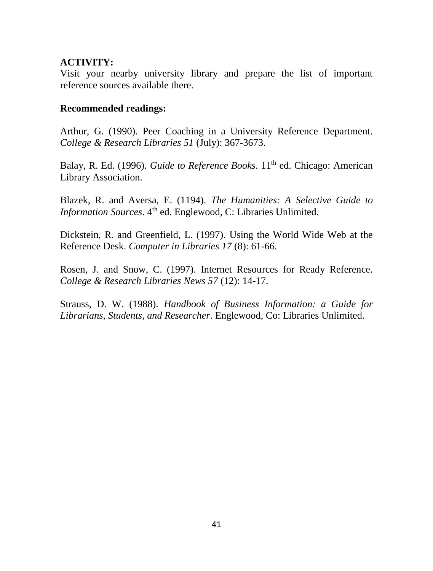#### **ACTIVITY:**

Visit your nearby university library and prepare the list of important reference sources available there.

#### **Recommended readings:**

Arthur, G. (1990). Peer Coaching in a University Reference Department. *College & Research Libraries 51* (July): 367-3673.

Balay, R. Ed. (1996). *Guide to Reference Books*. 11<sup>th</sup> ed. Chicago: American Library Association.

Blazek, R. and Aversa, E. (1194). *The Humanities: A Selective Guide to Information Sources*. 4<sup>th</sup> ed. Englewood, C: Libraries Unlimited.

Dickstein, R. and Greenfield, L. (1997). Using the World Wide Web at the Reference Desk. *Computer in Libraries 17* (8): 61-66.

Rosen, J. and Snow, C. (1997). Internet Resources for Ready Reference. *College & Research Libraries News 57* (12): 14-17.

Strauss, D. W. (1988). *Handbook of Business Information: a Guide for Librarians, Students, and Researcher*. Englewood, Co: Libraries Unlimited.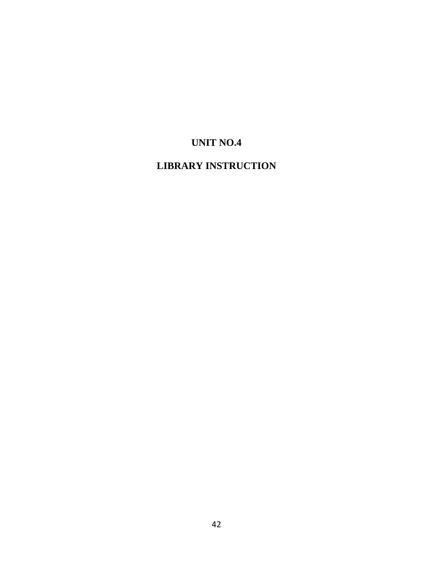# **UNIT NO.4**

# **LIBRARY INSTRUCTION**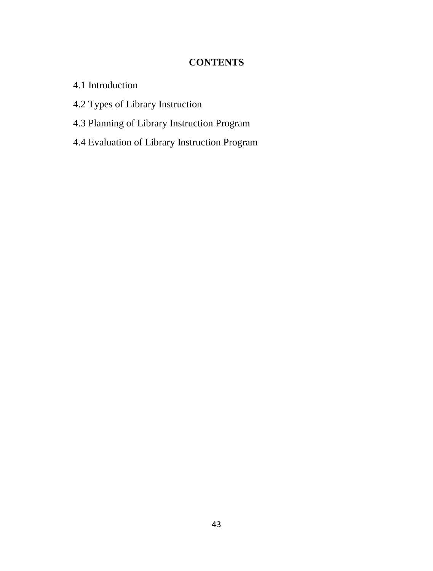## **CONTENTS**

- 4.1 Introduction
- 4.2 Types of Library Instruction
- 4.3 Planning of Library Instruction Program
- 4.4 Evaluation of Library Instruction Program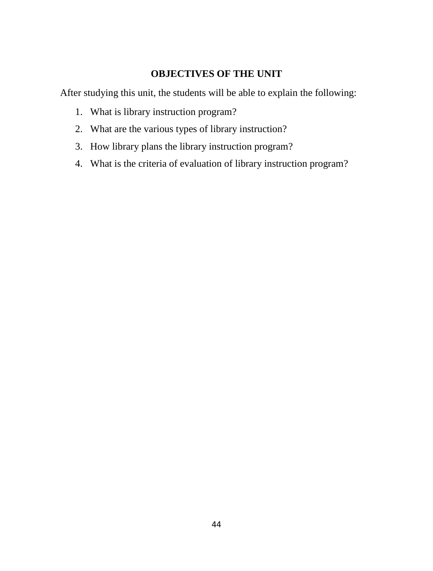## **OBJECTIVES OF THE UNIT**

After studying this unit, the students will be able to explain the following:

- 1. What is library instruction program?
- 2. What are the various types of library instruction?
- 3. How library plans the library instruction program?
- 4. What is the criteria of evaluation of library instruction program?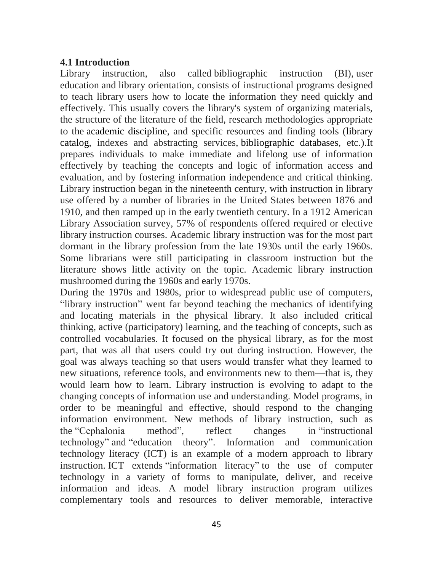## **4.1 Introduction**

Library instruction, also called bibliographic instruction (BI), user education and library orientation, consists of instructional programs designed to teach library users how to locate the information they need quickly and effectively. This usually covers the library's system of organizing materials, the structure of the literature of the field, research methodologies appropriate to the academic discipline, and specific resources and finding tools (library catalog, indexes and abstracting services, bibliographic databases, etc.).It prepares individuals to make immediate and lifelong use of information effectively by teaching the concepts and logic of information access and evaluation, and by fostering information independence and critical thinking. Library instruction began in the nineteenth century, with instruction in library use offered by a number of libraries in the United States between 1876 and 1910, and then ramped up in the early twentieth century. In a 1912 American Library Association survey, 57% of respondents offered required or elective library instruction courses. Academic library instruction was for the most part dormant in the library profession from the late 1930s until the early 1960s. Some librarians were still participating in classroom instruction but the literature shows little activity on the topic. Academic library instruction mushroomed during the 1960s and early 1970s.

During the 1970s and 1980s, prior to widespread public use of computers, "library instruction" went far beyond teaching the mechanics of identifying and locating materials in the physical library. It also included critical thinking, active (participatory) learning, and the teaching of concepts, such as controlled vocabularies. It focused on the physical library, as for the most part, that was all that users could try out during instruction. However, the goal was always teaching so that users would transfer what they learned to new situations, reference tools, and environments new to them—that is, they would learn how to learn. Library instruction is evolving to adapt to the changing concepts of information use and understanding. Model programs, in order to be meaningful and effective, should respond to the changing information environment. New methods of library instruction, such as the "Cephalonia method", reflect changes in "instructional technology" and "education theory". Information and communication technology literacy (ICT) is an example of a modern approach to library instruction. ICT extends "information literacy" to the use of computer technology in a variety of forms to manipulate, deliver, and receive information and ideas. A model library instruction program utilizes complementary tools and resources to deliver memorable, interactive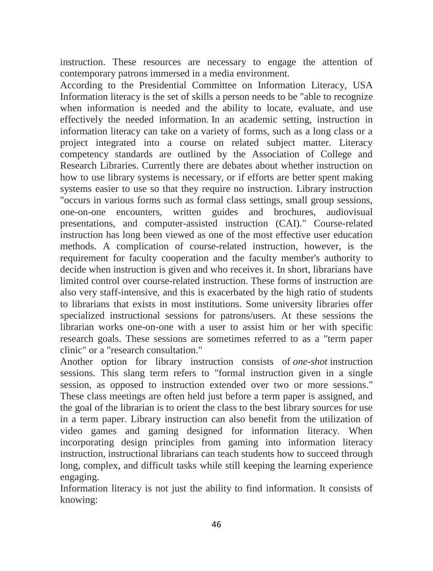instruction. These resources are necessary to engage the attention of contemporary patrons immersed in a media environment.

According to the Presidential Committee on Information Literacy, USA Information literacy is the set of skills a person needs to be "able to recognize when information is needed and the ability to locate, evaluate, and use effectively the needed information. In an academic setting, instruction in information literacy can take on a variety of forms, such as a long class or a project integrated into a course on related subject matter. Literacy competency standards are outlined by the Association of College and Research Libraries. Currently there are debates about whether instruction on how to use library systems is necessary, or if efforts are better spent making systems easier to use so that they require no instruction. Library instruction "occurs in various forms such as formal class settings, small group sessions, one-on-one encounters, written guides and brochures, audiovisual presentations, and computer-assisted instruction (CAI)." Course-related instruction has long been viewed as one of the most effective user education methods. A complication of course-related instruction, however, is the requirement for faculty cooperation and the faculty member's authority to decide when instruction is given and who receives it. In short, librarians have limited control over course-related instruction. These forms of instruction are also very staff-intensive, and this is exacerbated by the high ratio of students to librarians that exists in most institutions. Some university libraries offer specialized instructional sessions for patrons/users. At these sessions the librarian works one-on-one with a user to assist him or her with specific research goals. These sessions are sometimes referred to as a "term paper clinic" or a "research consultation."

Another option for library instruction consists of *one-shot* instruction sessions. This slang term refers to "formal instruction given in a single session, as opposed to instruction extended over two or more sessions." These class meetings are often held just before a term paper is assigned, and the goal of the librarian is to orient the class to the best library sources for use in a term paper. Library instruction can also benefit from the utilization of video games and gaming designed for information literacy. When incorporating design principles from gaming into information literacy instruction, instructional librarians can teach students how to succeed through long, complex, and difficult tasks while still keeping the learning experience engaging.

Information literacy is not just the ability to find information. It consists of knowing: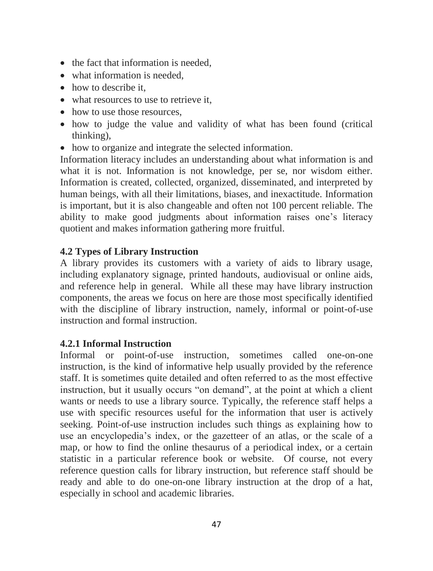- the fact that information is needed,
- what information is needed.
- how to describe it.
- what resources to use to retrieve it.
- how to use those resources.
- how to judge the value and validity of what has been found (critical thinking),
- how to organize and integrate the selected information.

Information literacy includes an understanding about what information is and what it is not. Information is not knowledge, per se, nor wisdom either. Information is created, collected, organized, disseminated, and interpreted by human beings, with all their limitations, biases, and inexactitude. Information is important, but it is also changeable and often not 100 percent reliable. The ability to make good judgments about information raises one's literacy quotient and makes information gathering more fruitful.

## **4.2 Types of Library Instruction**

A library provides its customers with a variety of aids to library usage, including explanatory signage, printed handouts, audiovisual or online aids, and reference help in general. While all these may have library instruction components, the areas we focus on here are those most specifically identified with the discipline of library instruction, namely, informal or point-of-use instruction and formal instruction.

## **4.2.1 Informal Instruction**

Informal or point-of-use instruction, sometimes called one-on-one instruction, is the kind of informative help usually provided by the reference staff. It is sometimes quite detailed and often referred to as the most effective instruction, but it usually occurs "on demand", at the point at which a client wants or needs to use a library source. Typically, the reference staff helps a use with specific resources useful for the information that user is actively seeking. Point-of-use instruction includes such things as explaining how to use an encyclopedia's index, or the gazetteer of an atlas, or the scale of a map, or how to find the online thesaurus of a periodical index, or a certain statistic in a particular reference book or website. Of course, not every reference question calls for library instruction, but reference staff should be ready and able to do one-on-one library instruction at the drop of a hat, especially in school and academic libraries.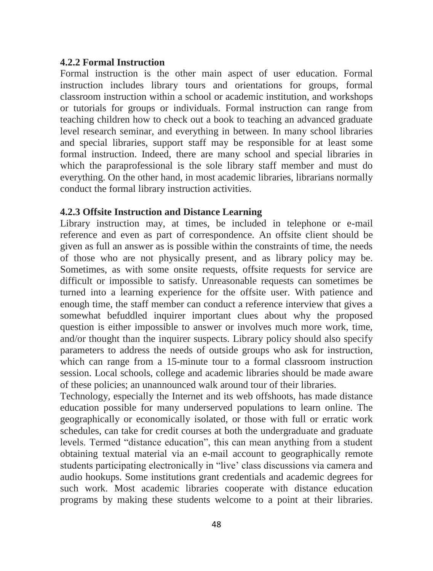#### **4.2.2 Formal Instruction**

Formal instruction is the other main aspect of user education. Formal instruction includes library tours and orientations for groups, formal classroom instruction within a school or academic institution, and workshops or tutorials for groups or individuals. Formal instruction can range from teaching children how to check out a book to teaching an advanced graduate level research seminar, and everything in between. In many school libraries and special libraries, support staff may be responsible for at least some formal instruction. Indeed, there are many school and special libraries in which the paraprofessional is the sole library staff member and must do everything. On the other hand, in most academic libraries, librarians normally conduct the formal library instruction activities.

#### **4.2.3 Offsite Instruction and Distance Learning**

Library instruction may, at times, be included in telephone or e-mail reference and even as part of correspondence. An offsite client should be given as full an answer as is possible within the constraints of time, the needs of those who are not physically present, and as library policy may be. Sometimes, as with some onsite requests, offsite requests for service are difficult or impossible to satisfy. Unreasonable requests can sometimes be turned into a learning experience for the offsite user. With patience and enough time, the staff member can conduct a reference interview that gives a somewhat befuddled inquirer important clues about why the proposed question is either impossible to answer or involves much more work, time, and/or thought than the inquirer suspects. Library policy should also specify parameters to address the needs of outside groups who ask for instruction, which can range from a 15-minute tour to a formal classroom instruction session. Local schools, college and academic libraries should be made aware of these policies; an unannounced walk around tour of their libraries.

Technology, especially the Internet and its web offshoots, has made distance education possible for many underserved populations to learn online. The geographically or economically isolated, or those with full or erratic work schedules, can take for credit courses at both the undergraduate and graduate levels. Termed "distance education", this can mean anything from a student obtaining textual material via an e-mail account to geographically remote students participating electronically in "live' class discussions via camera and audio hookups. Some institutions grant credentials and academic degrees for such work. Most academic libraries cooperate with distance education programs by making these students welcome to a point at their libraries.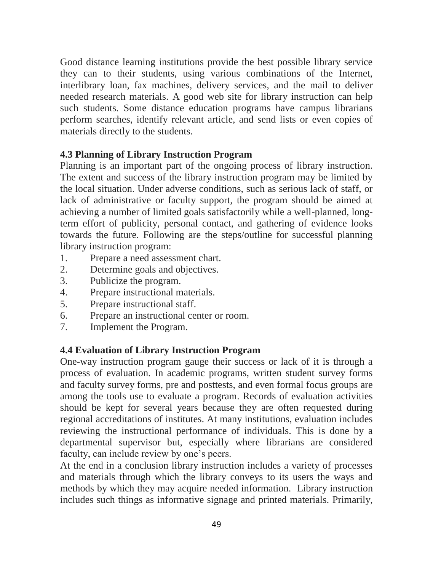Good distance learning institutions provide the best possible library service they can to their students, using various combinations of the Internet, interlibrary loan, fax machines, delivery services, and the mail to deliver needed research materials. A good web site for library instruction can help such students. Some distance education programs have campus librarians perform searches, identify relevant article, and send lists or even copies of materials directly to the students.

#### **4.3 Planning of Library Instruction Program**

Planning is an important part of the ongoing process of library instruction. The extent and success of the library instruction program may be limited by the local situation. Under adverse conditions, such as serious lack of staff, or lack of administrative or faculty support, the program should be aimed at achieving a number of limited goals satisfactorily while a well-planned, longterm effort of publicity, personal contact, and gathering of evidence looks towards the future. Following are the steps/outline for successful planning library instruction program:

- 1. Prepare a need assessment chart.
- 2. Determine goals and objectives.
- 3. Publicize the program.
- 4. Prepare instructional materials.
- 5. Prepare instructional staff.
- 6. Prepare an instructional center or room.
- 7. Implement the Program.

## **4.4 Evaluation of Library Instruction Program**

One-way instruction program gauge their success or lack of it is through a process of evaluation. In academic programs, written student survey forms and faculty survey forms, pre and posttests, and even formal focus groups are among the tools use to evaluate a program. Records of evaluation activities should be kept for several years because they are often requested during regional accreditations of institutes. At many institutions, evaluation includes reviewing the instructional performance of individuals. This is done by a departmental supervisor but, especially where librarians are considered faculty, can include review by one's peers.

At the end in a conclusion library instruction includes a variety of processes and materials through which the library conveys to its users the ways and methods by which they may acquire needed information. Library instruction includes such things as informative signage and printed materials. Primarily,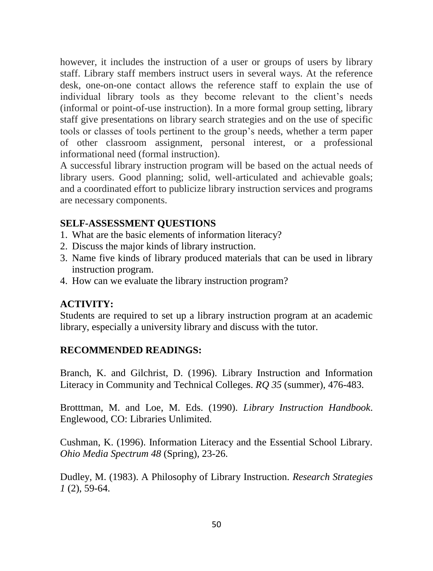however, it includes the instruction of a user or groups of users by library staff. Library staff members instruct users in several ways. At the reference desk, one-on-one contact allows the reference staff to explain the use of individual library tools as they become relevant to the client's needs (informal or point-of-use instruction). In a more formal group setting, library staff give presentations on library search strategies and on the use of specific tools or classes of tools pertinent to the group's needs, whether a term paper of other classroom assignment, personal interest, or a professional informational need (formal instruction).

A successful library instruction program will be based on the actual needs of library users. Good planning; solid, well-articulated and achievable goals; and a coordinated effort to publicize library instruction services and programs are necessary components.

# **SELF-ASSESSMENT QUESTIONS**

- 1. What are the basic elements of information literacy?
- 2. Discuss the major kinds of library instruction.
- 3. Name five kinds of library produced materials that can be used in library instruction program.
- 4. How can we evaluate the library instruction program?

## **ACTIVITY:**

Students are required to set up a library instruction program at an academic library, especially a university library and discuss with the tutor.

## **RECOMMENDED READINGS:**

Branch, K. and Gilchrist, D. (1996). Library Instruction and Information Literacy in Community and Technical Colleges. *RQ 35* (summer), 476-483.

Brotttman, M. and Loe, M. Eds. (1990). *Library Instruction Handbook*. Englewood, CO: Libraries Unlimited.

Cushman, K. (1996). Information Literacy and the Essential School Library. *Ohio Media Spectrum 48* (Spring), 23-26.

Dudley, M. (1983). A Philosophy of Library Instruction. *Research Strategies 1* (2), 59-64.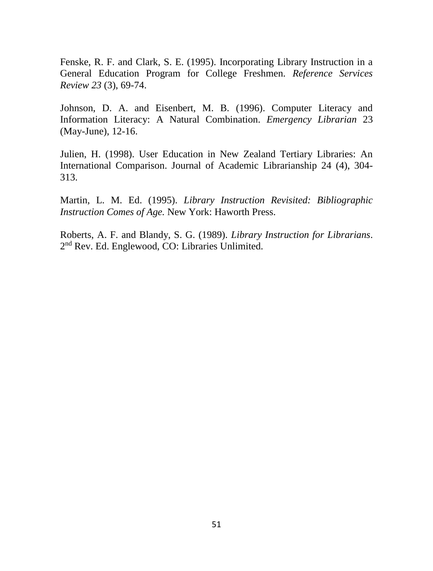Fenske, R. F. and Clark, S. E. (1995). Incorporating Library Instruction in a General Education Program for College Freshmen. *Reference Services Review 23* (3), 69-74.

Johnson, D. A. and Eisenbert, M. B. (1996). Computer Literacy and Information Literacy: A Natural Combination. *Emergency Librarian* 23 (May-June), 12-16.

Julien, H. (1998). User Education in New Zealand Tertiary Libraries: An International Comparison. Journal of Academic Librarianship 24 (4), 304- 313.

Martin, L. M. Ed. (1995). *Library Instruction Revisited: Bibliographic Instruction Comes of Age.* New York: Haworth Press.

Roberts, A. F. and Blandy, S. G. (1989). *Library Instruction for Librarians*. 2<sup>nd</sup> Rev. Ed. Englewood, CO: Libraries Unlimited.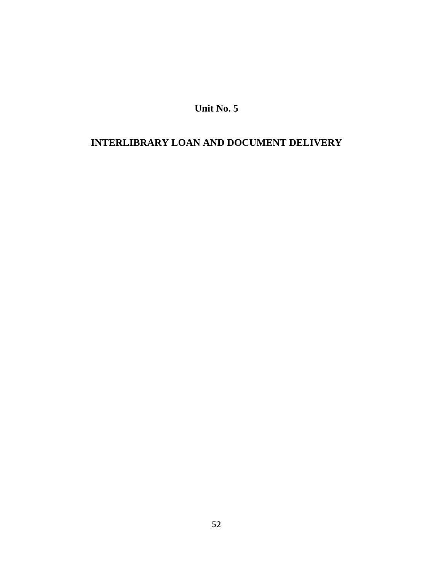**Unit No. 5**

# **INTERLIBRARY LOAN AND DOCUMENT DELIVERY**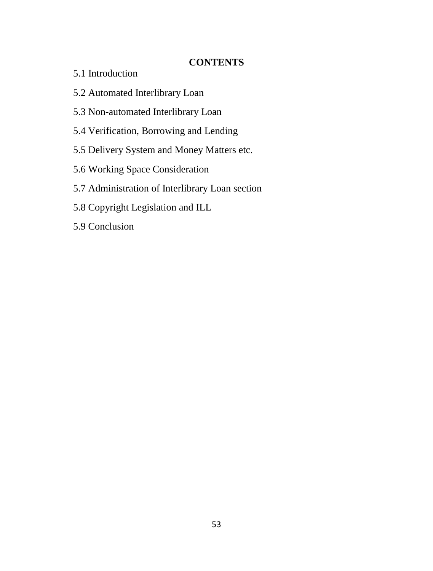# **CONTENTS**

- 5.1 Introduction
- 5.2 Automated Interlibrary Loan
- 5.3 Non-automated Interlibrary Loan
- 5.4 Verification, Borrowing and Lending
- 5.5 Delivery System and Money Matters etc.
- 5.6 Working Space Consideration
- 5.7 Administration of Interlibrary Loan section
- 5.8 Copyright Legislation and ILL
- 5.9 Conclusion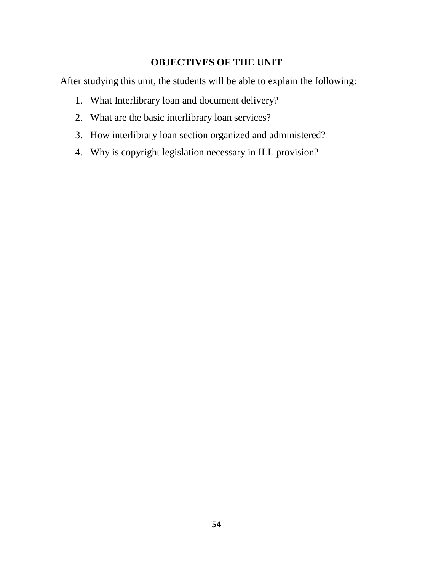# **OBJECTIVES OF THE UNIT**

After studying this unit, the students will be able to explain the following:

- 1. What Interlibrary loan and document delivery?
- 2. What are the basic interlibrary loan services?
- 3. How interlibrary loan section organized and administered?
- 4. Why is copyright legislation necessary in ILL provision?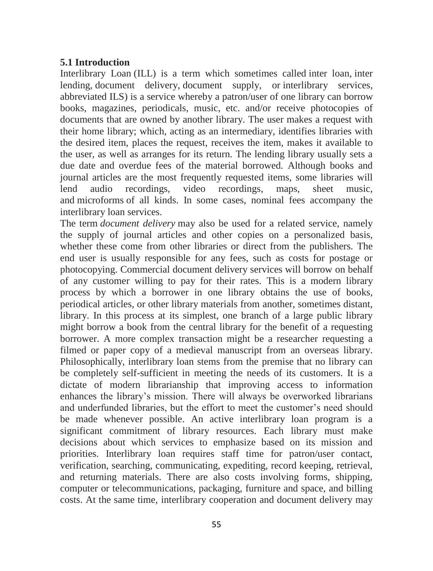#### **5.1 Introduction**

Interlibrary Loan (ILL) is a term which sometimes called inter loan, inter lending, document delivery, document supply, or interlibrary services, abbreviated ILS) is a service whereby a patron/user of one library can borrow books, magazines, periodicals, music, etc. and/or receive photocopies of documents that are owned by another library. The user makes a request with their home library; which, acting as an intermediary, identifies libraries with the desired item, places the request, receives the item, makes it available to the user, as well as arranges for its return. The lending library usually sets a due date and overdue fees of the material borrowed. Although books and journal articles are the most frequently requested items, some libraries will lend audio recordings, video recordings, maps, sheet music, and microforms of all kinds. In some cases, nominal fees accompany the interlibrary loan services.

The term *document delivery* may also be used for a related service, namely the supply of journal articles and other copies on a personalized basis, whether these come from other libraries or direct from the publishers. The end user is usually responsible for any fees, such as costs for postage or photocopying. Commercial document delivery services will borrow on behalf of any customer willing to pay for their rates. This is a modern library process by which a borrower in one library obtains the use of books, periodical articles, or other library materials from another, sometimes distant, library. In this process at its simplest, one branch of a large public library might borrow a book from the central library for the benefit of a requesting borrower. A more complex transaction might be a researcher requesting a filmed or paper copy of a medieval manuscript from an overseas library. Philosophically, interlibrary loan stems from the premise that no library can be completely self-sufficient in meeting the needs of its customers. It is a dictate of modern librarianship that improving access to information enhances the library's mission. There will always be overworked librarians and underfunded libraries, but the effort to meet the customer's need should be made whenever possible. An active interlibrary loan program is a significant commitment of library resources. Each library must make decisions about which services to emphasize based on its mission and priorities. Interlibrary loan requires staff time for patron/user contact, verification, searching, communicating, expediting, record keeping, retrieval, and returning materials. There are also costs involving forms, shipping, computer or telecommunications, packaging, furniture and space, and billing costs. At the same time, interlibrary cooperation and document delivery may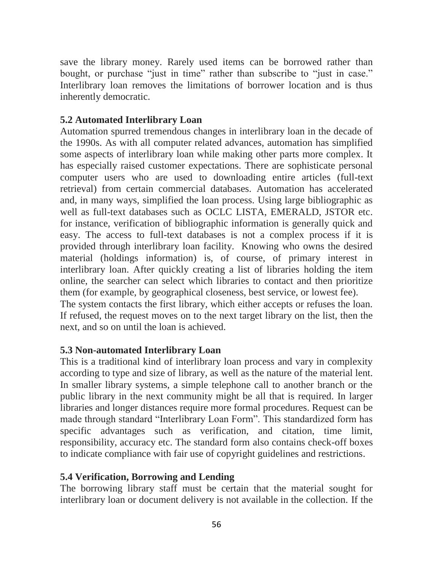save the library money. Rarely used items can be borrowed rather than bought, or purchase "just in time" rather than subscribe to "just in case." Interlibrary loan removes the limitations of borrower location and is thus inherently democratic.

#### **5.2 Automated Interlibrary Loan**

Automation spurred tremendous changes in interlibrary loan in the decade of the 1990s. As with all computer related advances, automation has simplified some aspects of interlibrary loan while making other parts more complex. It has especially raised customer expectations. There are sophisticate personal computer users who are used to downloading entire articles (full-text retrieval) from certain commercial databases. Automation has accelerated and, in many ways, simplified the loan process. Using large bibliographic as well as full-text databases such as OCLC LISTA, EMERALD, JSTOR etc. for instance, verification of bibliographic information is generally quick and easy. The access to full-text databases is not a complex process if it is provided through interlibrary loan facility. Knowing who owns the desired material (holdings information) is, of course, of primary interest in interlibrary loan. After quickly creating a list of libraries holding the item online, the searcher can select which libraries to contact and then prioritize them (for example, by geographical closeness, best service, or lowest fee).

The system contacts the first library, which either accepts or refuses the loan. If refused, the request moves on to the next target library on the list, then the next, and so on until the loan is achieved.

#### **5.3 Non-automated Interlibrary Loan**

This is a traditional kind of interlibrary loan process and vary in complexity according to type and size of library, as well as the nature of the material lent. In smaller library systems, a simple telephone call to another branch or the public library in the next community might be all that is required. In larger libraries and longer distances require more formal procedures. Request can be made through standard "Interlibrary Loan Form". This standardized form has specific advantages such as verification, and citation, time limit, responsibility, accuracy etc. The standard form also contains check-off boxes to indicate compliance with fair use of copyright guidelines and restrictions.

#### **5.4 Verification, Borrowing and Lending**

The borrowing library staff must be certain that the material sought for interlibrary loan or document delivery is not available in the collection. If the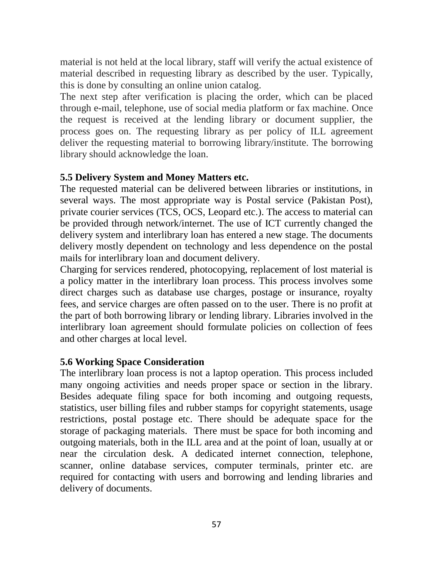material is not held at the local library, staff will verify the actual existence of material described in requesting library as described by the user. Typically, this is done by consulting an online union catalog.

The next step after verification is placing the order, which can be placed through e-mail, telephone, use of social media platform or fax machine. Once the request is received at the lending library or document supplier, the process goes on. The requesting library as per policy of ILL agreement deliver the requesting material to borrowing library/institute. The borrowing library should acknowledge the loan.

#### **5.5 Delivery System and Money Matters etc.**

The requested material can be delivered between libraries or institutions, in several ways. The most appropriate way is Postal service (Pakistan Post), private courier services (TCS, OCS, Leopard etc.). The access to material can be provided through network/internet. The use of ICT currently changed the delivery system and interlibrary loan has entered a new stage. The documents delivery mostly dependent on technology and less dependence on the postal mails for interlibrary loan and document delivery.

Charging for services rendered, photocopying, replacement of lost material is a policy matter in the interlibrary loan process. This process involves some direct charges such as database use charges, postage or insurance, royalty fees, and service charges are often passed on to the user. There is no profit at the part of both borrowing library or lending library. Libraries involved in the interlibrary loan agreement should formulate policies on collection of fees and other charges at local level.

## **5.6 Working Space Consideration**

The interlibrary loan process is not a laptop operation. This process included many ongoing activities and needs proper space or section in the library. Besides adequate filing space for both incoming and outgoing requests, statistics, user billing files and rubber stamps for copyright statements, usage restrictions, postal postage etc. There should be adequate space for the storage of packaging materials. There must be space for both incoming and outgoing materials, both in the ILL area and at the point of loan, usually at or near the circulation desk. A dedicated internet connection, telephone, scanner, online database services, computer terminals, printer etc. are required for contacting with users and borrowing and lending libraries and delivery of documents.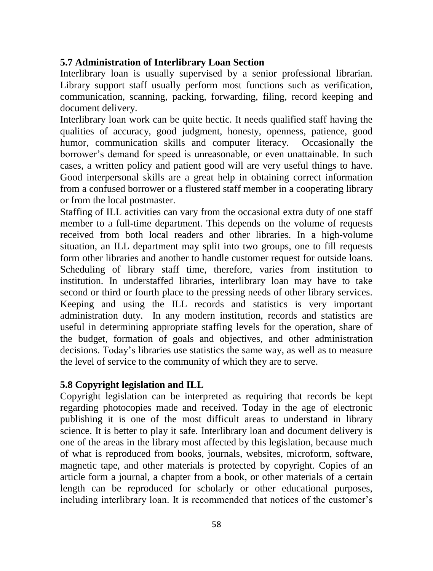## **5.7 Administration of Interlibrary Loan Section**

Interlibrary loan is usually supervised by a senior professional librarian. Library support staff usually perform most functions such as verification, communication, scanning, packing, forwarding, filing, record keeping and document delivery.

Interlibrary loan work can be quite hectic. It needs qualified staff having the qualities of accuracy, good judgment, honesty, openness, patience, good humor, communication skills and computer literacy. Occasionally the borrower's demand for speed is unreasonable, or even unattainable. In such cases, a written policy and patient good will are very useful things to have. Good interpersonal skills are a great help in obtaining correct information from a confused borrower or a flustered staff member in a cooperating library or from the local postmaster.

Staffing of ILL activities can vary from the occasional extra duty of one staff member to a full-time department. This depends on the volume of requests received from both local readers and other libraries. In a high-volume situation, an ILL department may split into two groups, one to fill requests form other libraries and another to handle customer request for outside loans. Scheduling of library staff time, therefore, varies from institution to institution. In understaffed libraries, interlibrary loan may have to take second or third or fourth place to the pressing needs of other library services. Keeping and using the ILL records and statistics is very important administration duty. In any modern institution, records and statistics are useful in determining appropriate staffing levels for the operation, share of the budget, formation of goals and objectives, and other administration decisions. Today's libraries use statistics the same way, as well as to measure the level of service to the community of which they are to serve.

## **5.8 Copyright legislation and ILL**

Copyright legislation can be interpreted as requiring that records be kept regarding photocopies made and received. Today in the age of electronic publishing it is one of the most difficult areas to understand in library science. It is better to play it safe. Interlibrary loan and document delivery is one of the areas in the library most affected by this legislation, because much of what is reproduced from books, journals, websites, microform, software, magnetic tape, and other materials is protected by copyright. Copies of an article form a journal, a chapter from a book, or other materials of a certain length can be reproduced for scholarly or other educational purposes, including interlibrary loan. It is recommended that notices of the customer's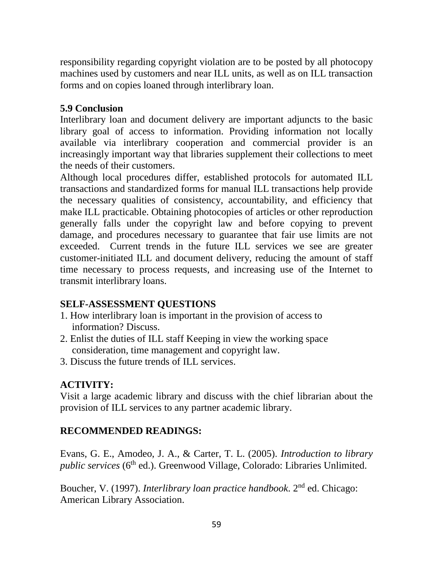responsibility regarding copyright violation are to be posted by all photocopy machines used by customers and near ILL units, as well as on ILL transaction forms and on copies loaned through interlibrary loan.

## **5.9 Conclusion**

Interlibrary loan and document delivery are important adjuncts to the basic library goal of access to information. Providing information not locally available via interlibrary cooperation and commercial provider is an increasingly important way that libraries supplement their collections to meet the needs of their customers.

Although local procedures differ, established protocols for automated ILL transactions and standardized forms for manual ILL transactions help provide the necessary qualities of consistency, accountability, and efficiency that make ILL practicable. Obtaining photocopies of articles or other reproduction generally falls under the copyright law and before copying to prevent damage, and procedures necessary to guarantee that fair use limits are not exceeded. Current trends in the future ILL services we see are greater customer-initiated ILL and document delivery, reducing the amount of staff time necessary to process requests, and increasing use of the Internet to transmit interlibrary loans.

# **SELF-ASSESSMENT QUESTIONS**

- 1. How interlibrary loan is important in the provision of access to information? Discuss.
- 2. Enlist the duties of ILL staff Keeping in view the working space consideration, time management and copyright law.
- 3. Discuss the future trends of ILL services.

# **ACTIVITY:**

Visit a large academic library and discuss with the chief librarian about the provision of ILL services to any partner academic library.

# **RECOMMENDED READINGS:**

Evans, G. E., Amodeo, J. A., & Carter, T. L. (2005). *Introduction to library public services* (6<sup>th</sup> ed.). Greenwood Village, Colorado: Libraries Unlimited.

Boucher, V. (1997). *Interlibrary loan practice handbook*. 2nd ed. Chicago: American Library Association.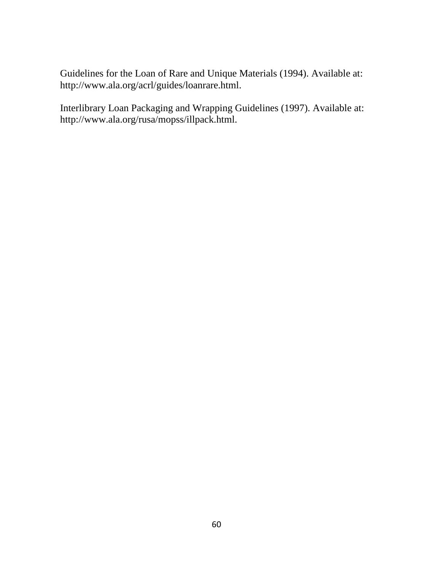Guidelines for the Loan of Rare and Unique Materials (1994). Available at: http://www.ala.org/acrl/guides/loanrare.html.

Interlibrary Loan Packaging and Wrapping Guidelines (1997). Available at: http://www.ala.org/rusa/mopss/illpack.html.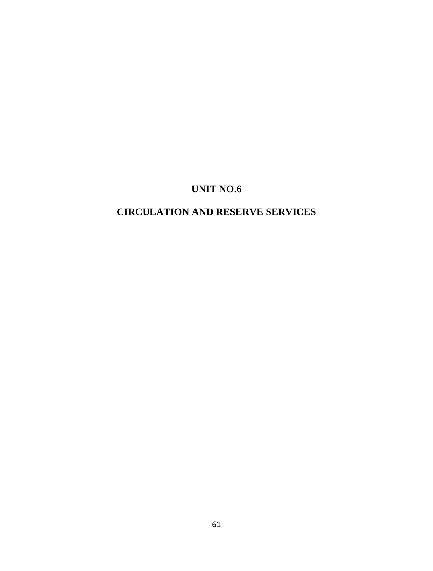# **UNIT NO.6**

# **CIRCULATION AND RESERVE SERVICES**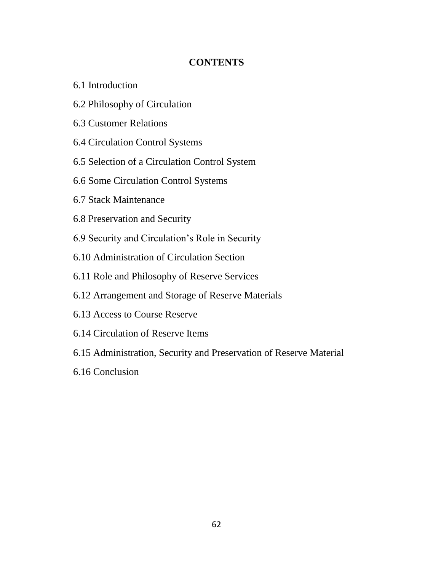# **CONTENTS**

- 6.1 Introduction
- 6.2 Philosophy of Circulation
- 6.3 Customer Relations
- 6.4 Circulation Control Systems
- 6.5 Selection of a Circulation Control System
- 6.6 Some Circulation Control Systems
- 6.7 Stack Maintenance
- 6.8 Preservation and Security
- 6.9 Security and Circulation's Role in Security
- 6.10 Administration of Circulation Section
- 6.11 Role and Philosophy of Reserve Services
- 6.12 Arrangement and Storage of Reserve Materials
- 6.13 Access to Course Reserve
- 6.14 Circulation of Reserve Items
- 6.15 Administration, Security and Preservation of Reserve Material
- 6.16 Conclusion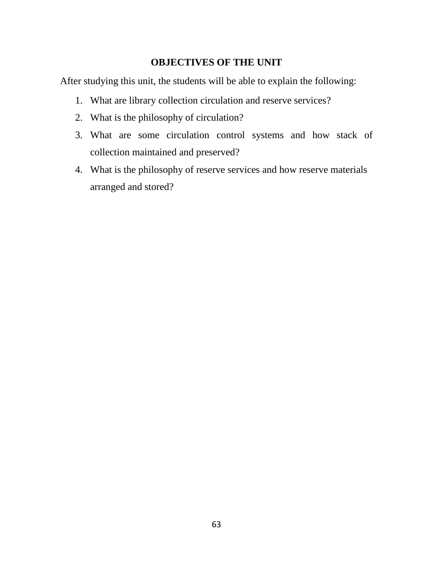## **OBJECTIVES OF THE UNIT**

After studying this unit, the students will be able to explain the following:

- 1. What are library collection circulation and reserve services?
- 2. What is the philosophy of circulation?
- 3. What are some circulation control systems and how stack of collection maintained and preserved?
- 4. What is the philosophy of reserve services and how reserve materials arranged and stored?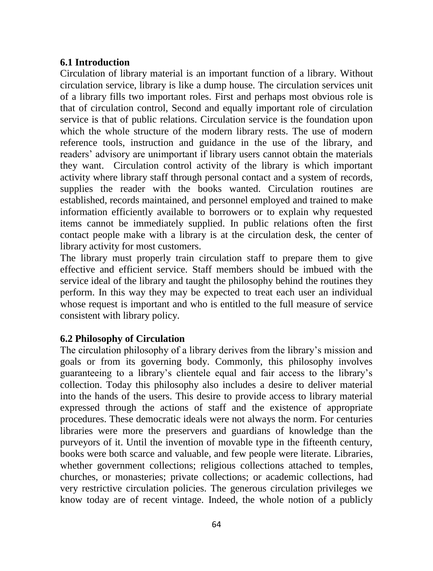#### **6.1 Introduction**

Circulation of library material is an important function of a library. Without circulation service, library is like a dump house. The circulation services unit of a library fills two important roles. First and perhaps most obvious role is that of circulation control, Second and equally important role of circulation service is that of public relations. Circulation service is the foundation upon which the whole structure of the modern library rests. The use of modern reference tools, instruction and guidance in the use of the library, and readers' advisory are unimportant if library users cannot obtain the materials they want. Circulation control activity of the library is which important activity where library staff through personal contact and a system of records, supplies the reader with the books wanted. Circulation routines are established, records maintained, and personnel employed and trained to make information efficiently available to borrowers or to explain why requested items cannot be immediately supplied. In public relations often the first contact people make with a library is at the circulation desk, the center of library activity for most customers.

The library must properly train circulation staff to prepare them to give effective and efficient service. Staff members should be imbued with the service ideal of the library and taught the philosophy behind the routines they perform. In this way they may be expected to treat each user an individual whose request is important and who is entitled to the full measure of service consistent with library policy.

## **6.2 Philosophy of Circulation**

The circulation philosophy of a library derives from the library's mission and goals or from its governing body. Commonly, this philosophy involves guaranteeing to a library's clientele equal and fair access to the library's collection. Today this philosophy also includes a desire to deliver material into the hands of the users. This desire to provide access to library material expressed through the actions of staff and the existence of appropriate procedures. These democratic ideals were not always the norm. For centuries libraries were more the preservers and guardians of knowledge than the purveyors of it. Until the invention of movable type in the fifteenth century, books were both scarce and valuable, and few people were literate. Libraries, whether government collections; religious collections attached to temples, churches, or monasteries; private collections; or academic collections, had very restrictive circulation policies. The generous circulation privileges we know today are of recent vintage. Indeed, the whole notion of a publicly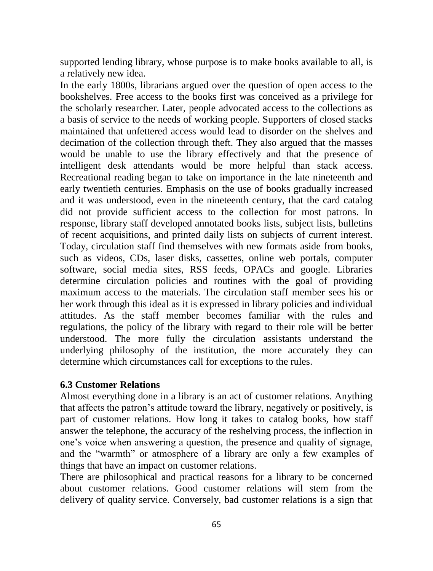supported lending library, whose purpose is to make books available to all, is a relatively new idea.

In the early 1800s, librarians argued over the question of open access to the bookshelves. Free access to the books first was conceived as a privilege for the scholarly researcher. Later, people advocated access to the collections as a basis of service to the needs of working people. Supporters of closed stacks maintained that unfettered access would lead to disorder on the shelves and decimation of the collection through theft. They also argued that the masses would be unable to use the library effectively and that the presence of intelligent desk attendants would be more helpful than stack access. Recreational reading began to take on importance in the late nineteenth and early twentieth centuries. Emphasis on the use of books gradually increased and it was understood, even in the nineteenth century, that the card catalog did not provide sufficient access to the collection for most patrons. In response, library staff developed annotated books lists, subject lists, bulletins of recent acquisitions, and printed daily lists on subjects of current interest. Today, circulation staff find themselves with new formats aside from books, such as videos, CDs, laser disks, cassettes, online web portals, computer software, social media sites, RSS feeds, OPACs and google. Libraries determine circulation policies and routines with the goal of providing maximum access to the materials. The circulation staff member sees his or her work through this ideal as it is expressed in library policies and individual attitudes. As the staff member becomes familiar with the rules and regulations, the policy of the library with regard to their role will be better understood. The more fully the circulation assistants understand the underlying philosophy of the institution, the more accurately they can determine which circumstances call for exceptions to the rules.

#### **6.3 Customer Relations**

Almost everything done in a library is an act of customer relations. Anything that affects the patron's attitude toward the library, negatively or positively, is part of customer relations. How long it takes to catalog books, how staff answer the telephone, the accuracy of the reshelving process, the inflection in one's voice when answering a question, the presence and quality of signage, and the "warmth" or atmosphere of a library are only a few examples of things that have an impact on customer relations.

There are philosophical and practical reasons for a library to be concerned about customer relations. Good customer relations will stem from the delivery of quality service. Conversely, bad customer relations is a sign that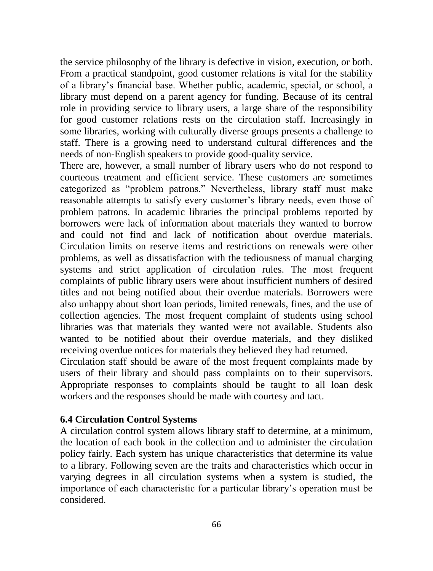the service philosophy of the library is defective in vision, execution, or both. From a practical standpoint, good customer relations is vital for the stability of a library's financial base. Whether public, academic, special, or school, a library must depend on a parent agency for funding. Because of its central role in providing service to library users, a large share of the responsibility for good customer relations rests on the circulation staff. Increasingly in some libraries, working with culturally diverse groups presents a challenge to staff. There is a growing need to understand cultural differences and the needs of non-English speakers to provide good-quality service.

There are, however, a small number of library users who do not respond to courteous treatment and efficient service. These customers are sometimes categorized as "problem patrons." Nevertheless, library staff must make reasonable attempts to satisfy every customer's library needs, even those of problem patrons. In academic libraries the principal problems reported by borrowers were lack of information about materials they wanted to borrow and could not find and lack of notification about overdue materials. Circulation limits on reserve items and restrictions on renewals were other problems, as well as dissatisfaction with the tediousness of manual charging systems and strict application of circulation rules. The most frequent complaints of public library users were about insufficient numbers of desired titles and not being notified about their overdue materials. Borrowers were also unhappy about short loan periods, limited renewals, fines, and the use of collection agencies. The most frequent complaint of students using school libraries was that materials they wanted were not available. Students also wanted to be notified about their overdue materials, and they disliked receiving overdue notices for materials they believed they had returned.

Circulation staff should be aware of the most frequent complaints made by users of their library and should pass complaints on to their supervisors. Appropriate responses to complaints should be taught to all loan desk workers and the responses should be made with courtesy and tact.

#### **6.4 Circulation Control Systems**

A circulation control system allows library staff to determine, at a minimum, the location of each book in the collection and to administer the circulation policy fairly. Each system has unique characteristics that determine its value to a library. Following seven are the traits and characteristics which occur in varying degrees in all circulation systems when a system is studied, the importance of each characteristic for a particular library's operation must be considered.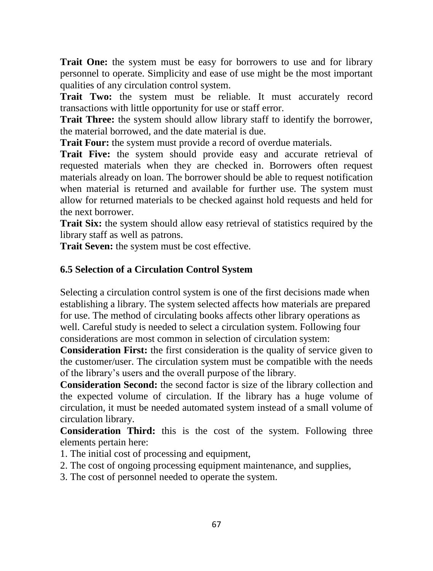**Trait One:** the system must be easy for borrowers to use and for library personnel to operate. Simplicity and ease of use might be the most important qualities of any circulation control system.

**Trait Two:** the system must be reliable. It must accurately record transactions with little opportunity for use or staff error.

**Trait Three:** the system should allow library staff to identify the borrower, the material borrowed, and the date material is due.

**Trait Four:** the system must provide a record of overdue materials.

**Trait Five:** the system should provide easy and accurate retrieval of requested materials when they are checked in. Borrowers often request materials already on loan. The borrower should be able to request notification when material is returned and available for further use. The system must allow for returned materials to be checked against hold requests and held for the next borrower.

**Trait Six:** the system should allow easy retrieval of statistics required by the library staff as well as patrons.

**Trait Seven:** the system must be cost effective.

# **6.5 Selection of a Circulation Control System**

Selecting a circulation control system is one of the first decisions made when establishing a library. The system selected affects how materials are prepared for use. The method of circulating books affects other library operations as well. Careful study is needed to select a circulation system. Following four considerations are most common in selection of circulation system:

**Consideration First:** the first consideration is the quality of service given to the customer/user. The circulation system must be compatible with the needs of the library's users and the overall purpose of the library.

**Consideration Second:** the second factor is size of the library collection and the expected volume of circulation. If the library has a huge volume of circulation, it must be needed automated system instead of a small volume of circulation library.

**Consideration Third:** this is the cost of the system. Following three elements pertain here:

- 1. The initial cost of processing and equipment,
- 2. The cost of ongoing processing equipment maintenance, and supplies,

3. The cost of personnel needed to operate the system.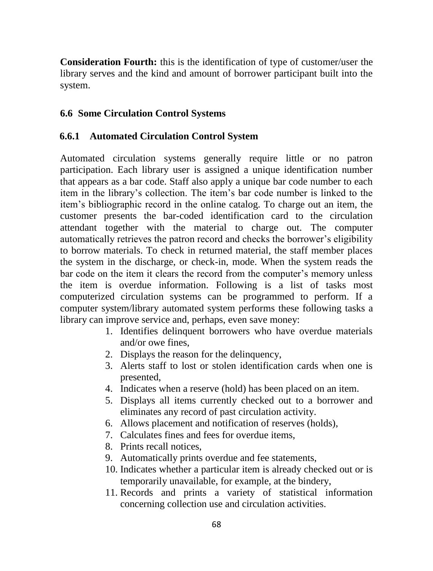**Consideration Fourth:** this is the identification of type of customer/user the library serves and the kind and amount of borrower participant built into the system.

## **6.6 Some Circulation Control Systems**

## **6.6.1 Automated Circulation Control System**

Automated circulation systems generally require little or no patron participation. Each library user is assigned a unique identification number that appears as a bar code. Staff also apply a unique bar code number to each item in the library's collection. The item's bar code number is linked to the item's bibliographic record in the online catalog. To charge out an item, the customer presents the bar-coded identification card to the circulation attendant together with the material to charge out. The computer automatically retrieves the patron record and checks the borrower's eligibility to borrow materials. To check in returned material, the staff member places the system in the discharge, or check-in, mode. When the system reads the bar code on the item it clears the record from the computer's memory unless the item is overdue information. Following is a list of tasks most computerized circulation systems can be programmed to perform. If a computer system/library automated system performs these following tasks a library can improve service and, perhaps, even save money:

- 1. Identifies delinquent borrowers who have overdue materials and/or owe fines,
- 2. Displays the reason for the delinquency,
- 3. Alerts staff to lost or stolen identification cards when one is presented,
- 4. Indicates when a reserve (hold) has been placed on an item.
- 5. Displays all items currently checked out to a borrower and eliminates any record of past circulation activity.
- 6. Allows placement and notification of reserves (holds),
- 7. Calculates fines and fees for overdue items,
- 8. Prints recall notices,
- 9. Automatically prints overdue and fee statements,
- 10. Indicates whether a particular item is already checked out or is temporarily unavailable, for example, at the bindery,
- 11. Records and prints a variety of statistical information concerning collection use and circulation activities.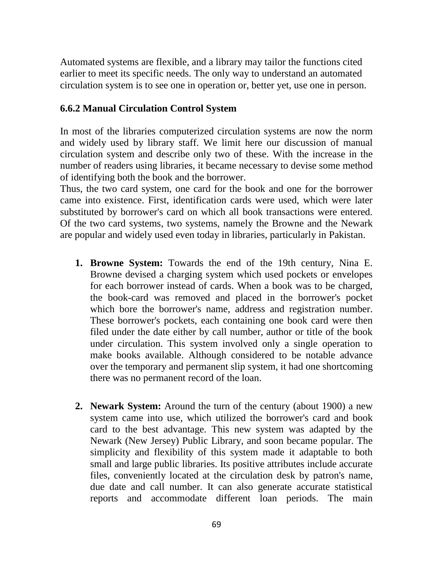Automated systems are flexible, and a library may tailor the functions cited earlier to meet its specific needs. The only way to understand an automated circulation system is to see one in operation or, better yet, use one in person.

#### **6.6.2 Manual Circulation Control System**

In most of the libraries computerized circulation systems are now the norm and widely used by library staff. We limit here our discussion of manual circulation system and describe only two of these. With the increase in the number of readers using libraries, it became necessary to devise some method of identifying both the book and the borrower.

Thus, the two card system, one card for the book and one for the borrower came into existence. First, identification cards were used, which were later substituted by borrower's card on which all book transactions were entered. Of the two card systems, two systems, namely the Browne and the Newark are popular and widely used even today in libraries, particularly in Pakistan.

- **1. Browne System:** Towards the end of the 19th century, Nina E. Browne devised a charging system which used pockets or envelopes for each borrower instead of cards. When a book was to be charged, the book-card was removed and placed in the borrower's pocket which bore the borrower's name, address and registration number. These borrower's pockets, each containing one book card were then filed under the date either by call number, author or title of the book under circulation. This system involved only a single operation to make books available. Although considered to be notable advance over the temporary and permanent slip system, it had one shortcoming there was no permanent record of the loan.
- **2. Newark System:** Around the turn of the century (about 1900) a new system came into use, which utilized the borrower's card and book card to the best advantage. This new system was adapted by the Newark (New Jersey) Public Library, and soon became popular. The simplicity and flexibility of this system made it adaptable to both small and large public libraries. Its positive attributes include accurate files, conveniently located at the circulation desk by patron's name, due date and call number. It can also generate accurate statistical reports and accommodate different loan periods. The main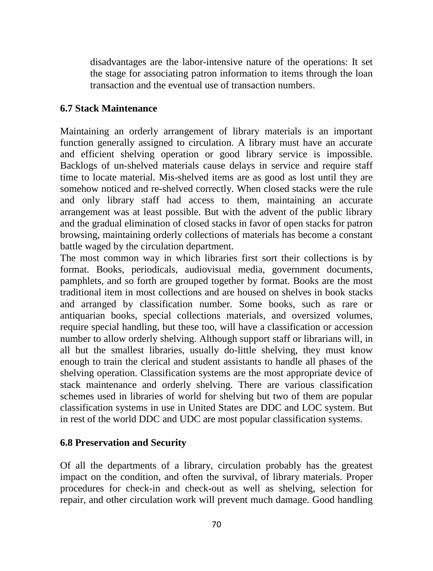disadvantages are the labor-intensive nature of the operations: It set the stage for associating patron information to items through the loan transaction and the eventual use of transaction numbers.

#### **6.7 Stack Maintenance**

Maintaining an orderly arrangement of library materials is an important function generally assigned to circulation. A library must have an accurate and efficient shelving operation or good library service is impossible. Backlogs of un-shelved materials cause delays in service and require staff time to locate material. Mis-shelved items are as good as lost until they are somehow noticed and re-shelved correctly. When closed stacks were the rule and only library staff had access to them, maintaining an accurate arrangement was at least possible. But with the advent of the public library and the gradual elimination of closed stacks in favor of open stacks for patron browsing, maintaining orderly collections of materials has become a constant battle waged by the circulation department.

The most common way in which libraries first sort their collections is by format. Books, periodicals, audiovisual media, government documents, pamphlets, and so forth are grouped together by format. Books are the most traditional item in most collections and are housed on shelves in book stacks and arranged by classification number. Some books, such as rare or antiquarian books, special collections materials, and oversized volumes, require special handling, but these too, will have a classification or accession number to allow orderly shelving. Although support staff or librarians will, in all but the smallest libraries, usually do-little shelving, they must know enough to train the clerical and student assistants to handle all phases of the shelving operation. Classification systems are the most appropriate device of stack maintenance and orderly shelving. There are various classification schemes used in libraries of world for shelving but two of them are popular classification systems in use in United States are DDC and LOC system. But in rest of the world DDC and UDC are most popular classification systems.

#### **6.8 Preservation and Security**

Of all the departments of a library, circulation probably has the greatest impact on the condition, and often the survival, of library materials. Proper procedures for check-in and check-out as well as shelving, selection for repair, and other circulation work will prevent much damage. Good handling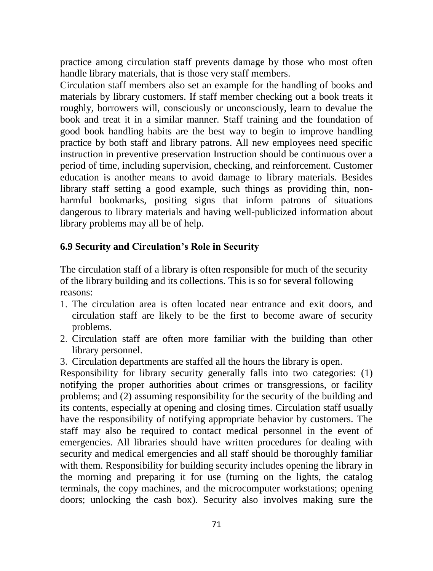practice among circulation staff prevents damage by those who most often handle library materials, that is those very staff members.

Circulation staff members also set an example for the handling of books and materials by library customers. If staff member checking out a book treats it roughly, borrowers will, consciously or unconsciously, learn to devalue the book and treat it in a similar manner. Staff training and the foundation of good book handling habits are the best way to begin to improve handling practice by both staff and library patrons. All new employees need specific instruction in preventive preservation Instruction should be continuous over a period of time, including supervision, checking, and reinforcement. Customer education is another means to avoid damage to library materials. Besides library staff setting a good example, such things as providing thin, nonharmful bookmarks, positing signs that inform patrons of situations dangerous to library materials and having well-publicized information about library problems may all be of help.

#### **6.9 Security and Circulation's Role in Security**

The circulation staff of a library is often responsible for much of the security of the library building and its collections. This is so for several following reasons:

- 1. The circulation area is often located near entrance and exit doors, and circulation staff are likely to be the first to become aware of security problems.
- 2. Circulation staff are often more familiar with the building than other library personnel.
- 3. Circulation departments are staffed all the hours the library is open.

Responsibility for library security generally falls into two categories: (1) notifying the proper authorities about crimes or transgressions, or facility problems; and (2) assuming responsibility for the security of the building and its contents, especially at opening and closing times. Circulation staff usually have the responsibility of notifying appropriate behavior by customers. The staff may also be required to contact medical personnel in the event of emergencies. All libraries should have written procedures for dealing with security and medical emergencies and all staff should be thoroughly familiar with them. Responsibility for building security includes opening the library in the morning and preparing it for use (turning on the lights, the catalog terminals, the copy machines, and the microcomputer workstations; opening doors; unlocking the cash box). Security also involves making sure the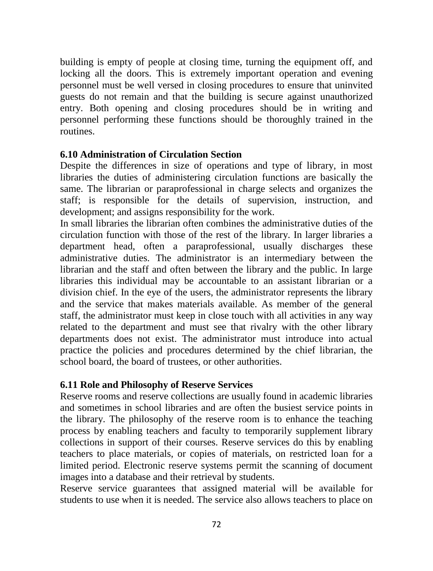building is empty of people at closing time, turning the equipment off, and locking all the doors. This is extremely important operation and evening personnel must be well versed in closing procedures to ensure that uninvited guests do not remain and that the building is secure against unauthorized entry. Both opening and closing procedures should be in writing and personnel performing these functions should be thoroughly trained in the routines.

#### **6.10 Administration of Circulation Section**

Despite the differences in size of operations and type of library, in most libraries the duties of administering circulation functions are basically the same. The librarian or paraprofessional in charge selects and organizes the staff; is responsible for the details of supervision, instruction, and development; and assigns responsibility for the work.

In small libraries the librarian often combines the administrative duties of the circulation function with those of the rest of the library. In larger libraries a department head, often a paraprofessional, usually discharges these administrative duties. The administrator is an intermediary between the librarian and the staff and often between the library and the public. In large libraries this individual may be accountable to an assistant librarian or a division chief. In the eye of the users, the administrator represents the library and the service that makes materials available. As member of the general staff, the administrator must keep in close touch with all activities in any way related to the department and must see that rivalry with the other library departments does not exist. The administrator must introduce into actual practice the policies and procedures determined by the chief librarian, the school board, the board of trustees, or other authorities.

#### **6.11 Role and Philosophy of Reserve Services**

Reserve rooms and reserve collections are usually found in academic libraries and sometimes in school libraries and are often the busiest service points in the library. The philosophy of the reserve room is to enhance the teaching process by enabling teachers and faculty to temporarily supplement library collections in support of their courses. Reserve services do this by enabling teachers to place materials, or copies of materials, on restricted loan for a limited period. Electronic reserve systems permit the scanning of document images into a database and their retrieval by students.

Reserve service guarantees that assigned material will be available for students to use when it is needed. The service also allows teachers to place on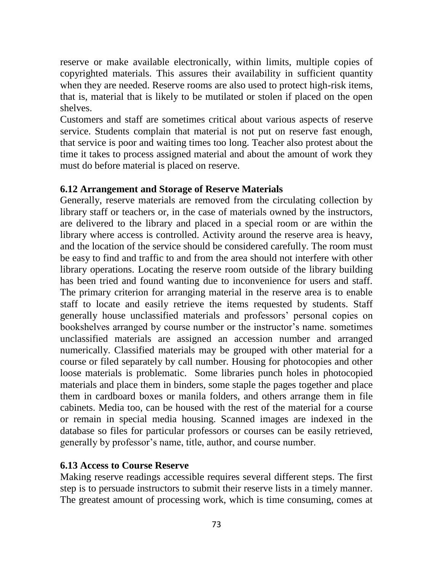reserve or make available electronically, within limits, multiple copies of copyrighted materials. This assures their availability in sufficient quantity when they are needed. Reserve rooms are also used to protect high-risk items, that is, material that is likely to be mutilated or stolen if placed on the open shelves.

Customers and staff are sometimes critical about various aspects of reserve service. Students complain that material is not put on reserve fast enough, that service is poor and waiting times too long. Teacher also protest about the time it takes to process assigned material and about the amount of work they must do before material is placed on reserve.

#### **6.12 Arrangement and Storage of Reserve Materials**

Generally, reserve materials are removed from the circulating collection by library staff or teachers or, in the case of materials owned by the instructors, are delivered to the library and placed in a special room or are within the library where access is controlled. Activity around the reserve area is heavy, and the location of the service should be considered carefully. The room must be easy to find and traffic to and from the area should not interfere with other library operations. Locating the reserve room outside of the library building has been tried and found wanting due to inconvenience for users and staff. The primary criterion for arranging material in the reserve area is to enable staff to locate and easily retrieve the items requested by students. Staff generally house unclassified materials and professors' personal copies on bookshelves arranged by course number or the instructor's name. sometimes unclassified materials are assigned an accession number and arranged numerically. Classified materials may be grouped with other material for a course or filed separately by call number. Housing for photocopies and other loose materials is problematic. Some libraries punch holes in photocopied materials and place them in binders, some staple the pages together and place them in cardboard boxes or manila folders, and others arrange them in file cabinets. Media too, can be housed with the rest of the material for a course or remain in special media housing. Scanned images are indexed in the database so files for particular professors or courses can be easily retrieved, generally by professor's name, title, author, and course number.

#### **6.13 Access to Course Reserve**

Making reserve readings accessible requires several different steps. The first step is to persuade instructors to submit their reserve lists in a timely manner. The greatest amount of processing work, which is time consuming, comes at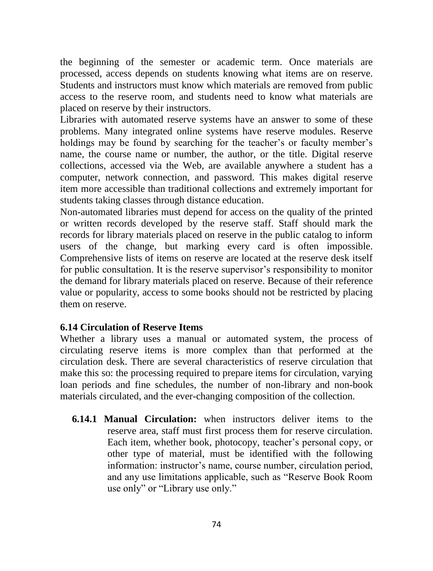the beginning of the semester or academic term. Once materials are processed, access depends on students knowing what items are on reserve. Students and instructors must know which materials are removed from public access to the reserve room, and students need to know what materials are placed on reserve by their instructors.

Libraries with automated reserve systems have an answer to some of these problems. Many integrated online systems have reserve modules. Reserve holdings may be found by searching for the teacher's or faculty member's name, the course name or number, the author, or the title. Digital reserve collections, accessed via the Web, are available anywhere a student has a computer, network connection, and password. This makes digital reserve item more accessible than traditional collections and extremely important for students taking classes through distance education.

Non-automated libraries must depend for access on the quality of the printed or written records developed by the reserve staff. Staff should mark the records for library materials placed on reserve in the public catalog to inform users of the change, but marking every card is often impossible. Comprehensive lists of items on reserve are located at the reserve desk itself for public consultation. It is the reserve supervisor's responsibility to monitor the demand for library materials placed on reserve. Because of their reference value or popularity, access to some books should not be restricted by placing them on reserve.

# **6.14 Circulation of Reserve Items**

Whether a library uses a manual or automated system, the process of circulating reserve items is more complex than that performed at the circulation desk. There are several characteristics of reserve circulation that make this so: the processing required to prepare items for circulation, varying loan periods and fine schedules, the number of non-library and non-book materials circulated, and the ever-changing composition of the collection.

**6.14.1 Manual Circulation:** when instructors deliver items to the reserve area, staff must first process them for reserve circulation. Each item, whether book, photocopy, teacher's personal copy, or other type of material, must be identified with the following information: instructor's name, course number, circulation period, and any use limitations applicable, such as "Reserve Book Room use only" or "Library use only."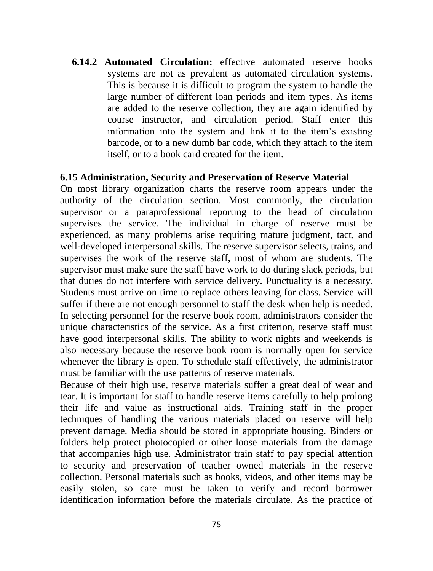**6.14.2 Automated Circulation:** effective automated reserve books systems are not as prevalent as automated circulation systems. This is because it is difficult to program the system to handle the large number of different loan periods and item types. As items are added to the reserve collection, they are again identified by course instructor, and circulation period. Staff enter this information into the system and link it to the item's existing barcode, or to a new dumb bar code, which they attach to the item itself, or to a book card created for the item.

#### **6.15 Administration, Security and Preservation of Reserve Material**

On most library organization charts the reserve room appears under the authority of the circulation section. Most commonly, the circulation supervisor or a paraprofessional reporting to the head of circulation supervises the service. The individual in charge of reserve must be experienced, as many problems arise requiring mature judgment, tact, and well-developed interpersonal skills. The reserve supervisor selects, trains, and supervises the work of the reserve staff, most of whom are students. The supervisor must make sure the staff have work to do during slack periods, but that duties do not interfere with service delivery. Punctuality is a necessity. Students must arrive on time to replace others leaving for class. Service will suffer if there are not enough personnel to staff the desk when help is needed. In selecting personnel for the reserve book room, administrators consider the unique characteristics of the service. As a first criterion, reserve staff must have good interpersonal skills. The ability to work nights and weekends is also necessary because the reserve book room is normally open for service whenever the library is open. To schedule staff effectively, the administrator must be familiar with the use patterns of reserve materials.

Because of their high use, reserve materials suffer a great deal of wear and tear. It is important for staff to handle reserve items carefully to help prolong their life and value as instructional aids. Training staff in the proper techniques of handling the various materials placed on reserve will help prevent damage. Media should be stored in appropriate housing. Binders or folders help protect photocopied or other loose materials from the damage that accompanies high use. Administrator train staff to pay special attention to security and preservation of teacher owned materials in the reserve collection. Personal materials such as books, videos, and other items may be easily stolen, so care must be taken to verify and record borrower identification information before the materials circulate. As the practice of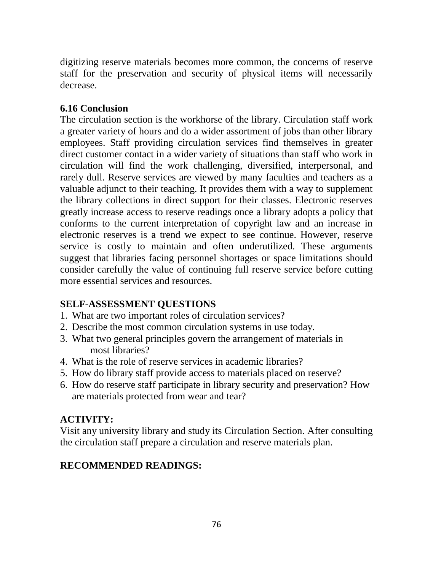digitizing reserve materials becomes more common, the concerns of reserve staff for the preservation and security of physical items will necessarily decrease.

# **6.16 Conclusion**

The circulation section is the workhorse of the library. Circulation staff work a greater variety of hours and do a wider assortment of jobs than other library employees. Staff providing circulation services find themselves in greater direct customer contact in a wider variety of situations than staff who work in circulation will find the work challenging, diversified, interpersonal, and rarely dull. Reserve services are viewed by many faculties and teachers as a valuable adjunct to their teaching. It provides them with a way to supplement the library collections in direct support for their classes. Electronic reserves greatly increase access to reserve readings once a library adopts a policy that conforms to the current interpretation of copyright law and an increase in electronic reserves is a trend we expect to see continue. However, reserve service is costly to maintain and often underutilized. These arguments suggest that libraries facing personnel shortages or space limitations should consider carefully the value of continuing full reserve service before cutting more essential services and resources.

# **SELF-ASSESSMENT QUESTIONS**

- 1. What are two important roles of circulation services?
- 2. Describe the most common circulation systems in use today.
- 3. What two general principles govern the arrangement of materials in most libraries?
- 4. What is the role of reserve services in academic libraries?
- 5. How do library staff provide access to materials placed on reserve?
- 6. How do reserve staff participate in library security and preservation? How are materials protected from wear and tear?

# **ACTIVITY:**

Visit any university library and study its Circulation Section. After consulting the circulation staff prepare a circulation and reserve materials plan.

# **RECOMMENDED READINGS:**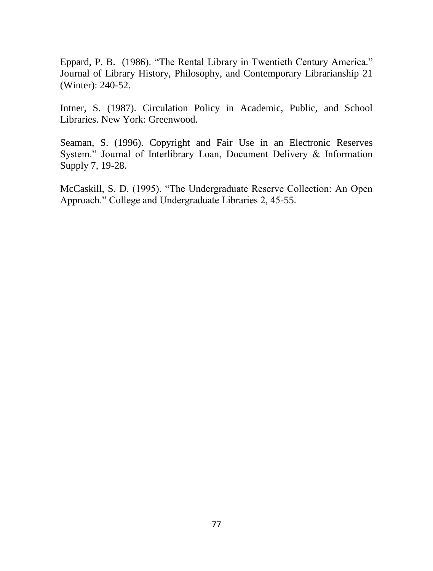Eppard, P. B. (1986). "The Rental Library in Twentieth Century America." Journal of Library History, Philosophy, and Contemporary Librarianship 21 (Winter): 240-52.

Intner, S. (1987). Circulation Policy in Academic, Public, and School Libraries. New York: Greenwood.

Seaman, S. (1996). Copyright and Fair Use in an Electronic Reserves System." Journal of Interlibrary Loan, Document Delivery & Information Supply 7, 19-28.

McCaskill, S. D. (1995). "The Undergraduate Reserve Collection: An Open Approach." College and Undergraduate Libraries 2, 45-55.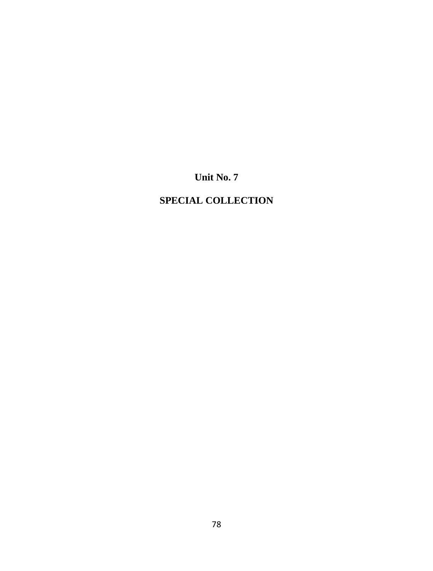**Unit No. 7**

# **SPECIAL COLLECTION**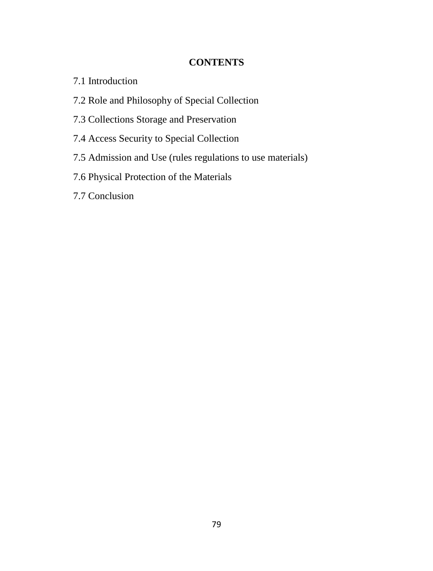# **CONTENTS**

- 7.1 Introduction
- 7.2 Role and Philosophy of Special Collection
- 7.3 Collections Storage and Preservation
- 7.4 Access Security to Special Collection
- 7.5 Admission and Use (rules regulations to use materials)
- 7.6 Physical Protection of the Materials
- 7.7 Conclusion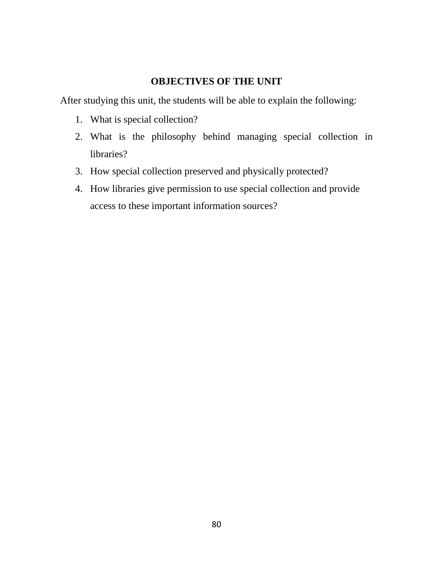# **OBJECTIVES OF THE UNIT**

After studying this unit, the students will be able to explain the following:

- 1. What is special collection?
- 2. What is the philosophy behind managing special collection in libraries?
- 3. How special collection preserved and physically protected?
- 4. How libraries give permission to use special collection and provide access to these important information sources?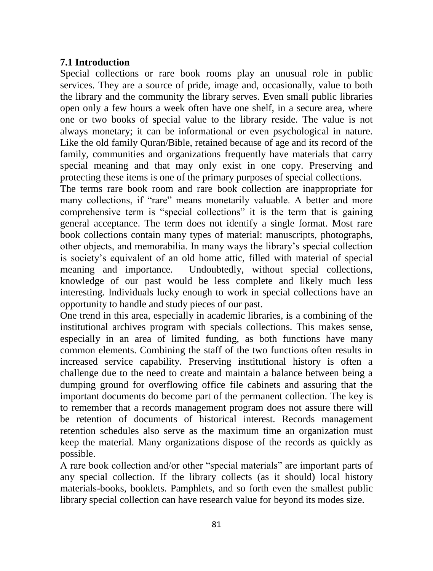# **7.1 Introduction**

Special collections or rare book rooms play an unusual role in public services. They are a source of pride, image and, occasionally, value to both the library and the community the library serves. Even small public libraries open only a few hours a week often have one shelf, in a secure area, where one or two books of special value to the library reside. The value is not always monetary; it can be informational or even psychological in nature. Like the old family Quran/Bible, retained because of age and its record of the family, communities and organizations frequently have materials that carry special meaning and that may only exist in one copy. Preserving and protecting these items is one of the primary purposes of special collections.

The terms rare book room and rare book collection are inappropriate for many collections, if "rare" means monetarily valuable. A better and more comprehensive term is "special collections" it is the term that is gaining general acceptance. The term does not identify a single format. Most rare book collections contain many types of material: manuscripts, photographs, other objects, and memorabilia. In many ways the library's special collection is society's equivalent of an old home attic, filled with material of special meaning and importance. Undoubtedly, without special collections, knowledge of our past would be less complete and likely much less interesting. Individuals lucky enough to work in special collections have an opportunity to handle and study pieces of our past.

One trend in this area, especially in academic libraries, is a combining of the institutional archives program with specials collections. This makes sense, especially in an area of limited funding, as both functions have many common elements. Combining the staff of the two functions often results in increased service capability. Preserving institutional history is often a challenge due to the need to create and maintain a balance between being a dumping ground for overflowing office file cabinets and assuring that the important documents do become part of the permanent collection. The key is to remember that a records management program does not assure there will be retention of documents of historical interest. Records management retention schedules also serve as the maximum time an organization must keep the material. Many organizations dispose of the records as quickly as possible.

A rare book collection and/or other "special materials" are important parts of any special collection. If the library collects (as it should) local history materials-books, booklets. Pamphlets, and so forth even the smallest public library special collection can have research value for beyond its modes size.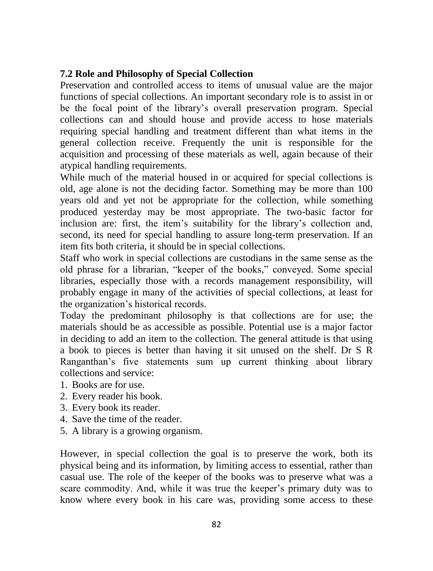# **7.2 Role and Philosophy of Special Collection**

Preservation and controlled access to items of unusual value are the major functions of special collections. An important secondary role is to assist in or be the focal point of the library's overall preservation program. Special collections can and should house and provide access to hose materials requiring special handling and treatment different than what items in the general collection receive. Frequently the unit is responsible for the acquisition and processing of these materials as well, again because of their atypical handling requirements.

While much of the material housed in or acquired for special collections is old, age alone is not the deciding factor. Something may be more than 100 years old and yet not be appropriate for the collection, while something produced yesterday may be most appropriate. The two-basic factor for inclusion are: first, the item's suitability for the library's collection and, second, its need for special handling to assure long-term preservation. If an item fits both criteria, it should be in special collections.

Staff who work in special collections are custodians in the same sense as the old phrase for a librarian, "keeper of the books," conveyed. Some special libraries, especially those with a records management responsibility, will probably engage in many of the activities of special collections, at least for the organization's historical records.

Today the predominant philosophy is that collections are for use; the materials should be as accessible as possible. Potential use is a major factor in deciding to add an item to the collection. The general attitude is that using a book to pieces is better than having it sit unused on the shelf. Dr S R Ranganthan's five statements sum up current thinking about library collections and service:

- 1. Books are for use.
- 2. Every reader his book.
- 3. Every book its reader.
- 4. Save the time of the reader.
- 5. A library is a growing organism.

However, in special collection the goal is to preserve the work, both its physical being and its information, by limiting access to essential, rather than casual use. The role of the keeper of the books was to preserve what was a scare commodity. And, while it was true the keeper's primary duty was to know where every book in his care was, providing some access to these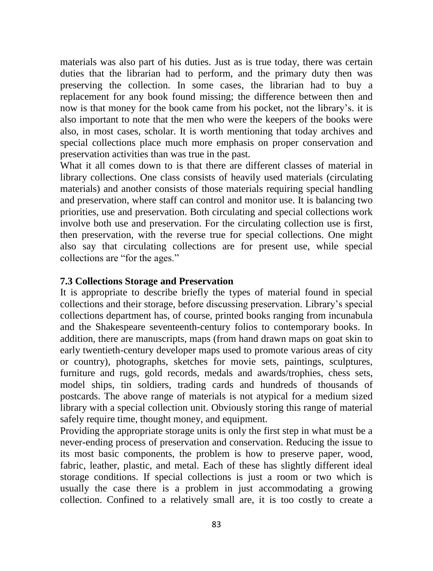materials was also part of his duties. Just as is true today, there was certain duties that the librarian had to perform, and the primary duty then was preserving the collection. In some cases, the librarian had to buy a replacement for any book found missing; the difference between then and now is that money for the book came from his pocket, not the library's. it is also important to note that the men who were the keepers of the books were also, in most cases, scholar. It is worth mentioning that today archives and special collections place much more emphasis on proper conservation and preservation activities than was true in the past.

What it all comes down to is that there are different classes of material in library collections. One class consists of heavily used materials (circulating materials) and another consists of those materials requiring special handling and preservation, where staff can control and monitor use. It is balancing two priorities, use and preservation. Both circulating and special collections work involve both use and preservation. For the circulating collection use is first, then preservation, with the reverse true for special collections. One might also say that circulating collections are for present use, while special collections are "for the ages."

### **7.3 Collections Storage and Preservation**

It is appropriate to describe briefly the types of material found in special collections and their storage, before discussing preservation. Library's special collections department has, of course, printed books ranging from incunabula and the Shakespeare seventeenth-century folios to contemporary books. In addition, there are manuscripts, maps (from hand drawn maps on goat skin to early twentieth-century developer maps used to promote various areas of city or country), photographs, sketches for movie sets, paintings, sculptures, furniture and rugs, gold records, medals and awards/trophies, chess sets, model ships, tin soldiers, trading cards and hundreds of thousands of postcards. The above range of materials is not atypical for a medium sized library with a special collection unit. Obviously storing this range of material safely require time, thought money, and equipment.

Providing the appropriate storage units is only the first step in what must be a never-ending process of preservation and conservation. Reducing the issue to its most basic components, the problem is how to preserve paper, wood, fabric, leather, plastic, and metal. Each of these has slightly different ideal storage conditions. If special collections is just a room or two which is usually the case there is a problem in just accommodating a growing collection. Confined to a relatively small are, it is too costly to create a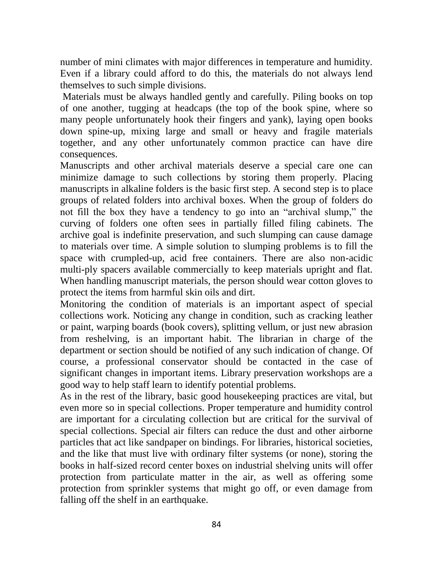number of mini climates with major differences in temperature and humidity. Even if a library could afford to do this, the materials do not always lend themselves to such simple divisions.

Materials must be always handled gently and carefully. Piling books on top of one another, tugging at headcaps (the top of the book spine, where so many people unfortunately hook their fingers and yank), laying open books down spine-up, mixing large and small or heavy and fragile materials together, and any other unfortunately common practice can have dire consequences.

Manuscripts and other archival materials deserve a special care one can minimize damage to such collections by storing them properly. Placing manuscripts in alkaline folders is the basic first step. A second step is to place groups of related folders into archival boxes. When the group of folders do not fill the box they have a tendency to go into an "archival slump," the curving of folders one often sees in partially filled filing cabinets. The archive goal is indefinite preservation, and such slumping can cause damage to materials over time. A simple solution to slumping problems is to fill the space with crumpled-up, acid free containers. There are also non-acidic multi-ply spacers available commercially to keep materials upright and flat. When handling manuscript materials, the person should wear cotton gloves to protect the items from harmful skin oils and dirt.

Monitoring the condition of materials is an important aspect of special collections work. Noticing any change in condition, such as cracking leather or paint, warping boards (book covers), splitting vellum, or just new abrasion from reshelving, is an important habit. The librarian in charge of the department or section should be notified of any such indication of change. Of course, a professional conservator should be contacted in the case of significant changes in important items. Library preservation workshops are a good way to help staff learn to identify potential problems.

As in the rest of the library, basic good housekeeping practices are vital, but even more so in special collections. Proper temperature and humidity control are important for a circulating collection but are critical for the survival of special collections. Special air filters can reduce the dust and other airborne particles that act like sandpaper on bindings. For libraries, historical societies, and the like that must live with ordinary filter systems (or none), storing the books in half-sized record center boxes on industrial shelving units will offer protection from particulate matter in the air, as well as offering some protection from sprinkler systems that might go off, or even damage from falling off the shelf in an earthquake.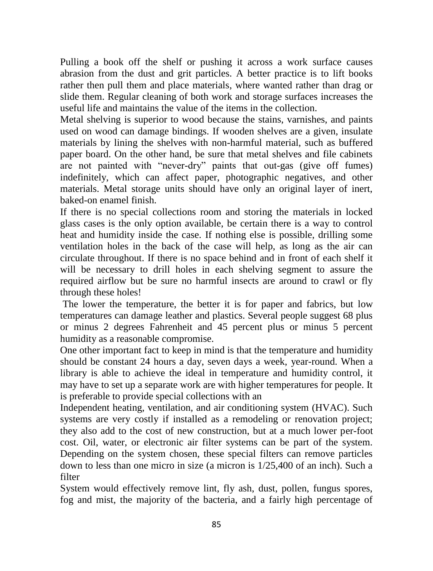Pulling a book off the shelf or pushing it across a work surface causes abrasion from the dust and grit particles. A better practice is to lift books rather then pull them and place materials, where wanted rather than drag or slide them. Regular cleaning of both work and storage surfaces increases the useful life and maintains the value of the items in the collection.

Metal shelving is superior to wood because the stains, varnishes, and paints used on wood can damage bindings. If wooden shelves are a given, insulate materials by lining the shelves with non-harmful material, such as buffered paper board. On the other hand, be sure that metal shelves and file cabinets are not painted with "never-dry" paints that out-gas (give off fumes) indefinitely, which can affect paper, photographic negatives, and other materials. Metal storage units should have only an original layer of inert, baked-on enamel finish.

If there is no special collections room and storing the materials in locked glass cases is the only option available, be certain there is a way to control heat and humidity inside the case. If nothing else is possible, drilling some ventilation holes in the back of the case will help, as long as the air can circulate throughout. If there is no space behind and in front of each shelf it will be necessary to drill holes in each shelving segment to assure the required airflow but be sure no harmful insects are around to crawl or fly through these holes!

The lower the temperature, the better it is for paper and fabrics, but low temperatures can damage leather and plastics. Several people suggest 68 plus or minus 2 degrees Fahrenheit and 45 percent plus or minus 5 percent humidity as a reasonable compromise.

One other important fact to keep in mind is that the temperature and humidity should be constant 24 hours a day, seven days a week, year-round. When a library is able to achieve the ideal in temperature and humidity control, it may have to set up a separate work are with higher temperatures for people. It is preferable to provide special collections with an

Independent heating, ventilation, and air conditioning system (HVAC). Such systems are very costly if installed as a remodeling or renovation project; they also add to the cost of new construction, but at a much lower per-foot cost. Oil, water, or electronic air filter systems can be part of the system. Depending on the system chosen, these special filters can remove particles down to less than one micro in size (a micron is 1/25,400 of an inch). Such a filter

System would effectively remove lint, fly ash, dust, pollen, fungus spores, fog and mist, the majority of the bacteria, and a fairly high percentage of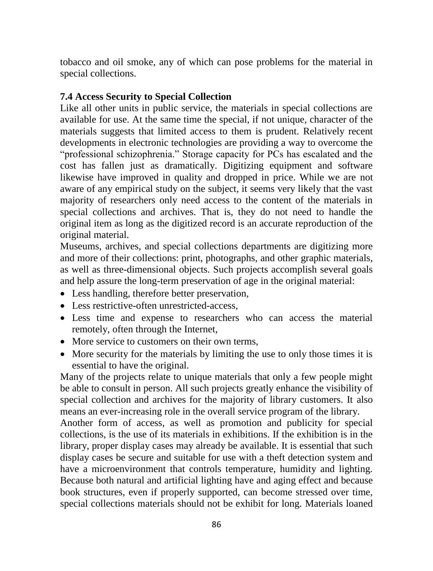tobacco and oil smoke, any of which can pose problems for the material in special collections.

### **7.4 Access Security to Special Collection**

Like all other units in public service, the materials in special collections are available for use. At the same time the special, if not unique, character of the materials suggests that limited access to them is prudent. Relatively recent developments in electronic technologies are providing a way to overcome the "professional schizophrenia." Storage capacity for PCs has escalated and the cost has fallen just as dramatically. Digitizing equipment and software likewise have improved in quality and dropped in price. While we are not aware of any empirical study on the subject, it seems very likely that the vast majority of researchers only need access to the content of the materials in special collections and archives. That is, they do not need to handle the original item as long as the digitized record is an accurate reproduction of the original material.

Museums, archives, and special collections departments are digitizing more and more of their collections: print, photographs, and other graphic materials, as well as three-dimensional objects. Such projects accomplish several goals and help assure the long-term preservation of age in the original material:

- Less handling, therefore better preservation,
- Less restrictive-often unrestricted-access.
- Less time and expense to researchers who can access the material remotely, often through the Internet,
- More service to customers on their own terms,
- More security for the materials by limiting the use to only those times it is essential to have the original.

Many of the projects relate to unique materials that only a few people might be able to consult in person. All such projects greatly enhance the visibility of special collection and archives for the majority of library customers. It also means an ever-increasing role in the overall service program of the library.

Another form of access, as well as promotion and publicity for special collections, is the use of its materials in exhibitions. If the exhibition is in the library, proper display cases may already be available. It is essential that such display cases be secure and suitable for use with a theft detection system and have a microenvironment that controls temperature, humidity and lighting. Because both natural and artificial lighting have and aging effect and because book structures, even if properly supported, can become stressed over time, special collections materials should not be exhibit for long. Materials loaned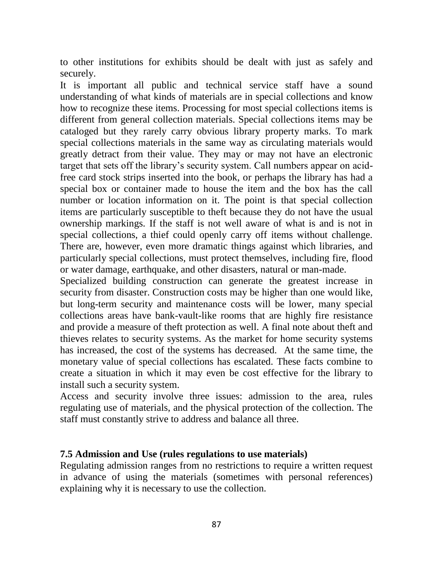to other institutions for exhibits should be dealt with just as safely and securely.

It is important all public and technical service staff have a sound understanding of what kinds of materials are in special collections and know how to recognize these items. Processing for most special collections items is different from general collection materials. Special collections items may be cataloged but they rarely carry obvious library property marks. To mark special collections materials in the same way as circulating materials would greatly detract from their value. They may or may not have an electronic target that sets off the library's security system. Call numbers appear on acidfree card stock strips inserted into the book, or perhaps the library has had a special box or container made to house the item and the box has the call number or location information on it. The point is that special collection items are particularly susceptible to theft because they do not have the usual ownership markings. If the staff is not well aware of what is and is not in special collections, a thief could openly carry off items without challenge. There are, however, even more dramatic things against which libraries, and particularly special collections, must protect themselves, including fire, flood or water damage, earthquake, and other disasters, natural or man-made.

Specialized building construction can generate the greatest increase in security from disaster. Construction costs may be higher than one would like, but long-term security and maintenance costs will be lower, many special collections areas have bank-vault-like rooms that are highly fire resistance and provide a measure of theft protection as well. A final note about theft and thieves relates to security systems. As the market for home security systems has increased, the cost of the systems has decreased. At the same time, the monetary value of special collections has escalated. These facts combine to create a situation in which it may even be cost effective for the library to install such a security system.

Access and security involve three issues: admission to the area, rules regulating use of materials, and the physical protection of the collection. The staff must constantly strive to address and balance all three.

#### **7.5 Admission and Use (rules regulations to use materials)**

Regulating admission ranges from no restrictions to require a written request in advance of using the materials (sometimes with personal references) explaining why it is necessary to use the collection.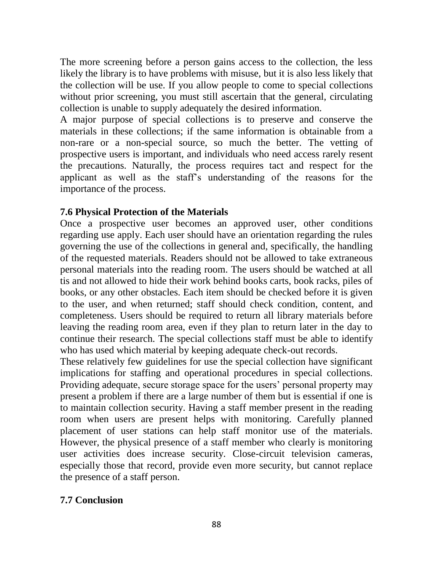The more screening before a person gains access to the collection, the less likely the library is to have problems with misuse, but it is also less likely that the collection will be use. If you allow people to come to special collections without prior screening, you must still ascertain that the general, circulating collection is unable to supply adequately the desired information.

A major purpose of special collections is to preserve and conserve the materials in these collections; if the same information is obtainable from a non-rare or a non-special source, so much the better. The vetting of prospective users is important, and individuals who need access rarely resent the precautions. Naturally, the process requires tact and respect for the applicant as well as the staff's understanding of the reasons for the importance of the process.

# **7.6 Physical Protection of the Materials**

Once a prospective user becomes an approved user, other conditions regarding use apply. Each user should have an orientation regarding the rules governing the use of the collections in general and, specifically, the handling of the requested materials. Readers should not be allowed to take extraneous personal materials into the reading room. The users should be watched at all tis and not allowed to hide their work behind books carts, book racks, piles of books, or any other obstacles. Each item should be checked before it is given to the user, and when returned; staff should check condition, content, and completeness. Users should be required to return all library materials before leaving the reading room area, even if they plan to return later in the day to continue their research. The special collections staff must be able to identify who has used which material by keeping adequate check-out records.

These relatively few guidelines for use the special collection have significant implications for staffing and operational procedures in special collections. Providing adequate, secure storage space for the users' personal property may present a problem if there are a large number of them but is essential if one is to maintain collection security. Having a staff member present in the reading room when users are present helps with monitoring. Carefully planned placement of user stations can help staff monitor use of the materials. However, the physical presence of a staff member who clearly is monitoring user activities does increase security. Close-circuit television cameras, especially those that record, provide even more security, but cannot replace the presence of a staff person.

# **7.7 Conclusion**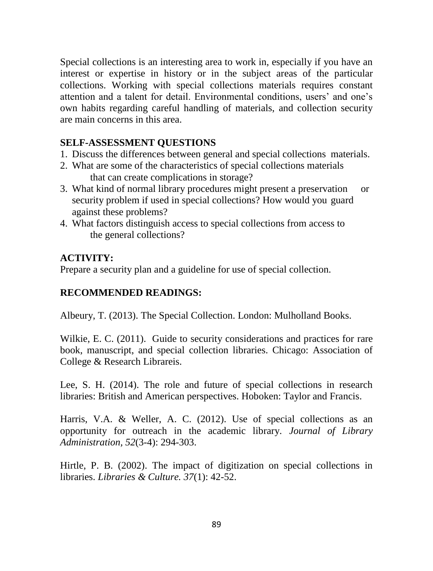Special collections is an interesting area to work in, especially if you have an interest or expertise in history or in the subject areas of the particular collections. Working with special collections materials requires constant attention and a talent for detail. Environmental conditions, users' and one's own habits regarding careful handling of materials, and collection security are main concerns in this area.

### **SELF-ASSESSMENT QUESTIONS**

- 1. Discuss the differences between general and special collections materials.
- 2. What are some of the characteristics of special collections materials that can create complications in storage?
- 3. What kind of normal library procedures might present a preservation or security problem if used in special collections? How would you guard against these problems?
- 4. What factors distinguish access to special collections from access to the general collections?

# **ACTIVITY:**

Prepare a security plan and a guideline for use of special collection.

# **RECOMMENDED READINGS:**

Albeury, T. (2013). The Special Collection. London: Mulholland Books.

Wilkie, E. C. (2011). Guide to security considerations and practices for rare book, manuscript, and special collection libraries. Chicago: Association of College & Research Librareis.

Lee, S. H. (2014). The role and future of special collections in research libraries: British and American perspectives. Hoboken: Taylor and Francis.

Harris, V.A. & Weller, A. C. (2012). Use of special collections as an opportunity for outreach in the academic library. *Journal of Library Administration, 52*(3-4): 294-303.

Hirtle, P. B. (2002). The impact of digitization on special collections in libraries. *Libraries & Culture. 37*(1): 42-52.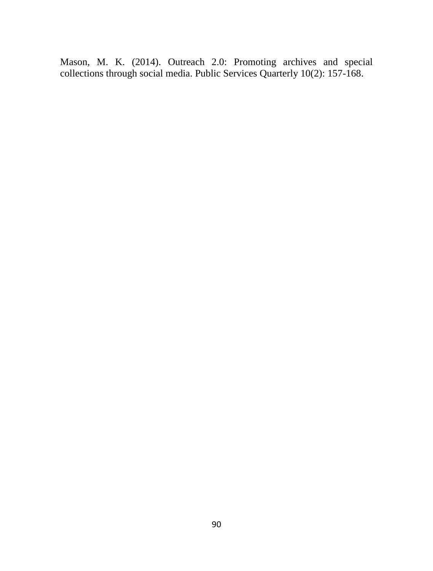Mason, M. K. (2014). Outreach 2.0: Promoting archives and special collections through social media. Public Services Quarterly 10(2): 157-168.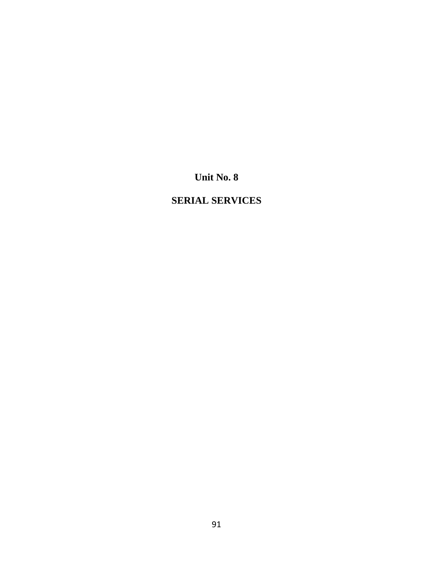**Unit No. 8**

# **SERIAL SERVICES**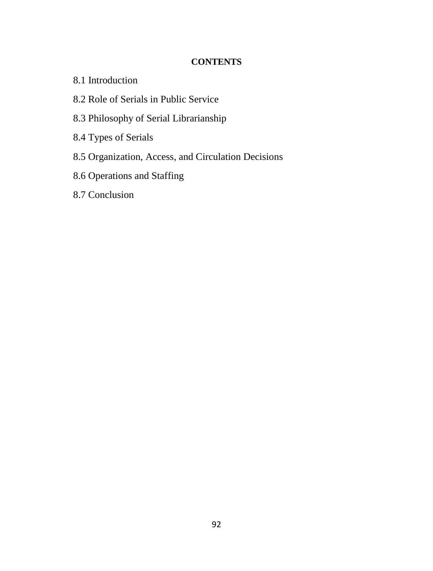### **CONTENTS**

- 8.1 Introduction
- 8.2 Role of Serials in Public Service
- 8.3 Philosophy of Serial Librarianship
- 8.4 Types of Serials
- 8.5 Organization, Access, and Circulation Decisions
- 8.6 Operations and Staffing
- 8.7 Conclusion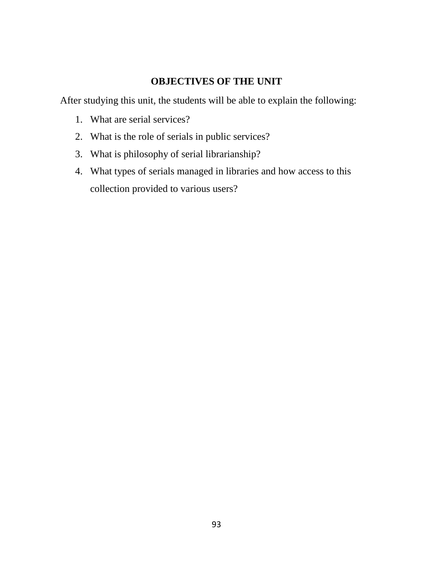# **OBJECTIVES OF THE UNIT**

After studying this unit, the students will be able to explain the following:

- 1. What are serial services?
- 2. What is the role of serials in public services?
- 3. What is philosophy of serial librarianship?
- 4. What types of serials managed in libraries and how access to this collection provided to various users?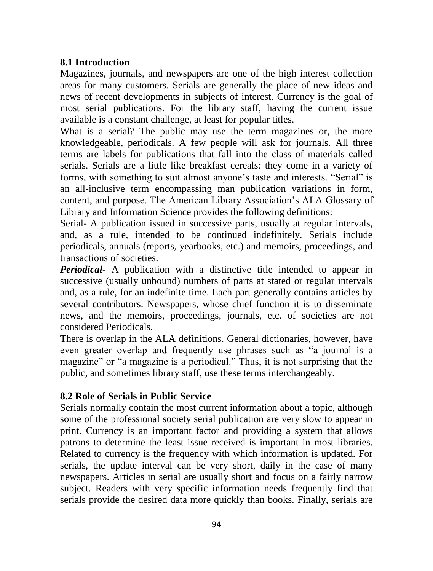# **8.1 Introduction**

Magazines, journals, and newspapers are one of the high interest collection areas for many customers. Serials are generally the place of new ideas and news of recent developments in subjects of interest. Currency is the goal of most serial publications. For the library staff, having the current issue available is a constant challenge, at least for popular titles.

What is a serial? The public may use the term magazines or, the more knowledgeable, periodicals. A few people will ask for journals. All three terms are labels for publications that fall into the class of materials called serials. Serials are a little like breakfast cereals: they come in a variety of forms, with something to suit almost anyone's taste and interests. "Serial" is an all-inclusive term encompassing man publication variations in form, content, and purpose. The American Library Association's ALA Glossary of Library and Information Science provides the following definitions:

Serial- A publication issued in successive parts, usually at regular intervals, and, as a rule, intended to be continued indefinitely. Serials include periodicals, annuals (reports, yearbooks, etc.) and memoirs, proceedings, and transactions of societies.

*Periodical*- A publication with a distinctive title intended to appear in successive (usually unbound) numbers of parts at stated or regular intervals and, as a rule, for an indefinite time. Each part generally contains articles by several contributors. Newspapers, whose chief function it is to disseminate news, and the memoirs, proceedings, journals, etc. of societies are not considered Periodicals.

There is overlap in the ALA definitions. General dictionaries, however, have even greater overlap and frequently use phrases such as "a journal is a magazine" or "a magazine is a periodical." Thus, it is not surprising that the public, and sometimes library staff, use these terms interchangeably.

# **8.2 Role of Serials in Public Service**

Serials normally contain the most current information about a topic, although some of the professional society serial publication are very slow to appear in print. Currency is an important factor and providing a system that allows patrons to determine the least issue received is important in most libraries. Related to currency is the frequency with which information is updated. For serials, the update interval can be very short, daily in the case of many newspapers. Articles in serial are usually short and focus on a fairly narrow subject. Readers with very specific information needs frequently find that serials provide the desired data more quickly than books. Finally, serials are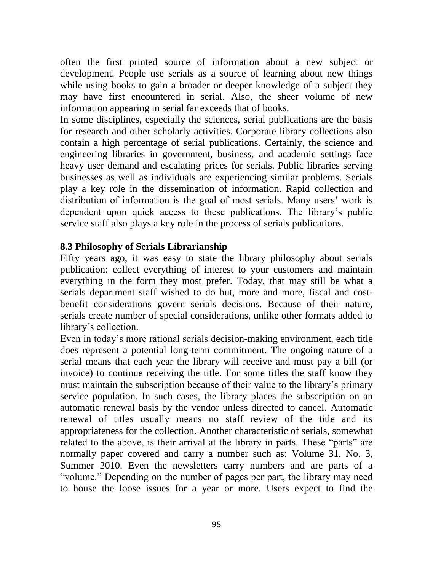often the first printed source of information about a new subject or development. People use serials as a source of learning about new things while using books to gain a broader or deeper knowledge of a subject they may have first encountered in serial. Also, the sheer volume of new information appearing in serial far exceeds that of books.

In some disciplines, especially the sciences, serial publications are the basis for research and other scholarly activities. Corporate library collections also contain a high percentage of serial publications. Certainly, the science and engineering libraries in government, business, and academic settings face heavy user demand and escalating prices for serials. Public libraries serving businesses as well as individuals are experiencing similar problems. Serials play a key role in the dissemination of information. Rapid collection and distribution of information is the goal of most serials. Many users' work is dependent upon quick access to these publications. The library's public service staff also plays a key role in the process of serials publications.

#### **8.3 Philosophy of Serials Librarianship**

Fifty years ago, it was easy to state the library philosophy about serials publication: collect everything of interest to your customers and maintain everything in the form they most prefer. Today, that may still be what a serials department staff wished to do but, more and more, fiscal and costbenefit considerations govern serials decisions. Because of their nature, serials create number of special considerations, unlike other formats added to library's collection.

Even in today's more rational serials decision-making environment, each title does represent a potential long-term commitment. The ongoing nature of a serial means that each year the library will receive and must pay a bill (or invoice) to continue receiving the title. For some titles the staff know they must maintain the subscription because of their value to the library's primary service population. In such cases, the library places the subscription on an automatic renewal basis by the vendor unless directed to cancel. Automatic renewal of titles usually means no staff review of the title and its appropriateness for the collection. Another characteristic of serials, somewhat related to the above, is their arrival at the library in parts. These "parts" are normally paper covered and carry a number such as: Volume 31, No. 3, Summer 2010. Even the newsletters carry numbers and are parts of a "volume." Depending on the number of pages per part, the library may need to house the loose issues for a year or more. Users expect to find the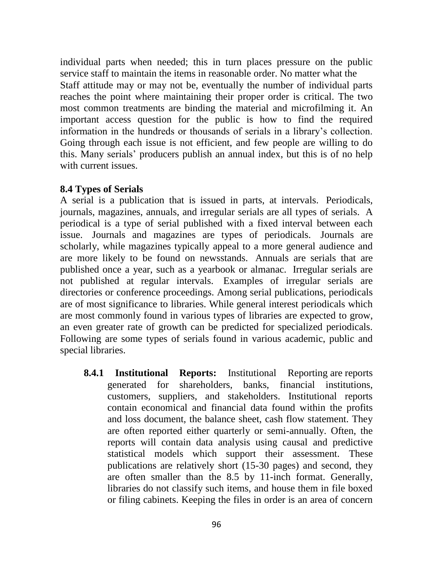individual parts when needed; this in turn places pressure on the public service staff to maintain the items in reasonable order. No matter what the Staff attitude may or may not be, eventually the number of individual parts reaches the point where maintaining their proper order is critical. The two most common treatments are binding the material and microfilming it. An important access question for the public is how to find the required information in the hundreds or thousands of serials in a library's collection. Going through each issue is not efficient, and few people are willing to do this. Many serials' producers publish an annual index, but this is of no help with current issues.

### **8.4 Types of Serials**

A serial is a publication that is issued in parts, at intervals. Periodicals, journals, magazines, annuals, and irregular serials are all types of serials. A periodical is a type of serial published with a fixed interval between each issue. Journals and magazines are types of periodicals. Journals are scholarly, while magazines typically appeal to a more general audience and are more likely to be found on newsstands. Annuals are serials that are published once a year, such as a yearbook or almanac. Irregular serials are not published at regular intervals. Examples of irregular serials are directories or conference proceedings. Among serial publications, periodicals are of most significance to libraries. While general interest periodicals which are most commonly found in various types of libraries are expected to grow, an even greater rate of growth can be predicted for specialized periodicals. Following are some types of serials found in various academic, public and special libraries.

**8.4.1 Institutional Reports:** Institutional Reporting are reports generated for shareholders, banks, financial institutions, customers, suppliers, and stakeholders. Institutional reports contain economical and financial data found within the profits and loss document, the balance sheet, cash flow statement. They are often reported either quarterly or semi-annually. Often, the reports will contain data analysis using causal and predictive statistical models which support their assessment. These publications are relatively short (15-30 pages) and second, they are often smaller than the 8.5 by 11-inch format. Generally, libraries do not classify such items, and house them in file boxed or filing cabinets. Keeping the files in order is an area of concern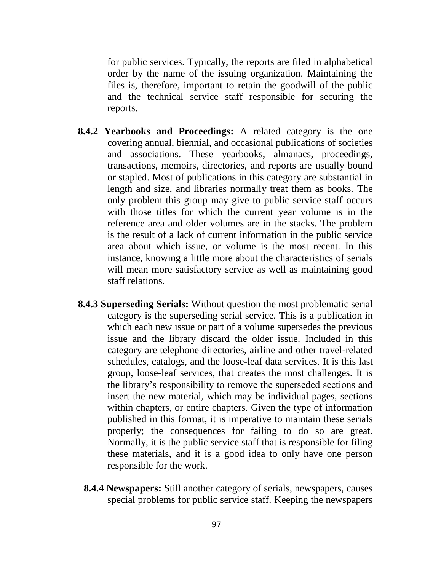for public services. Typically, the reports are filed in alphabetical order by the name of the issuing organization. Maintaining the files is, therefore, important to retain the goodwill of the public and the technical service staff responsible for securing the reports.

- **8.4.2 Yearbooks and Proceedings:** A related category is the one covering annual, biennial, and occasional publications of societies and associations. These yearbooks, almanacs, proceedings, transactions, memoirs, directories, and reports are usually bound or stapled. Most of publications in this category are substantial in length and size, and libraries normally treat them as books. The only problem this group may give to public service staff occurs with those titles for which the current year volume is in the reference area and older volumes are in the stacks. The problem is the result of a lack of current information in the public service area about which issue, or volume is the most recent. In this instance, knowing a little more about the characteristics of serials will mean more satisfactory service as well as maintaining good staff relations.
- **8.4.3 Superseding Serials:** Without question the most problematic serial category is the superseding serial service. This is a publication in which each new issue or part of a volume supersedes the previous issue and the library discard the older issue. Included in this category are telephone directories, airline and other travel-related schedules, catalogs, and the loose-leaf data services. It is this last group, loose-leaf services, that creates the most challenges. It is the library's responsibility to remove the superseded sections and insert the new material, which may be individual pages, sections within chapters, or entire chapters. Given the type of information published in this format, it is imperative to maintain these serials properly; the consequences for failing to do so are great. Normally, it is the public service staff that is responsible for filing these materials, and it is a good idea to only have one person responsible for the work.
	- **8.4.4 Newspapers:** Still another category of serials, newspapers, causes special problems for public service staff. Keeping the newspapers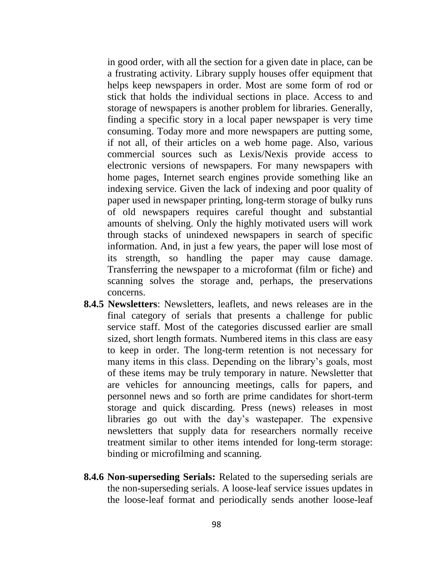in good order, with all the section for a given date in place, can be a frustrating activity. Library supply houses offer equipment that helps keep newspapers in order. Most are some form of rod or stick that holds the individual sections in place. Access to and storage of newspapers is another problem for libraries. Generally, finding a specific story in a local paper newspaper is very time consuming. Today more and more newspapers are putting some, if not all, of their articles on a web home page. Also, various commercial sources such as Lexis/Nexis provide access to electronic versions of newspapers. For many newspapers with home pages, Internet search engines provide something like an indexing service. Given the lack of indexing and poor quality of paper used in newspaper printing, long-term storage of bulky runs of old newspapers requires careful thought and substantial amounts of shelving. Only the highly motivated users will work through stacks of unindexed newspapers in search of specific information. And, in just a few years, the paper will lose most of its strength, so handling the paper may cause damage. Transferring the newspaper to a microformat (film or fiche) and scanning solves the storage and, perhaps, the preservations concerns.

- **8.4.5 Newsletters**: Newsletters, leaflets, and news releases are in the final category of serials that presents a challenge for public service staff. Most of the categories discussed earlier are small sized, short length formats. Numbered items in this class are easy to keep in order. The long-term retention is not necessary for many items in this class. Depending on the library's goals, most of these items may be truly temporary in nature. Newsletter that are vehicles for announcing meetings, calls for papers, and personnel news and so forth are prime candidates for short-term storage and quick discarding. Press (news) releases in most libraries go out with the day's wastepaper. The expensive newsletters that supply data for researchers normally receive treatment similar to other items intended for long-term storage: binding or microfilming and scanning.
- **8.4.6 Non-superseding Serials:** Related to the superseding serials are the non-superseding serials. A loose-leaf service issues updates in the loose-leaf format and periodically sends another loose-leaf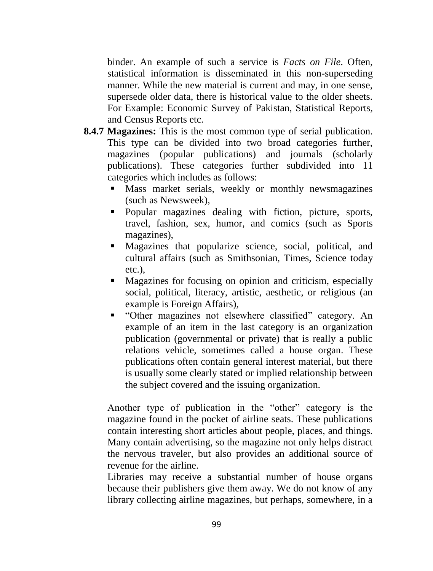binder. An example of such a service is *Facts on File*. Often, statistical information is disseminated in this non-superseding manner. While the new material is current and may, in one sense, supersede older data, there is historical value to the older sheets. For Example: Economic Survey of Pakistan, Statistical Reports, and Census Reports etc.

- **8.4.7 Magazines:** This is the most common type of serial publication. This type can be divided into two broad categories further, magazines (popular publications) and journals (scholarly publications). These categories further subdivided into 11 categories which includes as follows:
	- **Mass market serials, weekly or monthly newsmagazines** (such as Newsweek),
	- Popular magazines dealing with fiction, picture, sports, travel, fashion, sex, humor, and comics (such as Sports magazines),
	- Magazines that popularize science, social, political, and cultural affairs (such as Smithsonian, Times, Science today etc.),
	- Magazines for focusing on opinion and criticism, especially social, political, literacy, artistic, aesthetic, or religious (an example is Foreign Affairs),
	- "Other magazines not elsewhere classified" category. An example of an item in the last category is an organization publication (governmental or private) that is really a public relations vehicle, sometimes called a house organ. These publications often contain general interest material, but there is usually some clearly stated or implied relationship between the subject covered and the issuing organization.

Another type of publication in the "other" category is the magazine found in the pocket of airline seats. These publications contain interesting short articles about people, places, and things. Many contain advertising, so the magazine not only helps distract the nervous traveler, but also provides an additional source of revenue for the airline.

Libraries may receive a substantial number of house organs because their publishers give them away. We do not know of any library collecting airline magazines, but perhaps, somewhere, in a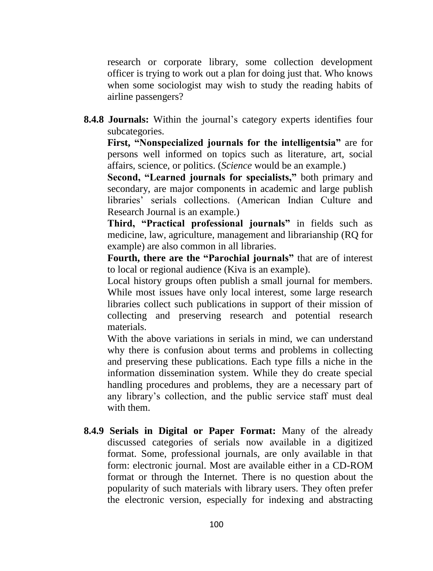research or corporate library, some collection development officer is trying to work out a plan for doing just that. Who knows when some sociologist may wish to study the reading habits of airline passengers?

**8.4.8 Journals:** Within the journal's category experts identifies four subcategories.

**First, "Nonspecialized journals for the intelligentsia"** are for persons well informed on topics such as literature, art, social affairs, science, or politics. (*Science* would be an example.)

**Second, "Learned journals for specialists,"** both primary and secondary, are major components in academic and large publish libraries' serials collections. (American Indian Culture and Research Journal is an example.)

**Third, "Practical professional journals"** in fields such as medicine, law, agriculture, management and librarianship (RQ for example) are also common in all libraries.

**Fourth, there are the "Parochial journals"** that are of interest to local or regional audience (Kiva is an example).

Local history groups often publish a small journal for members. While most issues have only local interest, some large research libraries collect such publications in support of their mission of collecting and preserving research and potential research materials.

With the above variations in serials in mind, we can understand why there is confusion about terms and problems in collecting and preserving these publications. Each type fills a niche in the information dissemination system. While they do create special handling procedures and problems, they are a necessary part of any library's collection, and the public service staff must deal with them.

**8.4.9 Serials in Digital or Paper Format:** Many of the already discussed categories of serials now available in a digitized format. Some, professional journals, are only available in that form: electronic journal. Most are available either in a CD-ROM format or through the Internet. There is no question about the popularity of such materials with library users. They often prefer the electronic version, especially for indexing and abstracting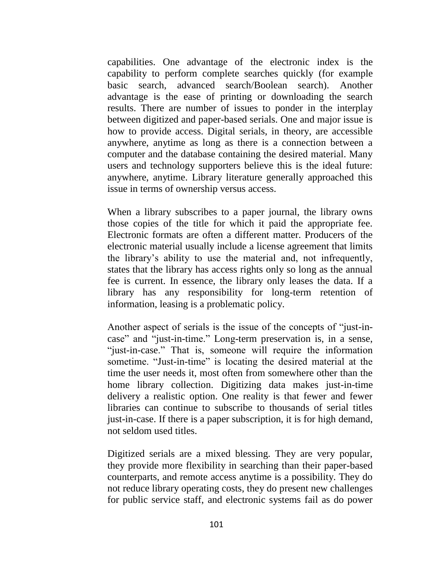capabilities. One advantage of the electronic index is the capability to perform complete searches quickly (for example basic search, advanced search/Boolean search). Another advantage is the ease of printing or downloading the search results. There are number of issues to ponder in the interplay between digitized and paper-based serials. One and major issue is how to provide access. Digital serials, in theory, are accessible anywhere, anytime as long as there is a connection between a computer and the database containing the desired material. Many users and technology supporters believe this is the ideal future: anywhere, anytime. Library literature generally approached this issue in terms of ownership versus access.

When a library subscribes to a paper journal, the library owns those copies of the title for which it paid the appropriate fee. Electronic formats are often a different matter. Producers of the electronic material usually include a license agreement that limits the library's ability to use the material and, not infrequently, states that the library has access rights only so long as the annual fee is current. In essence, the library only leases the data. If a library has any responsibility for long-term retention of information, leasing is a problematic policy.

Another aspect of serials is the issue of the concepts of "just-incase" and "just-in-time." Long-term preservation is, in a sense, "just-in-case." That is, someone will require the information sometime. "Just-in-time" is locating the desired material at the time the user needs it, most often from somewhere other than the home library collection. Digitizing data makes just-in-time delivery a realistic option. One reality is that fewer and fewer libraries can continue to subscribe to thousands of serial titles just-in-case. If there is a paper subscription, it is for high demand, not seldom used titles.

Digitized serials are a mixed blessing. They are very popular, they provide more flexibility in searching than their paper-based counterparts, and remote access anytime is a possibility. They do not reduce library operating costs, they do present new challenges for public service staff, and electronic systems fail as do power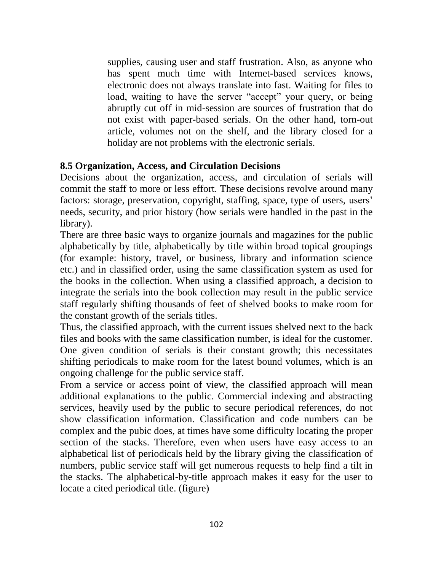supplies, causing user and staff frustration. Also, as anyone who has spent much time with Internet-based services knows, electronic does not always translate into fast. Waiting for files to load, waiting to have the server "accept" your query, or being abruptly cut off in mid-session are sources of frustration that do not exist with paper-based serials. On the other hand, torn-out article, volumes not on the shelf, and the library closed for a holiday are not problems with the electronic serials.

### **8.5 Organization, Access, and Circulation Decisions**

Decisions about the organization, access, and circulation of serials will commit the staff to more or less effort. These decisions revolve around many factors: storage, preservation, copyright, staffing, space, type of users, users' needs, security, and prior history (how serials were handled in the past in the library).

There are three basic ways to organize journals and magazines for the public alphabetically by title, alphabetically by title within broad topical groupings (for example: history, travel, or business, library and information science etc.) and in classified order, using the same classification system as used for the books in the collection. When using a classified approach, a decision to integrate the serials into the book collection may result in the public service staff regularly shifting thousands of feet of shelved books to make room for the constant growth of the serials titles.

Thus, the classified approach, with the current issues shelved next to the back files and books with the same classification number, is ideal for the customer. One given condition of serials is their constant growth; this necessitates shifting periodicals to make room for the latest bound volumes, which is an ongoing challenge for the public service staff.

From a service or access point of view, the classified approach will mean additional explanations to the public. Commercial indexing and abstracting services, heavily used by the public to secure periodical references, do not show classification information. Classification and code numbers can be complex and the pubic does, at times have some difficulty locating the proper section of the stacks. Therefore, even when users have easy access to an alphabetical list of periodicals held by the library giving the classification of numbers, public service staff will get numerous requests to help find a tilt in the stacks. The alphabetical-by-title approach makes it easy for the user to locate a cited periodical title. (figure)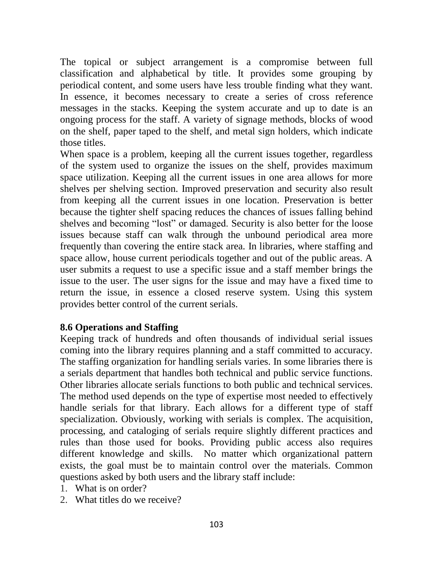The topical or subject arrangement is a compromise between full classification and alphabetical by title. It provides some grouping by periodical content, and some users have less trouble finding what they want. In essence, it becomes necessary to create a series of cross reference messages in the stacks. Keeping the system accurate and up to date is an ongoing process for the staff. A variety of signage methods, blocks of wood on the shelf, paper taped to the shelf, and metal sign holders, which indicate those titles.

When space is a problem, keeping all the current issues together, regardless of the system used to organize the issues on the shelf, provides maximum space utilization. Keeping all the current issues in one area allows for more shelves per shelving section. Improved preservation and security also result from keeping all the current issues in one location. Preservation is better because the tighter shelf spacing reduces the chances of issues falling behind shelves and becoming "lost" or damaged. Security is also better for the loose issues because staff can walk through the unbound periodical area more frequently than covering the entire stack area. In libraries, where staffing and space allow, house current periodicals together and out of the public areas. A user submits a request to use a specific issue and a staff member brings the issue to the user. The user signs for the issue and may have a fixed time to return the issue, in essence a closed reserve system. Using this system provides better control of the current serials.

# **8.6 Operations and Staffing**

Keeping track of hundreds and often thousands of individual serial issues coming into the library requires planning and a staff committed to accuracy. The staffing organization for handling serials varies. In some libraries there is a serials department that handles both technical and public service functions. Other libraries allocate serials functions to both public and technical services. The method used depends on the type of expertise most needed to effectively handle serials for that library. Each allows for a different type of staff specialization. Obviously, working with serials is complex. The acquisition, processing, and cataloging of serials require slightly different practices and rules than those used for books. Providing public access also requires different knowledge and skills. No matter which organizational pattern exists, the goal must be to maintain control over the materials. Common questions asked by both users and the library staff include:

- 1. What is on order?
- 2. What titles do we receive?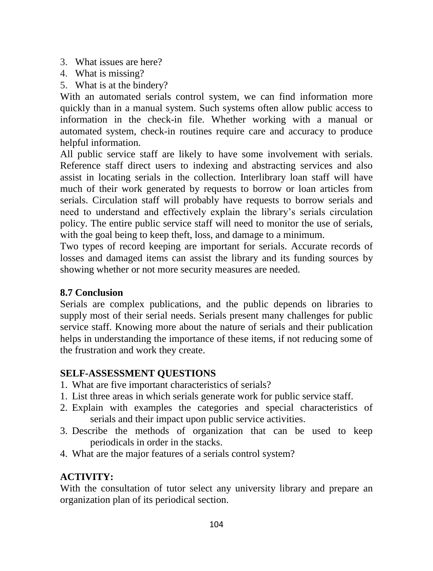- 3. What issues are here?
- 4. What is missing?
- 5. What is at the bindery?

With an automated serials control system, we can find information more quickly than in a manual system. Such systems often allow public access to information in the check-in file. Whether working with a manual or automated system, check-in routines require care and accuracy to produce helpful information.

All public service staff are likely to have some involvement with serials. Reference staff direct users to indexing and abstracting services and also assist in locating serials in the collection. Interlibrary loan staff will have much of their work generated by requests to borrow or loan articles from serials. Circulation staff will probably have requests to borrow serials and need to understand and effectively explain the library's serials circulation policy. The entire public service staff will need to monitor the use of serials, with the goal being to keep theft, loss, and damage to a minimum.

Two types of record keeping are important for serials. Accurate records of losses and damaged items can assist the library and its funding sources by showing whether or not more security measures are needed.

# **8.7 Conclusion**

Serials are complex publications, and the public depends on libraries to supply most of their serial needs. Serials present many challenges for public service staff. Knowing more about the nature of serials and their publication helps in understanding the importance of these items, if not reducing some of the frustration and work they create.

# **SELF-ASSESSMENT QUESTIONS**

- 1. What are five important characteristics of serials?
- 1. List three areas in which serials generate work for public service staff.
- 2. Explain with examples the categories and special characteristics of serials and their impact upon public service activities.
- 3. Describe the methods of organization that can be used to keep periodicals in order in the stacks.
- 4. What are the major features of a serials control system?

# **ACTIVITY:**

With the consultation of tutor select any university library and prepare an organization plan of its periodical section.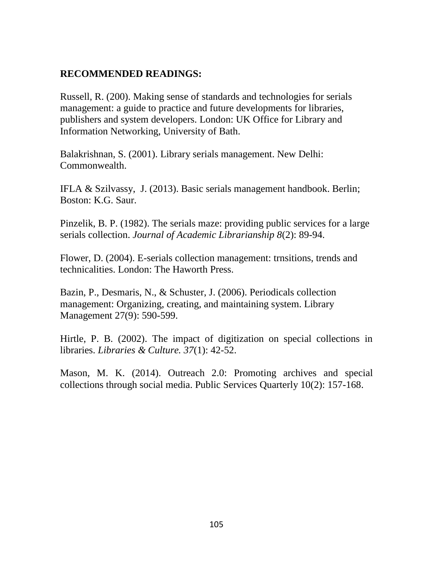# **RECOMMENDED READINGS:**

Russell, R. (200). Making sense of standards and technologies for serials management: a guide to practice and future developments for libraries, publishers and system developers. London: UK Office for Library and Information Networking, University of Bath.

Balakrishnan, S. (2001). Library serials management. New Delhi: Commonwealth.

IFLA & Szilvassy, J. (2013). Basic serials management handbook. Berlin; Boston: K.G. Saur.

Pinzelik, B. P. (1982). The serials maze: providing public services for a large serials collection. *Journal of Academic Librarianship 8*(2): 89-94.

Flower, D. (2004). E-serials collection management: trnsitions, trends and technicalities. London: The Haworth Press.

Bazin, P., Desmaris, N., & Schuster, J. (2006). Periodicals collection management: Organizing, creating, and maintaining system. Library Management 27(9): 590-599.

Hirtle, P. B. (2002). The impact of digitization on special collections in libraries. *Libraries & Culture. 37*(1): 42-52.

Mason, M. K. (2014). Outreach 2.0: Promoting archives and special collections through social media. Public Services Quarterly 10(2): 157-168.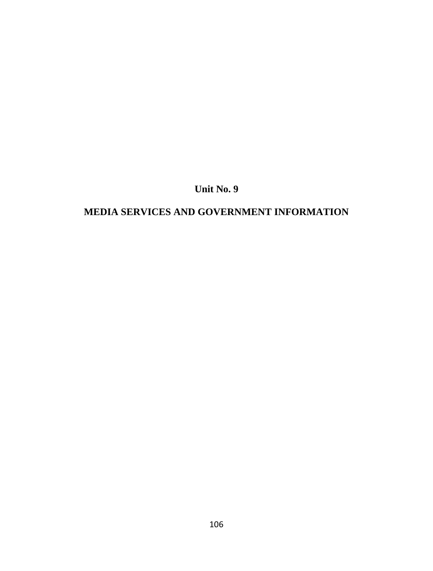**Unit No. 9**

# **MEDIA SERVICES AND GOVERNMENT INFORMATION**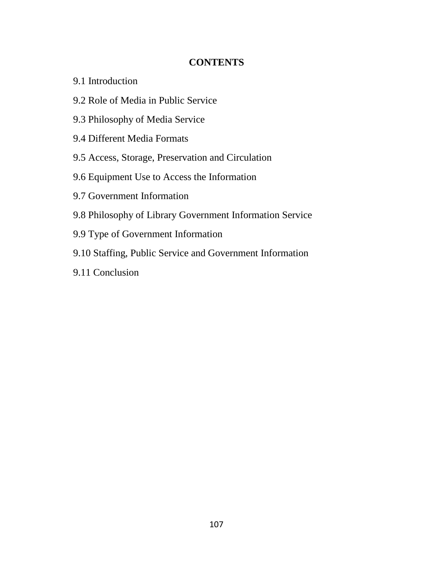### **CONTENTS**

- 9.1 Introduction
- 9.2 Role of Media in Public Service
- 9.3 Philosophy of Media Service
- 9.4 Different Media Formats
- 9.5 Access, Storage, Preservation and Circulation
- 9.6 Equipment Use to Access the Information
- 9.7 Government Information
- 9.8 Philosophy of Library Government Information Service
- 9.9 Type of Government Information
- 9.10 Staffing, Public Service and Government Information
- 9.11 Conclusion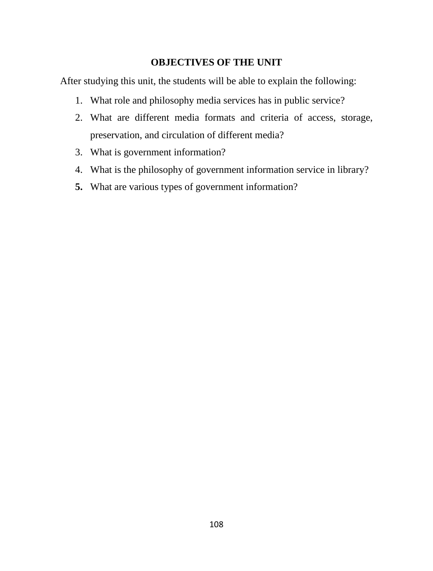# **OBJECTIVES OF THE UNIT**

After studying this unit, the students will be able to explain the following:

- 1. What role and philosophy media services has in public service?
- 2. What are different media formats and criteria of access, storage, preservation, and circulation of different media?
- 3. What is government information?
- 4. What is the philosophy of government information service in library?
- **5.** What are various types of government information?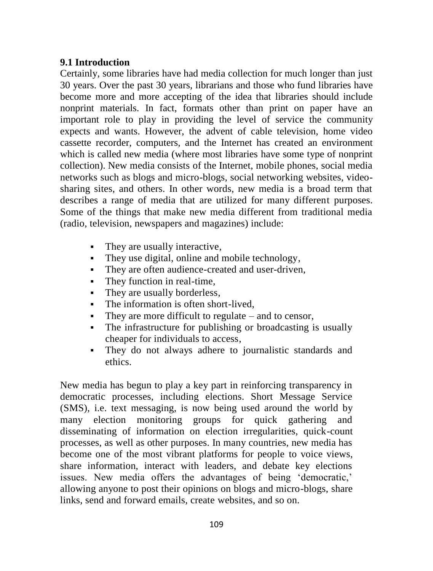### **9.1 Introduction**

Certainly, some libraries have had media collection for much longer than just 30 years. Over the past 30 years, librarians and those who fund libraries have become more and more accepting of the idea that libraries should include nonprint materials. In fact, formats other than print on paper have an important role to play in providing the level of service the community expects and wants. However, the advent of cable television, home video cassette recorder, computers, and the Internet has created an environment which is called new media (where most libraries have some type of nonprint collection). New media consists of the Internet, mobile phones, social media networks such as blogs and micro-blogs, social networking websites, videosharing sites, and others. In other words, new media is a broad term that describes a range of media that are utilized for many different purposes. Some of the things that make new media different from traditional media (radio, television, newspapers and magazines) include:

- They are usually interactive,
- They use digital, online and mobile technology,
- They are often audience-created and user-driven,
- They function in real-time,
- They are usually borderless,
- The information is often short-lived,
- They are more difficult to regulate and to censor,
- The infrastructure for publishing or broadcasting is usually cheaper for individuals to access,
- They do not always adhere to journalistic standards and ethics.

New media has begun to play a key part in reinforcing transparency in democratic processes, including elections. Short Message Service (SMS), i.e. text messaging, is now being used around the world by many election monitoring groups for quick gathering and disseminating of information on election irregularities, quick-count processes, as well as other purposes. In many countries, new media has become one of the most vibrant platforms for people to voice views, share information, interact with leaders, and debate key elections issues. New media offers the advantages of being 'democratic,' allowing anyone to post their opinions on blogs and micro-blogs, share links, send and forward emails, create websites, and so on.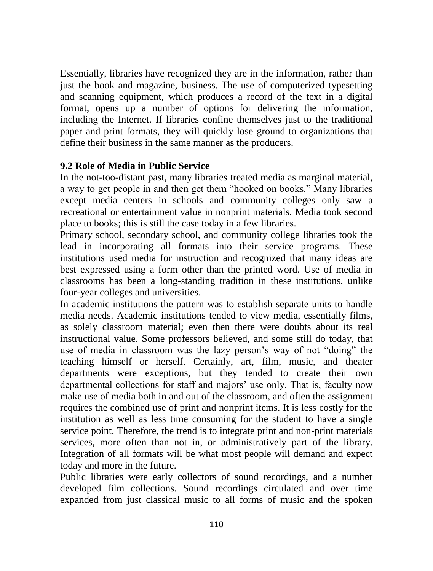Essentially, libraries have recognized they are in the information, rather than just the book and magazine, business. The use of computerized typesetting and scanning equipment, which produces a record of the text in a digital format, opens up a number of options for delivering the information, including the Internet. If libraries confine themselves just to the traditional paper and print formats, they will quickly lose ground to organizations that define their business in the same manner as the producers.

### **9.2 Role of Media in Public Service**

In the not-too-distant past, many libraries treated media as marginal material, a way to get people in and then get them "hooked on books." Many libraries except media centers in schools and community colleges only saw a recreational or entertainment value in nonprint materials. Media took second place to books; this is still the case today in a few libraries.

Primary school, secondary school, and community college libraries took the lead in incorporating all formats into their service programs. These institutions used media for instruction and recognized that many ideas are best expressed using a form other than the printed word. Use of media in classrooms has been a long-standing tradition in these institutions, unlike four-year colleges and universities.

In academic institutions the pattern was to establish separate units to handle media needs. Academic institutions tended to view media, essentially films, as solely classroom material; even then there were doubts about its real instructional value. Some professors believed, and some still do today, that use of media in classroom was the lazy person's way of not "doing" the teaching himself or herself. Certainly, art, film, music, and theater departments were exceptions, but they tended to create their own departmental collections for staff and majors' use only. That is, faculty now make use of media both in and out of the classroom, and often the assignment requires the combined use of print and nonprint items. It is less costly for the institution as well as less time consuming for the student to have a single service point. Therefore, the trend is to integrate print and non-print materials services, more often than not in, or administratively part of the library. Integration of all formats will be what most people will demand and expect today and more in the future.

Public libraries were early collectors of sound recordings, and a number developed film collections. Sound recordings circulated and over time expanded from just classical music to all forms of music and the spoken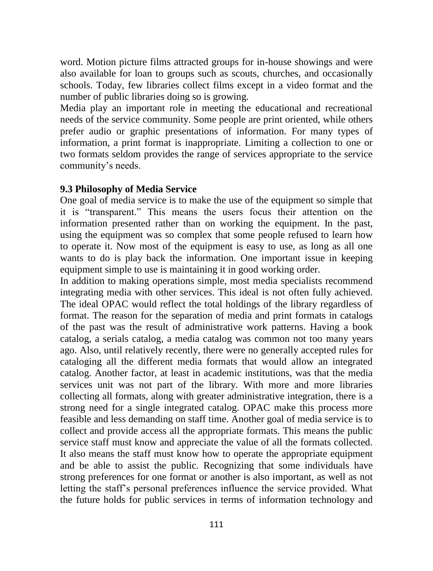word. Motion picture films attracted groups for in-house showings and were also available for loan to groups such as scouts, churches, and occasionally schools. Today, few libraries collect films except in a video format and the number of public libraries doing so is growing.

Media play an important role in meeting the educational and recreational needs of the service community. Some people are print oriented, while others prefer audio or graphic presentations of information. For many types of information, a print format is inappropriate. Limiting a collection to one or two formats seldom provides the range of services appropriate to the service community's needs.

#### **9.3 Philosophy of Media Service**

One goal of media service is to make the use of the equipment so simple that it is "transparent." This means the users focus their attention on the information presented rather than on working the equipment. In the past, using the equipment was so complex that some people refused to learn how to operate it. Now most of the equipment is easy to use, as long as all one wants to do is play back the information. One important issue in keeping equipment simple to use is maintaining it in good working order.

In addition to making operations simple, most media specialists recommend integrating media with other services. This ideal is not often fully achieved. The ideal OPAC would reflect the total holdings of the library regardless of format. The reason for the separation of media and print formats in catalogs of the past was the result of administrative work patterns. Having a book catalog, a serials catalog, a media catalog was common not too many years ago. Also, until relatively recently, there were no generally accepted rules for cataloging all the different media formats that would allow an integrated catalog. Another factor, at least in academic institutions, was that the media services unit was not part of the library. With more and more libraries collecting all formats, along with greater administrative integration, there is a strong need for a single integrated catalog. OPAC make this process more feasible and less demanding on staff time. Another goal of media service is to collect and provide access all the appropriate formats. This means the public service staff must know and appreciate the value of all the formats collected. It also means the staff must know how to operate the appropriate equipment and be able to assist the public. Recognizing that some individuals have strong preferences for one format or another is also important, as well as not letting the staff's personal preferences influence the service provided. What the future holds for public services in terms of information technology and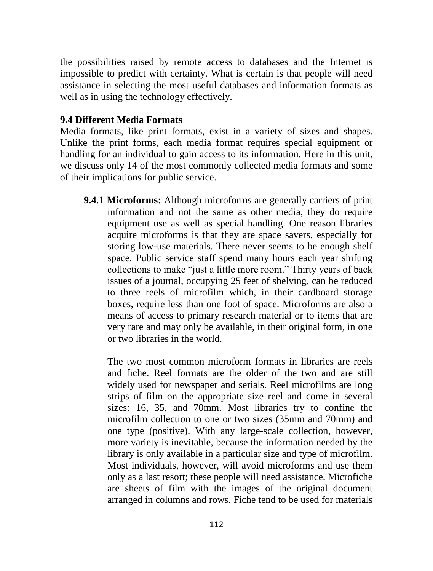the possibilities raised by remote access to databases and the Internet is impossible to predict with certainty. What is certain is that people will need assistance in selecting the most useful databases and information formats as well as in using the technology effectively.

### **9.4 Different Media Formats**

Media formats, like print formats, exist in a variety of sizes and shapes. Unlike the print forms, each media format requires special equipment or handling for an individual to gain access to its information. Here in this unit, we discuss only 14 of the most commonly collected media formats and some of their implications for public service.

**9.4.1 Microforms:** Although microforms are generally carriers of print information and not the same as other media, they do require equipment use as well as special handling. One reason libraries acquire microforms is that they are space savers, especially for storing low-use materials. There never seems to be enough shelf space. Public service staff spend many hours each year shifting collections to make "just a little more room." Thirty years of back issues of a journal, occupying 25 feet of shelving, can be reduced to three reels of microfilm which, in their cardboard storage boxes, require less than one foot of space. Microforms are also a means of access to primary research material or to items that are very rare and may only be available, in their original form, in one or two libraries in the world.

The two most common microform formats in libraries are reels and fiche. Reel formats are the older of the two and are still widely used for newspaper and serials. Reel microfilms are long strips of film on the appropriate size reel and come in several sizes: 16, 35, and 70mm. Most libraries try to confine the microfilm collection to one or two sizes (35mm and 70mm) and one type (positive). With any large-scale collection, however, more variety is inevitable, because the information needed by the library is only available in a particular size and type of microfilm. Most individuals, however, will avoid microforms and use them only as a last resort; these people will need assistance. Microfiche are sheets of film with the images of the original document arranged in columns and rows. Fiche tend to be used for materials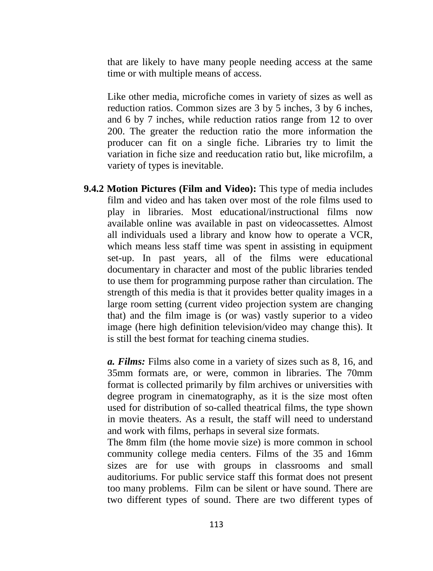that are likely to have many people needing access at the same time or with multiple means of access.

Like other media, microfiche comes in variety of sizes as well as reduction ratios. Common sizes are 3 by 5 inches, 3 by 6 inches, and 6 by 7 inches, while reduction ratios range from 12 to over 200. The greater the reduction ratio the more information the producer can fit on a single fiche. Libraries try to limit the variation in fiche size and reeducation ratio but, like microfilm, a variety of types is inevitable.

**9.4.2 Motion Pictures (Film and Video):** This type of media includes film and video and has taken over most of the role films used to play in libraries. Most educational/instructional films now available online was available in past on videocassettes. Almost all individuals used a library and know how to operate a VCR, which means less staff time was spent in assisting in equipment set-up. In past years, all of the films were educational documentary in character and most of the public libraries tended to use them for programming purpose rather than circulation. The strength of this media is that it provides better quality images in a large room setting (current video projection system are changing that) and the film image is (or was) vastly superior to a video image (here high definition television/video may change this). It is still the best format for teaching cinema studies.

*a. Films:* Films also come in a variety of sizes such as 8, 16, and 35mm formats are, or were, common in libraries. The 70mm format is collected primarily by film archives or universities with degree program in cinematography, as it is the size most often used for distribution of so-called theatrical films, the type shown in movie theaters. As a result, the staff will need to understand and work with films, perhaps in several size formats.

The 8mm film (the home movie size) is more common in school community college media centers. Films of the 35 and 16mm sizes are for use with groups in classrooms and small auditoriums. For public service staff this format does not present too many problems. Film can be silent or have sound. There are two different types of sound. There are two different types of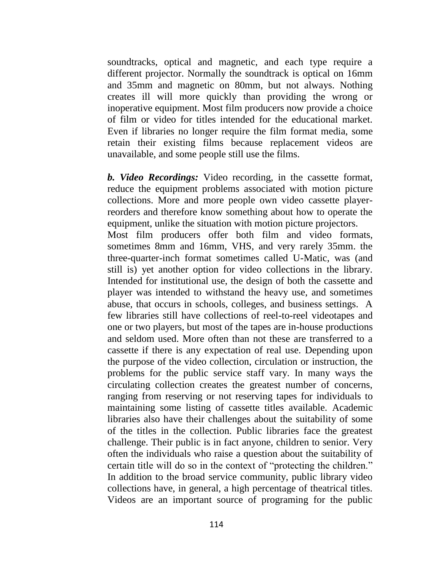soundtracks, optical and magnetic, and each type require a different projector. Normally the soundtrack is optical on 16mm and 35mm and magnetic on 80mm, but not always. Nothing creates ill will more quickly than providing the wrong or inoperative equipment. Most film producers now provide a choice of film or video for titles intended for the educational market. Even if libraries no longer require the film format media, some retain their existing films because replacement videos are unavailable, and some people still use the films.

*b. Video Recordings:* Video recording, in the cassette format, reduce the equipment problems associated with motion picture collections. More and more people own video cassette playerreorders and therefore know something about how to operate the equipment, unlike the situation with motion picture projectors. Most film producers offer both film and video formats, sometimes 8mm and 16mm, VHS, and very rarely 35mm. the three-quarter-inch format sometimes called U-Matic, was (and still is) yet another option for video collections in the library. Intended for institutional use, the design of both the cassette and player was intended to withstand the heavy use, and sometimes abuse, that occurs in schools, colleges, and business settings. A few libraries still have collections of reel-to-reel videotapes and one or two players, but most of the tapes are in-house productions and seldom used. More often than not these are transferred to a cassette if there is any expectation of real use. Depending upon the purpose of the video collection, circulation or instruction, the problems for the public service staff vary. In many ways the circulating collection creates the greatest number of concerns, ranging from reserving or not reserving tapes for individuals to maintaining some listing of cassette titles available. Academic libraries also have their challenges about the suitability of some of the titles in the collection. Public libraries face the greatest challenge. Their public is in fact anyone, children to senior. Very often the individuals who raise a question about the suitability of certain title will do so in the context of "protecting the children." In addition to the broad service community, public library video collections have, in general, a high percentage of theatrical titles. Videos are an important source of programing for the public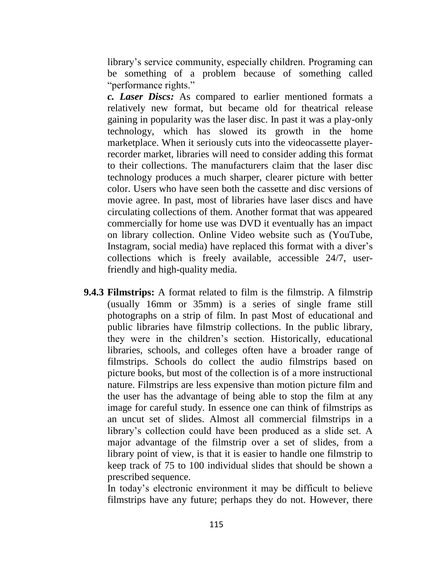library's service community, especially children. Programing can be something of a problem because of something called "performance rights."

*c. Laser Discs:* As compared to earlier mentioned formats a relatively new format, but became old for theatrical release gaining in popularity was the laser disc. In past it was a play-only technology, which has slowed its growth in the home marketplace. When it seriously cuts into the videocassette playerrecorder market, libraries will need to consider adding this format to their collections. The manufacturers claim that the laser disc technology produces a much sharper, clearer picture with better color. Users who have seen both the cassette and disc versions of movie agree. In past, most of libraries have laser discs and have circulating collections of them. Another format that was appeared commercially for home use was DVD it eventually has an impact on library collection. Online Video website such as (YouTube, Instagram, social media) have replaced this format with a diver's collections which is freely available, accessible 24/7, userfriendly and high-quality media.

**9.4.3 Filmstrips:** A format related to film is the filmstrip. A filmstrip (usually 16mm or 35mm) is a series of single frame still photographs on a strip of film. In past Most of educational and public libraries have filmstrip collections. In the public library, they were in the children's section. Historically, educational libraries, schools, and colleges often have a broader range of filmstrips. Schools do collect the audio filmstrips based on picture books, but most of the collection is of a more instructional nature. Filmstrips are less expensive than motion picture film and the user has the advantage of being able to stop the film at any image for careful study. In essence one can think of filmstrips as an uncut set of slides. Almost all commercial filmstrips in a library's collection could have been produced as a slide set. A major advantage of the filmstrip over a set of slides, from a library point of view, is that it is easier to handle one filmstrip to keep track of 75 to 100 individual slides that should be shown a prescribed sequence.

In today's electronic environment it may be difficult to believe filmstrips have any future; perhaps they do not. However, there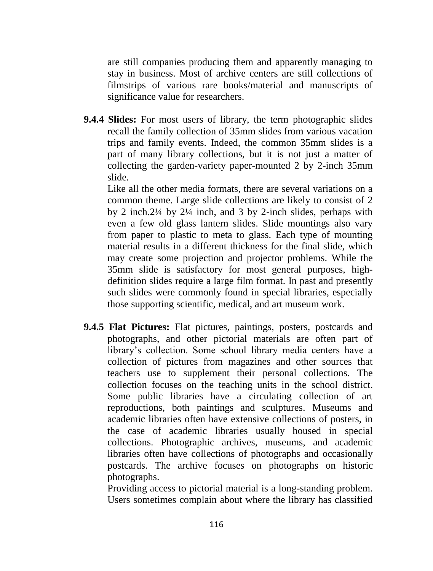are still companies producing them and apparently managing to stay in business. Most of archive centers are still collections of filmstrips of various rare books/material and manuscripts of significance value for researchers.

**9.4.4 Slides:** For most users of library, the term photographic slides recall the family collection of 35mm slides from various vacation trips and family events. Indeed, the common 35mm slides is a part of many library collections, but it is not just a matter of collecting the garden-variety paper-mounted 2 by 2-inch 35mm slide.

Like all the other media formats, there are several variations on a common theme. Large slide collections are likely to consist of 2 by 2 inch.2¼ by 2¼ inch, and 3 by 2-inch slides, perhaps with even a few old glass lantern slides. Slide mountings also vary from paper to plastic to meta to glass. Each type of mounting material results in a different thickness for the final slide, which may create some projection and projector problems. While the 35mm slide is satisfactory for most general purposes, highdefinition slides require a large film format. In past and presently such slides were commonly found in special libraries, especially those supporting scientific, medical, and art museum work.

**9.4.5 Flat Pictures:** Flat pictures, paintings, posters, postcards and photographs, and other pictorial materials are often part of library's collection. Some school library media centers have a collection of pictures from magazines and other sources that teachers use to supplement their personal collections. The collection focuses on the teaching units in the school district. Some public libraries have a circulating collection of art reproductions, both paintings and sculptures. Museums and academic libraries often have extensive collections of posters, in the case of academic libraries usually housed in special collections. Photographic archives, museums, and academic libraries often have collections of photographs and occasionally postcards. The archive focuses on photographs on historic photographs.

Providing access to pictorial material is a long-standing problem. Users sometimes complain about where the library has classified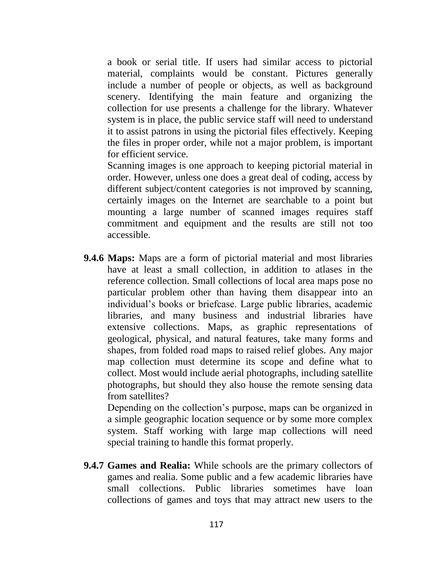a book or serial title. If users had similar access to pictorial material, complaints would be constant. Pictures generally include a number of people or objects, as well as background scenery. Identifying the main feature and organizing the collection for use presents a challenge for the library. Whatever system is in place, the public service staff will need to understand it to assist patrons in using the pictorial files effectively. Keeping the files in proper order, while not a major problem, is important for efficient service.

Scanning images is one approach to keeping pictorial material in order. However, unless one does a great deal of coding, access by different subject/content categories is not improved by scanning, certainly images on the Internet are searchable to a point but mounting a large number of scanned images requires staff commitment and equipment and the results are still not too accessible.

**9.4.6 Maps:** Maps are a form of pictorial material and most libraries have at least a small collection, in addition to atlases in the reference collection. Small collections of local area maps pose no particular problem other than having them disappear into an individual's books or briefcase. Large public libraries, academic libraries, and many business and industrial libraries have extensive collections. Maps, as graphic representations of geological, physical, and natural features, take many forms and shapes, from folded road maps to raised relief globes. Any major map collection must determine its scope and define what to collect. Most would include aerial photographs, including satellite photographs, but should they also house the remote sensing data from satellites?

Depending on the collection's purpose, maps can be organized in a simple geographic location sequence or by some more complex system. Staff working with large map collections will need special training to handle this format properly.

**9.4.7 Games and Realia:** While schools are the primary collectors of games and realia. Some public and a few academic libraries have small collections. Public libraries sometimes have loan collections of games and toys that may attract new users to the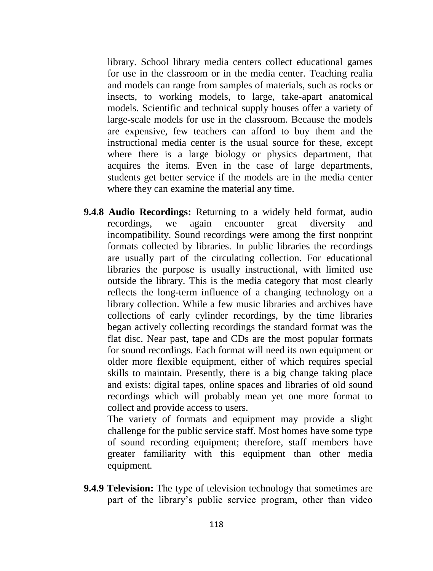library. School library media centers collect educational games for use in the classroom or in the media center. Teaching realia and models can range from samples of materials, such as rocks or insects, to working models, to large, take-apart anatomical models. Scientific and technical supply houses offer a variety of large-scale models for use in the classroom. Because the models are expensive, few teachers can afford to buy them and the instructional media center is the usual source for these, except where there is a large biology or physics department, that acquires the items. Even in the case of large departments, students get better service if the models are in the media center where they can examine the material any time.

**9.4.8 Audio Recordings:** Returning to a widely held format, audio recordings, we again encounter great diversity and incompatibility. Sound recordings were among the first nonprint formats collected by libraries. In public libraries the recordings are usually part of the circulating collection. For educational libraries the purpose is usually instructional, with limited use outside the library. This is the media category that most clearly reflects the long-term influence of a changing technology on a library collection. While a few music libraries and archives have collections of early cylinder recordings, by the time libraries began actively collecting recordings the standard format was the flat disc. Near past, tape and CDs are the most popular formats for sound recordings. Each format will need its own equipment or older more flexible equipment, either of which requires special skills to maintain. Presently, there is a big change taking place and exists: digital tapes, online spaces and libraries of old sound recordings which will probably mean yet one more format to collect and provide access to users.

The variety of formats and equipment may provide a slight challenge for the public service staff. Most homes have some type of sound recording equipment; therefore, staff members have greater familiarity with this equipment than other media equipment.

**9.4.9 Television:** The type of television technology that sometimes are part of the library's public service program, other than video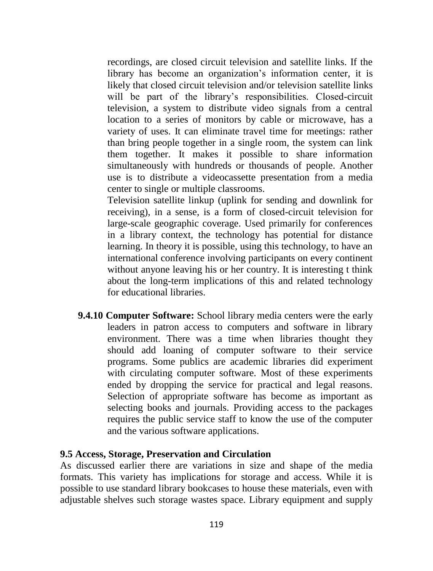recordings, are closed circuit television and satellite links. If the library has become an organization's information center, it is likely that closed circuit television and/or television satellite links will be part of the library's responsibilities. Closed-circuit television, a system to distribute video signals from a central location to a series of monitors by cable or microwave, has a variety of uses. It can eliminate travel time for meetings: rather than bring people together in a single room, the system can link them together. It makes it possible to share information simultaneously with hundreds or thousands of people. Another use is to distribute a videocassette presentation from a media center to single or multiple classrooms.

Television satellite linkup (uplink for sending and downlink for receiving), in a sense, is a form of closed-circuit television for large-scale geographic coverage. Used primarily for conferences in a library context, the technology has potential for distance learning. In theory it is possible, using this technology, to have an international conference involving participants on every continent without anyone leaving his or her country. It is interesting t think about the long-term implications of this and related technology for educational libraries.

**9.4.10 Computer Software:** School library media centers were the early leaders in patron access to computers and software in library environment. There was a time when libraries thought they should add loaning of computer software to their service programs. Some publics are academic libraries did experiment with circulating computer software. Most of these experiments ended by dropping the service for practical and legal reasons. Selection of appropriate software has become as important as selecting books and journals. Providing access to the packages requires the public service staff to know the use of the computer and the various software applications.

#### **9.5 Access, Storage, Preservation and Circulation**

As discussed earlier there are variations in size and shape of the media formats. This variety has implications for storage and access. While it is possible to use standard library bookcases to house these materials, even with adjustable shelves such storage wastes space. Library equipment and supply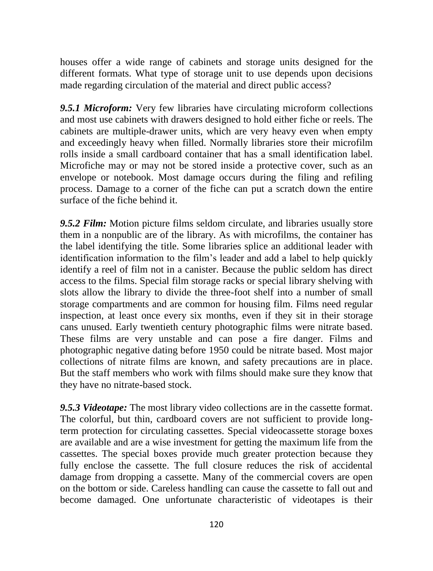houses offer a wide range of cabinets and storage units designed for the different formats. What type of storage unit to use depends upon decisions made regarding circulation of the material and direct public access?

*9.5.1 Microform:* Very few libraries have circulating microform collections and most use cabinets with drawers designed to hold either fiche or reels. The cabinets are multiple-drawer units, which are very heavy even when empty and exceedingly heavy when filled. Normally libraries store their microfilm rolls inside a small cardboard container that has a small identification label. Microfiche may or may not be stored inside a protective cover, such as an envelope or notebook. Most damage occurs during the filing and refiling process. Damage to a corner of the fiche can put a scratch down the entire surface of the fiche behind it.

*9.5.2 Film:* Motion picture films seldom circulate, and libraries usually store them in a nonpublic are of the library. As with microfilms, the container has the label identifying the title. Some libraries splice an additional leader with identification information to the film's leader and add a label to help quickly identify a reel of film not in a canister. Because the public seldom has direct access to the films. Special film storage racks or special library shelving with slots allow the library to divide the three-foot shelf into a number of small storage compartments and are common for housing film. Films need regular inspection, at least once every six months, even if they sit in their storage cans unused. Early twentieth century photographic films were nitrate based. These films are very unstable and can pose a fire danger. Films and photographic negative dating before 1950 could be nitrate based. Most major collections of nitrate films are known, and safety precautions are in place. But the staff members who work with films should make sure they know that they have no nitrate-based stock.

*9.5.3 Videotape:* The most library video collections are in the cassette format. The colorful, but thin, cardboard covers are not sufficient to provide longterm protection for circulating cassettes. Special videocassette storage boxes are available and are a wise investment for getting the maximum life from the cassettes. The special boxes provide much greater protection because they fully enclose the cassette. The full closure reduces the risk of accidental damage from dropping a cassette. Many of the commercial covers are open on the bottom or side. Careless handling can cause the cassette to fall out and become damaged. One unfortunate characteristic of videotapes is their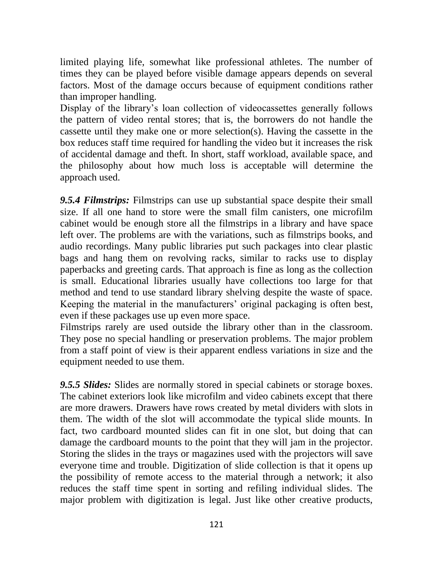limited playing life, somewhat like professional athletes. The number of times they can be played before visible damage appears depends on several factors. Most of the damage occurs because of equipment conditions rather than improper handling.

Display of the library's loan collection of videocassettes generally follows the pattern of video rental stores; that is, the borrowers do not handle the cassette until they make one or more selection(s). Having the cassette in the box reduces staff time required for handling the video but it increases the risk of accidental damage and theft. In short, staff workload, available space, and the philosophy about how much loss is acceptable will determine the approach used.

*9.5.4 Filmstrips:* Filmstrips can use up substantial space despite their small size. If all one hand to store were the small film canisters, one microfilm cabinet would be enough store all the filmstrips in a library and have space left over. The problems are with the variations, such as filmstrips books, and audio recordings. Many public libraries put such packages into clear plastic bags and hang them on revolving racks, similar to racks use to display paperbacks and greeting cards. That approach is fine as long as the collection is small. Educational libraries usually have collections too large for that method and tend to use standard library shelving despite the waste of space. Keeping the material in the manufacturers' original packaging is often best, even if these packages use up even more space.

Filmstrips rarely are used outside the library other than in the classroom. They pose no special handling or preservation problems. The major problem from a staff point of view is their apparent endless variations in size and the equipment needed to use them.

*9.5.5 Slides:* Slides are normally stored in special cabinets or storage boxes. The cabinet exteriors look like microfilm and video cabinets except that there are more drawers. Drawers have rows created by metal dividers with slots in them. The width of the slot will accommodate the typical slide mounts. In fact, two cardboard mounted slides can fit in one slot, but doing that can damage the cardboard mounts to the point that they will jam in the projector. Storing the slides in the trays or magazines used with the projectors will save everyone time and trouble. Digitization of slide collection is that it opens up the possibility of remote access to the material through a network; it also reduces the staff time spent in sorting and refiling individual slides. The major problem with digitization is legal. Just like other creative products,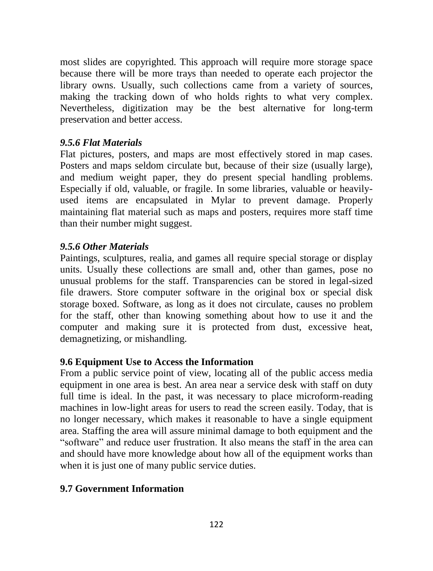most slides are copyrighted. This approach will require more storage space because there will be more trays than needed to operate each projector the library owns. Usually, such collections came from a variety of sources, making the tracking down of who holds rights to what very complex. Nevertheless, digitization may be the best alternative for long-term preservation and better access.

## *9.5.6 Flat Materials*

Flat pictures, posters, and maps are most effectively stored in map cases. Posters and maps seldom circulate but, because of their size (usually large), and medium weight paper, they do present special handling problems. Especially if old, valuable, or fragile. In some libraries, valuable or heavilyused items are encapsulated in Mylar to prevent damage. Properly maintaining flat material such as maps and posters, requires more staff time than their number might suggest.

## *9.5.6 Other Materials*

Paintings, sculptures, realia, and games all require special storage or display units. Usually these collections are small and, other than games, pose no unusual problems for the staff. Transparencies can be stored in legal-sized file drawers. Store computer software in the original box or special disk storage boxed. Software, as long as it does not circulate, causes no problem for the staff, other than knowing something about how to use it and the computer and making sure it is protected from dust, excessive heat, demagnetizing, or mishandling.

### **9.6 Equipment Use to Access the Information**

From a public service point of view, locating all of the public access media equipment in one area is best. An area near a service desk with staff on duty full time is ideal. In the past, it was necessary to place microform-reading machines in low-light areas for users to read the screen easily. Today, that is no longer necessary, which makes it reasonable to have a single equipment area. Staffing the area will assure minimal damage to both equipment and the "software" and reduce user frustration. It also means the staff in the area can and should have more knowledge about how all of the equipment works than when it is just one of many public service duties.

# **9.7 Government Information**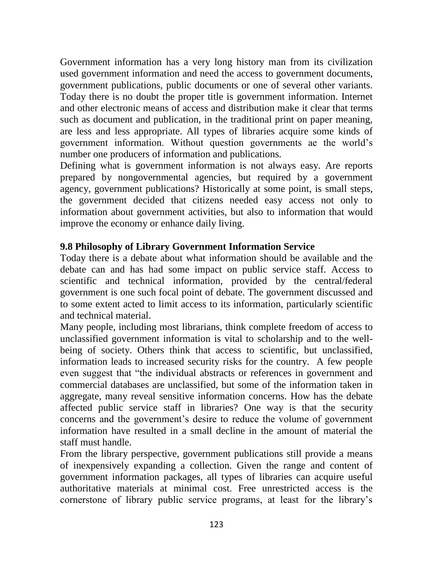Government information has a very long history man from its civilization used government information and need the access to government documents, government publications, public documents or one of several other variants. Today there is no doubt the proper title is government information. Internet and other electronic means of access and distribution make it clear that terms such as document and publication, in the traditional print on paper meaning, are less and less appropriate. All types of libraries acquire some kinds of government information. Without question governments ae the world's number one producers of information and publications.

Defining what is government information is not always easy. Are reports prepared by nongovernmental agencies, but required by a government agency, government publications? Historically at some point, is small steps, the government decided that citizens needed easy access not only to information about government activities, but also to information that would improve the economy or enhance daily living.

### **9.8 Philosophy of Library Government Information Service**

Today there is a debate about what information should be available and the debate can and has had some impact on public service staff. Access to scientific and technical information, provided by the central/federal government is one such focal point of debate. The government discussed and to some extent acted to limit access to its information, particularly scientific and technical material.

Many people, including most librarians, think complete freedom of access to unclassified government information is vital to scholarship and to the wellbeing of society. Others think that access to scientific, but unclassified, information leads to increased security risks for the country. A few people even suggest that "the individual abstracts or references in government and commercial databases are unclassified, but some of the information taken in aggregate, many reveal sensitive information concerns. How has the debate affected public service staff in libraries? One way is that the security concerns and the government's desire to reduce the volume of government information have resulted in a small decline in the amount of material the staff must handle.

From the library perspective, government publications still provide a means of inexpensively expanding a collection. Given the range and content of government information packages, all types of libraries can acquire useful authoritative materials at minimal cost. Free unrestricted access is the cornerstone of library public service programs, at least for the library's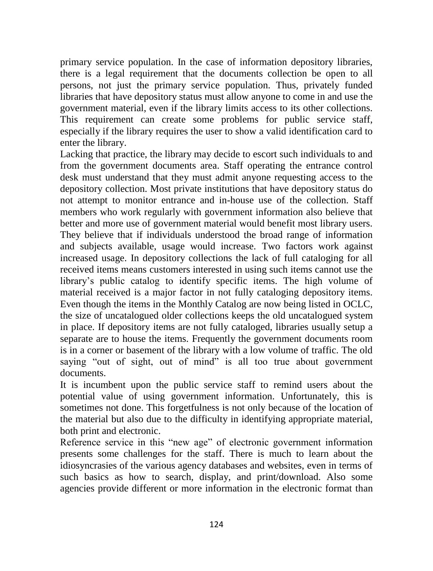primary service population. In the case of information depository libraries, there is a legal requirement that the documents collection be open to all persons, not just the primary service population. Thus, privately funded libraries that have depository status must allow anyone to come in and use the government material, even if the library limits access to its other collections. This requirement can create some problems for public service staff, especially if the library requires the user to show a valid identification card to enter the library.

Lacking that practice, the library may decide to escort such individuals to and from the government documents area. Staff operating the entrance control desk must understand that they must admit anyone requesting access to the depository collection. Most private institutions that have depository status do not attempt to monitor entrance and in-house use of the collection. Staff members who work regularly with government information also believe that better and more use of government material would benefit most library users. They believe that if individuals understood the broad range of information and subjects available, usage would increase. Two factors work against increased usage. In depository collections the lack of full cataloging for all received items means customers interested in using such items cannot use the library's public catalog to identify specific items. The high volume of material received is a major factor in not fully cataloging depository items. Even though the items in the Monthly Catalog are now being listed in OCLC, the size of uncatalogued older collections keeps the old uncatalogued system in place. If depository items are not fully cataloged, libraries usually setup a separate are to house the items. Frequently the government documents room is in a corner or basement of the library with a low volume of traffic. The old saying "out of sight, out of mind" is all too true about government documents.

It is incumbent upon the public service staff to remind users about the potential value of using government information. Unfortunately, this is sometimes not done. This forgetfulness is not only because of the location of the material but also due to the difficulty in identifying appropriate material, both print and electronic.

Reference service in this "new age" of electronic government information presents some challenges for the staff. There is much to learn about the idiosyncrasies of the various agency databases and websites, even in terms of such basics as how to search, display, and print/download. Also some agencies provide different or more information in the electronic format than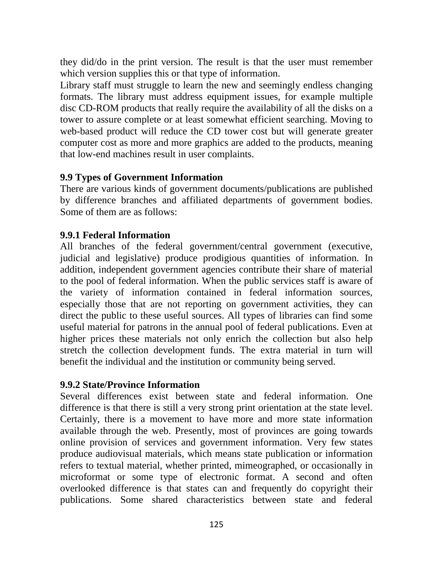they did/do in the print version. The result is that the user must remember which version supplies this or that type of information.

Library staff must struggle to learn the new and seemingly endless changing formats. The library must address equipment issues, for example multiple disc CD-ROM products that really require the availability of all the disks on a tower to assure complete or at least somewhat efficient searching. Moving to web-based product will reduce the CD tower cost but will generate greater computer cost as more and more graphics are added to the products, meaning that low-end machines result in user complaints.

### **9.9 Types of Government Information**

There are various kinds of government documents/publications are published by difference branches and affiliated departments of government bodies. Some of them are as follows:

### **9.9.1 Federal Information**

All branches of the federal government/central government (executive, judicial and legislative) produce prodigious quantities of information. In addition, independent government agencies contribute their share of material to the pool of federal information. When the public services staff is aware of the variety of information contained in federal information sources, especially those that are not reporting on government activities, they can direct the public to these useful sources. All types of libraries can find some useful material for patrons in the annual pool of federal publications. Even at higher prices these materials not only enrich the collection but also help stretch the collection development funds. The extra material in turn will benefit the individual and the institution or community being served.

#### **9.9.2 State/Province Information**

Several differences exist between state and federal information. One difference is that there is still a very strong print orientation at the state level. Certainly, there is a movement to have more and more state information available through the web. Presently, most of provinces are going towards online provision of services and government information. Very few states produce audiovisual materials, which means state publication or information refers to textual material, whether printed, mimeographed, or occasionally in microformat or some type of electronic format. A second and often overlooked difference is that states can and frequently do copyright their publications. Some shared characteristics between state and federal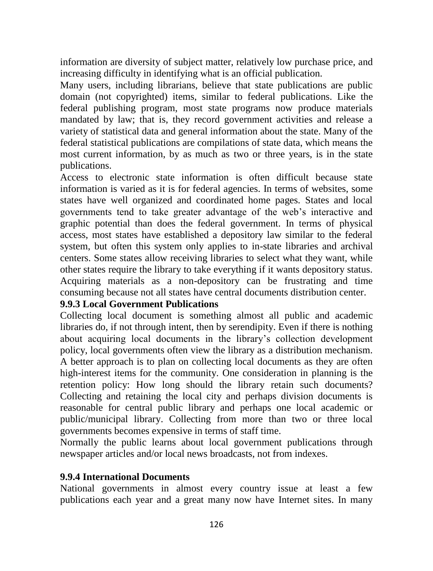information are diversity of subject matter, relatively low purchase price, and increasing difficulty in identifying what is an official publication.

Many users, including librarians, believe that state publications are public domain (not copyrighted) items, similar to federal publications. Like the federal publishing program, most state programs now produce materials mandated by law; that is, they record government activities and release a variety of statistical data and general information about the state. Many of the federal statistical publications are compilations of state data, which means the most current information, by as much as two or three years, is in the state publications.

Access to electronic state information is often difficult because state information is varied as it is for federal agencies. In terms of websites, some states have well organized and coordinated home pages. States and local governments tend to take greater advantage of the web's interactive and graphic potential than does the federal government. In terms of physical access, most states have established a depository law similar to the federal system, but often this system only applies to in-state libraries and archival centers. Some states allow receiving libraries to select what they want, while other states require the library to take everything if it wants depository status. Acquiring materials as a non-depository can be frustrating and time consuming because not all states have central documents distribution center.

#### **9.9.3 Local Government Publications**

Collecting local document is something almost all public and academic libraries do, if not through intent, then by serendipity. Even if there is nothing about acquiring local documents in the library's collection development policy, local governments often view the library as a distribution mechanism. A better approach is to plan on collecting local documents as they are often high-interest items for the community. One consideration in planning is the retention policy: How long should the library retain such documents? Collecting and retaining the local city and perhaps division documents is reasonable for central public library and perhaps one local academic or public/municipal library. Collecting from more than two or three local governments becomes expensive in terms of staff time.

Normally the public learns about local government publications through newspaper articles and/or local news broadcasts, not from indexes.

#### **9.9.4 International Documents**

National governments in almost every country issue at least a few publications each year and a great many now have Internet sites. In many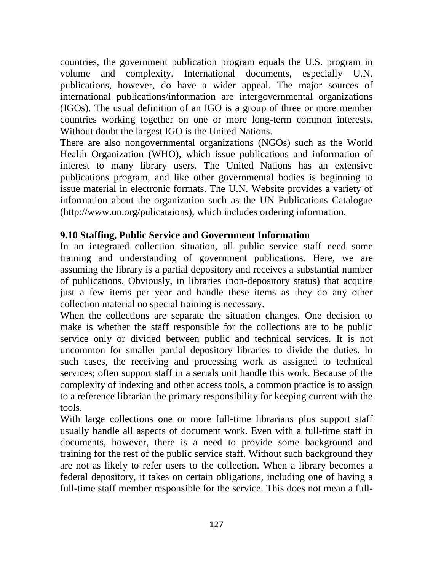countries, the government publication program equals the U.S. program in volume and complexity. International documents, especially U.N. publications, however, do have a wider appeal. The major sources of international publications/information are intergovernmental organizations (IGOs). The usual definition of an IGO is a group of three or more member countries working together on one or more long-term common interests. Without doubt the largest IGO is the United Nations.

There are also nongovernmental organizations (NGOs) such as the World Health Organization (WHO), which issue publications and information of interest to many library users. The United Nations has an extensive publications program, and like other governmental bodies is beginning to issue material in electronic formats. The U.N. Website provides a variety of information about the organization such as the UN Publications Catalogue (http://www.un.org/pulicataions), which includes ordering information.

### **9.10 Staffing, Public Service and Government Information**

In an integrated collection situation, all public service staff need some training and understanding of government publications. Here, we are assuming the library is a partial depository and receives a substantial number of publications. Obviously, in libraries (non-depository status) that acquire just a few items per year and handle these items as they do any other collection material no special training is necessary.

When the collections are separate the situation changes. One decision to make is whether the staff responsible for the collections are to be public service only or divided between public and technical services. It is not uncommon for smaller partial depository libraries to divide the duties. In such cases, the receiving and processing work as assigned to technical services; often support staff in a serials unit handle this work. Because of the complexity of indexing and other access tools, a common practice is to assign to a reference librarian the primary responsibility for keeping current with the tools.

With large collections one or more full-time librarians plus support staff usually handle all aspects of document work. Even with a full-time staff in documents, however, there is a need to provide some background and training for the rest of the public service staff. Without such background they are not as likely to refer users to the collection. When a library becomes a federal depository, it takes on certain obligations, including one of having a full-time staff member responsible for the service. This does not mean a full-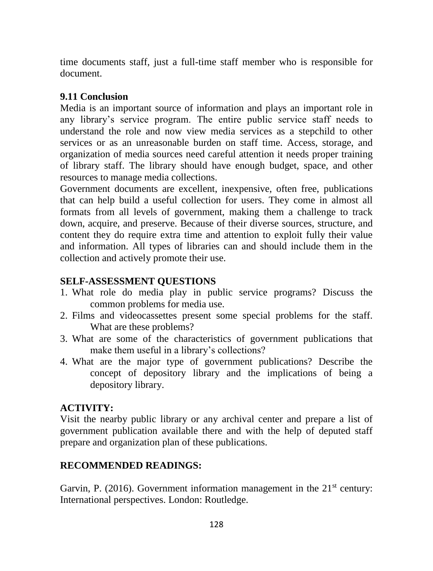time documents staff, just a full-time staff member who is responsible for document.

### **9.11 Conclusion**

Media is an important source of information and plays an important role in any library's service program. The entire public service staff needs to understand the role and now view media services as a stepchild to other services or as an unreasonable burden on staff time. Access, storage, and organization of media sources need careful attention it needs proper training of library staff. The library should have enough budget, space, and other resources to manage media collections.

Government documents are excellent, inexpensive, often free, publications that can help build a useful collection for users. They come in almost all formats from all levels of government, making them a challenge to track down, acquire, and preserve. Because of their diverse sources, structure, and content they do require extra time and attention to exploit fully their value and information. All types of libraries can and should include them in the collection and actively promote their use.

# **SELF-ASSESSMENT QUESTIONS**

- 1. What role do media play in public service programs? Discuss the common problems for media use.
- 2. Films and videocassettes present some special problems for the staff. What are these problems?
- 3. What are some of the characteristics of government publications that make them useful in a library's collections?
- 4. What are the major type of government publications? Describe the concept of depository library and the implications of being a depository library.

# **ACTIVITY:**

Visit the nearby public library or any archival center and prepare a list of government publication available there and with the help of deputed staff prepare and organization plan of these publications.

# **RECOMMENDED READINGS:**

Garvin, P. (2016). Government information management in the  $21<sup>st</sup>$  century: International perspectives. London: Routledge.